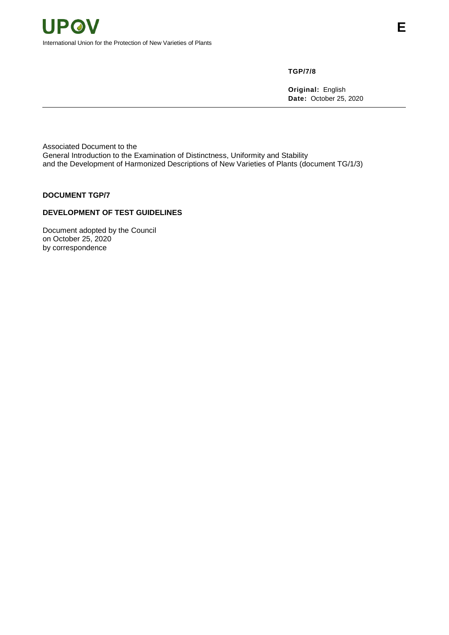**TGP/7/8**

**Original:** English **Date:** October 25, 2020

Associated Document to the General Introduction to the Examination of Distinctness, Uniformity and Stability and the Development of Harmonized Descriptions of New Varieties of Plants (document TG/1/3)

# **DOCUMENT TGP/7**

# **DEVELOPMENT OF TEST GUIDELINES**

Document adopted by the Council on October 25, 2020 by correspondence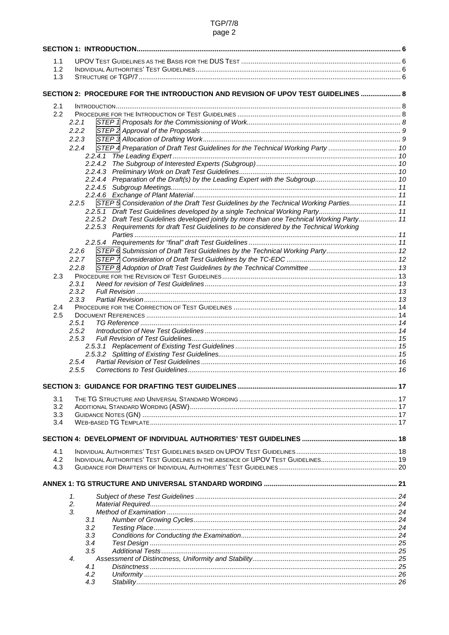# **TGP/7/8** page 2

| 1.1        |                                                                                                |  |
|------------|------------------------------------------------------------------------------------------------|--|
| 1.2        |                                                                                                |  |
| 1.3        |                                                                                                |  |
|            |                                                                                                |  |
|            | SECTION 2: PROCEDURE FOR THE INTRODUCTION AND REVISION OF UPOV TEST GUIDELINES  8              |  |
| 2.1        |                                                                                                |  |
| 2.2        |                                                                                                |  |
|            | 2.2.1                                                                                          |  |
|            | 2.2.2                                                                                          |  |
|            | 2.2.3                                                                                          |  |
|            | 2.2.4                                                                                          |  |
|            |                                                                                                |  |
|            |                                                                                                |  |
|            |                                                                                                |  |
|            |                                                                                                |  |
|            |                                                                                                |  |
|            | STEP 5 Consideration of the Draft Test Guidelines by the Technical Working Parties 11<br>2.2.5 |  |
|            |                                                                                                |  |
|            | 2.2.5.2 Draft Test Guidelines developed jointly by more than one Technical Working Party 11    |  |
|            | 2.2.5.3 Requirements for draft Test Guidelines to be considered by the Technical Working       |  |
|            |                                                                                                |  |
|            | STEP 6 Submission of Draft Test Guidelines by the Technical Working Party 12<br>2.2.6          |  |
|            | 2.2.7                                                                                          |  |
|            | 2.2.8                                                                                          |  |
| 2.3        |                                                                                                |  |
|            | 2.3.1                                                                                          |  |
|            | 2.3.2                                                                                          |  |
|            | 2.3.3                                                                                          |  |
| 2.4        |                                                                                                |  |
| 2.5        | 2.5.1                                                                                          |  |
|            | 2.5.2                                                                                          |  |
|            | 2.5.3                                                                                          |  |
|            |                                                                                                |  |
|            |                                                                                                |  |
|            | 2.5.4                                                                                          |  |
|            | 2.5.5                                                                                          |  |
|            |                                                                                                |  |
|            |                                                                                                |  |
| 3.1        |                                                                                                |  |
| 3.2        |                                                                                                |  |
| 3.3<br>3.4 |                                                                                                |  |
|            |                                                                                                |  |
|            |                                                                                                |  |
|            |                                                                                                |  |
| 4.1<br>4.2 |                                                                                                |  |
| 4.3        |                                                                                                |  |
|            |                                                                                                |  |
|            |                                                                                                |  |
|            | 1.                                                                                             |  |
|            | 2.                                                                                             |  |
|            | 3.                                                                                             |  |
|            | 3.1                                                                                            |  |
|            | 3.2                                                                                            |  |
|            | 3.3                                                                                            |  |
|            | 3.4                                                                                            |  |
|            | 3.5<br>$\boldsymbol{4}$                                                                        |  |
|            | 4.1                                                                                            |  |
|            | 4.2                                                                                            |  |
|            | 4.3                                                                                            |  |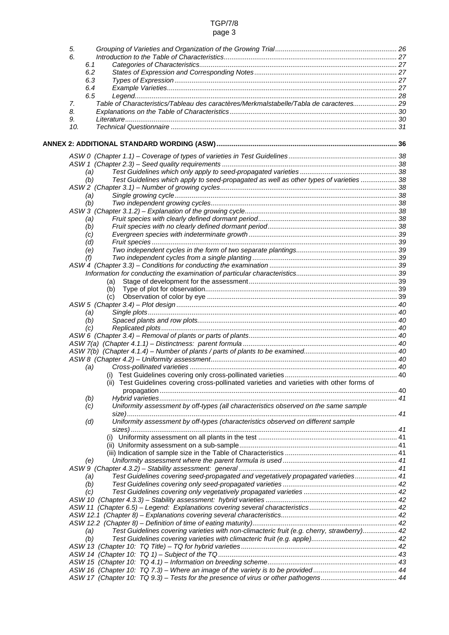# TGP/7/8 page 3

| 5.  |                                                                                            |  |
|-----|--------------------------------------------------------------------------------------------|--|
| 6.  |                                                                                            |  |
| 6.1 |                                                                                            |  |
| 6.2 |                                                                                            |  |
| 6.3 |                                                                                            |  |
| 6.4 |                                                                                            |  |
| 6.5 |                                                                                            |  |
| 7.  | Table of Characteristics/Tableau des caractères/Merkmalstabelle/Tabla de caracteres 29     |  |
| 8.  |                                                                                            |  |
| 9.  |                                                                                            |  |
| 10. |                                                                                            |  |
|     |                                                                                            |  |
|     |                                                                                            |  |
|     |                                                                                            |  |
|     |                                                                                            |  |
| (a) |                                                                                            |  |
| (b) | Test Guidelines which apply to seed-propagated as well as other types of varieties  38     |  |
|     |                                                                                            |  |
| (a) |                                                                                            |  |
| (b) |                                                                                            |  |
|     |                                                                                            |  |
| (a) |                                                                                            |  |
| (b) |                                                                                            |  |
| (C) |                                                                                            |  |
| (d) |                                                                                            |  |
| (e) |                                                                                            |  |
| (f) |                                                                                            |  |
|     |                                                                                            |  |
|     |                                                                                            |  |
|     | (a)                                                                                        |  |
|     | (b)                                                                                        |  |
|     | (c)                                                                                        |  |
|     |                                                                                            |  |
| (a) |                                                                                            |  |
| (b) |                                                                                            |  |
| (C) |                                                                                            |  |
|     |                                                                                            |  |
|     |                                                                                            |  |
|     |                                                                                            |  |
|     |                                                                                            |  |
| (a) |                                                                                            |  |
|     |                                                                                            |  |
|     | (ii) Test Guidelines covering cross-pollinated varieties and varieties with other forms of |  |
|     |                                                                                            |  |
| (b) |                                                                                            |  |
| (c) | Uniformity assessment by off-types (all characteristics observed on the same sample        |  |
|     |                                                                                            |  |
| (d) | Uniformity assessment by off-types (characteristics observed on different sample           |  |
|     |                                                                                            |  |
|     |                                                                                            |  |
|     |                                                                                            |  |
|     |                                                                                            |  |
| (e) |                                                                                            |  |
|     |                                                                                            |  |
| (a) | Test Guidelines covering seed-propagated and vegetatively propagated varieties 41          |  |
| (b) |                                                                                            |  |
| (c) |                                                                                            |  |
|     |                                                                                            |  |
|     |                                                                                            |  |
|     |                                                                                            |  |
|     |                                                                                            |  |
| (a) | Test Guidelines covering varieties with non-climacteric fruit (e.g. cherry, strawberry) 42 |  |
| (b) |                                                                                            |  |
|     |                                                                                            |  |
|     |                                                                                            |  |
|     |                                                                                            |  |
|     |                                                                                            |  |
|     |                                                                                            |  |
|     |                                                                                            |  |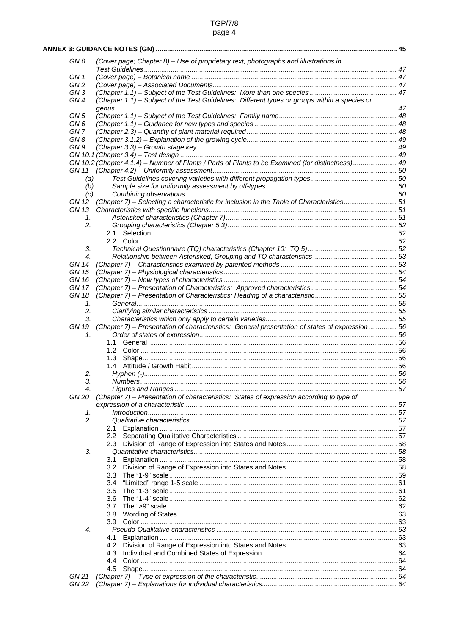| <b>TGP/7/8</b> |
|----------------|
| page 4         |

| GN 0            | (Cover page; Chapter 8) - Use of proprietary text, photographs and illustrations in               |  |
|-----------------|---------------------------------------------------------------------------------------------------|--|
|                 |                                                                                                   |  |
| GN 1            |                                                                                                   |  |
| GN <sub>2</sub> |                                                                                                   |  |
| GN <sub>3</sub> |                                                                                                   |  |
| GN4             | (Chapter 1.1) - Subject of the Test Guidelines: Different types or groups within a species or     |  |
|                 |                                                                                                   |  |
| GN 5            |                                                                                                   |  |
| GN 6            |                                                                                                   |  |
| GN <sub>7</sub> |                                                                                                   |  |
| GN8             |                                                                                                   |  |
| GN 9            |                                                                                                   |  |
|                 |                                                                                                   |  |
|                 | GN 10.2 (Chapter 4.1.4) - Number of Plants / Parts of Plants to be Examined (for distinctness) 49 |  |
| GN 11           |                                                                                                   |  |
| (a)             |                                                                                                   |  |
| (b)             |                                                                                                   |  |
| (c)             |                                                                                                   |  |
| GN 12           | (Chapter 7) - Selecting a characteristic for inclusion in the Table of Characteristics 51         |  |
| GN 13           |                                                                                                   |  |
| 1.              |                                                                                                   |  |
| 2.              |                                                                                                   |  |
|                 | 2.1                                                                                               |  |
|                 |                                                                                                   |  |
| 3.              |                                                                                                   |  |
| 4.              |                                                                                                   |  |
| GN 14           |                                                                                                   |  |
| <b>GN 15</b>    |                                                                                                   |  |
| GN 16           |                                                                                                   |  |
| GN 17           |                                                                                                   |  |
| GN 18           |                                                                                                   |  |
|                 |                                                                                                   |  |
| 1.<br>2.        |                                                                                                   |  |
| 3.              |                                                                                                   |  |
| GN 19           |                                                                                                   |  |
| 1.              | (Chapter 7) - Presentation of characteristics: General presentation of states of expression 56    |  |
|                 | 1.1                                                                                               |  |
|                 |                                                                                                   |  |
|                 | 1.3                                                                                               |  |
|                 |                                                                                                   |  |
| 2.              |                                                                                                   |  |
| 3.              |                                                                                                   |  |
| 4.              |                                                                                                   |  |
| GN 20           | (Chapter 7) - Presentation of characteristics: States of expression according to type of          |  |
|                 |                                                                                                   |  |
|                 | Introduction 1, 57                                                                                |  |
| 1.<br>2.        |                                                                                                   |  |
|                 |                                                                                                   |  |
|                 | 2.1                                                                                               |  |
|                 | 2.2                                                                                               |  |
|                 | 2.3                                                                                               |  |
| 3.              |                                                                                                   |  |
|                 | 3.1                                                                                               |  |
|                 | 3.2                                                                                               |  |
|                 | 3.3                                                                                               |  |
|                 | 3.4                                                                                               |  |
|                 | 3.5                                                                                               |  |
|                 | 3.6                                                                                               |  |
|                 | 3.7                                                                                               |  |
|                 | 3.8                                                                                               |  |
|                 | 3.9                                                                                               |  |
| 4.              |                                                                                                   |  |
|                 | 4.1                                                                                               |  |
|                 | 4.2                                                                                               |  |
|                 | 4.3                                                                                               |  |
|                 | 4.4                                                                                               |  |
|                 | 4.5                                                                                               |  |
| GN 21           |                                                                                                   |  |
| GN 22           |                                                                                                   |  |
|                 |                                                                                                   |  |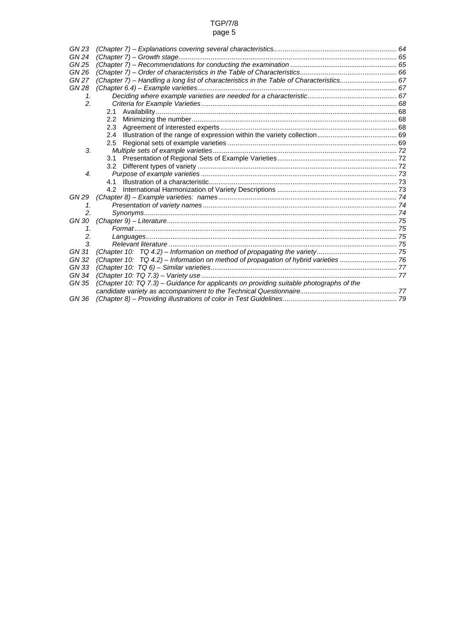# TGP/7/8

# page 5

| GN 23        |                                                                                          |  |
|--------------|------------------------------------------------------------------------------------------|--|
| <b>GN 24</b> |                                                                                          |  |
| GN 25        |                                                                                          |  |
| GN 26        |                                                                                          |  |
| <b>GN 27</b> | (Chapter 7) - Handling a long list of characteristics in the Table of Characteristics 67 |  |
| GN 28        |                                                                                          |  |
| 1.           |                                                                                          |  |
| 2.           |                                                                                          |  |
|              | 2.1                                                                                      |  |
|              | $2.2^{\circ}$                                                                            |  |
|              | 2.3                                                                                      |  |
|              | 2.4                                                                                      |  |
|              | 2.5                                                                                      |  |
| 3.           |                                                                                          |  |
|              | 3.1                                                                                      |  |
|              | 3.2                                                                                      |  |
| 4.           |                                                                                          |  |
|              | 41                                                                                       |  |
|              | 4.2                                                                                      |  |
| GN 29        |                                                                                          |  |
| 1.           |                                                                                          |  |
| 2.           |                                                                                          |  |
| GN 30        |                                                                                          |  |
| 1.           |                                                                                          |  |
| 2.           |                                                                                          |  |
| 3.           |                                                                                          |  |
| GN 31        |                                                                                          |  |
| GN 32        | (Chapter 10: TQ 4.2) - Information on method of propagation of hybrid varieties  76      |  |
| GN 33        |                                                                                          |  |
| GN 34        |                                                                                          |  |
| GN 35        | (Chapter 10: TQ 7.3) – Guidance for applicants on providing suitable photographs of the  |  |
|              |                                                                                          |  |
| GN 36        |                                                                                          |  |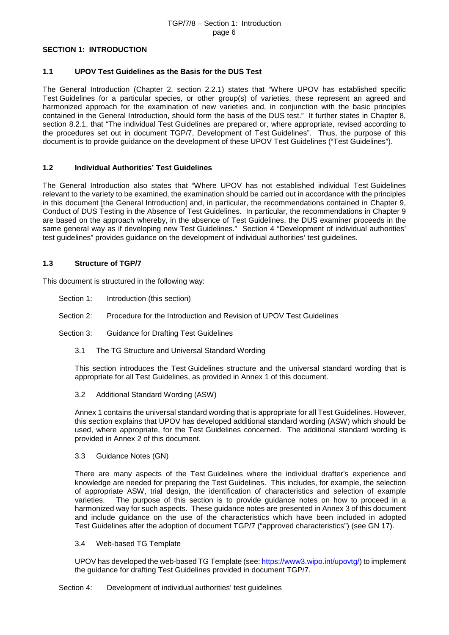#### TGP/7/8 – Section 1: Introduction page 6

#### <span id="page-5-0"></span>**SECTION 1: INTRODUCTION**

#### <span id="page-5-1"></span>**1.1 UPOV Test Guidelines as the Basis for the DUS Test**

The General Introduction (Chapter 2, section 2.2.1) states that "Where UPOV has established specific Test Guidelines for a particular species, or other group(s) of varieties, these represent an agreed and harmonized approach for the examination of new varieties and, in conjunction with the basic principles contained in the General Introduction, should form the basis of the DUS test." It further states in Chapter 8, section 8.2.1, that "The individual Test Guidelines are prepared or, where appropriate, revised according to the procedures set out in document TGP/7, Development of Test Guidelines". Thus, the purpose of this document is to provide guidance on the development of these UPOV Test Guidelines ("Test Guidelines").

#### <span id="page-5-2"></span>**1.2 Individual Authorities' Test Guidelines**

The General Introduction also states that "Where UPOV has not established individual Test Guidelines relevant to the variety to be examined, the examination should be carried out in accordance with the principles in this document [the General Introduction] and, in particular, the recommendations contained in Chapter 9, Conduct of DUS Testing in the Absence of Test Guidelines. In particular, the recommendations in Chapter 9 are based on the approach whereby, in the absence of Test Guidelines, the DUS examiner proceeds in the same general way as if developing new Test Guidelines." Section 4 "Development of individual authorities' test guidelines" provides guidance on the development of individual authorities' test guidelines.

#### <span id="page-5-3"></span>**1.3 Structure of TGP/7**

This document is structured in the following way:

- Section 1: Introduction (this section)
- Section 2: Procedure for the Introduction and Revision of UPOV Test Guidelines
- Section 3: Guidance for Drafting Test Guidelines
	- 3.1 The TG Structure and Universal Standard Wording

This section introduces the Test Guidelines structure and the universal standard wording that is appropriate for all Test Guidelines, as provided in Annex 1 of this document.

3.2 Additional Standard Wording (ASW)

Annex 1 contains the universal standard wording that is appropriate for all Test Guidelines. However, this section explains that UPOV has developed additional standard wording (ASW) which should be used, where appropriate, for the Test Guidelines concerned. The additional standard wording is provided in Annex 2 of this document.

3.3 Guidance Notes (GN)

There are many aspects of the Test Guidelines where the individual drafter's experience and knowledge are needed for preparing the Test Guidelines. This includes, for example, the selection of appropriate ASW, trial design, the identification of characteristics and selection of example varieties. The purpose of this section is to provide guidance notes on how to proceed in a harmonized way for such aspects. These guidance notes are presented in Annex 3 of this document and include guidance on the use of the characteristics which have been included in adopted Test Guidelines after the adoption of document TGP/7 ("approved characteristics") (see GN 17).

3.4 Web-based TG Template

UPOV has developed the web-based TG Template (see[: https://www3.wipo.int/upovtg/\)](https://www3.wipo.int/upovtg/) to implement the guidance for drafting Test Guidelines provided in document TGP/7.

Section 4: Development of individual authorities' test guidelines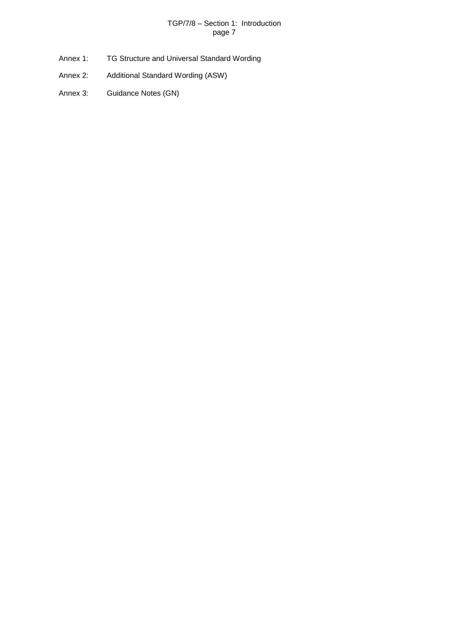# TGP/7/8 – Section 1: Introduction page 7

- Annex 1: TG Structure and Universal Standard Wording
- Annex 2: Additional Standard Wording (ASW)
- Annex 3: Guidance Notes (GN)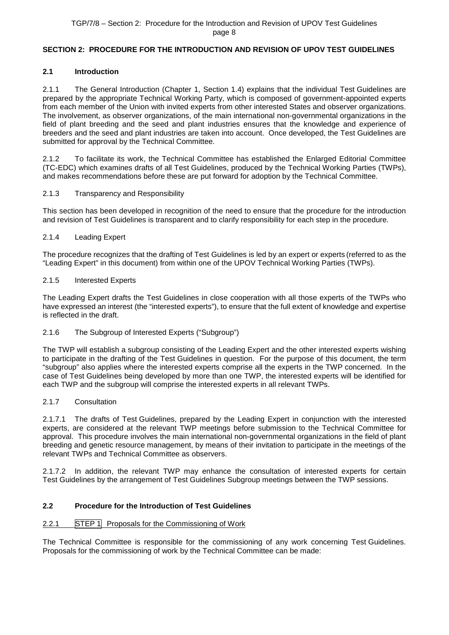# <span id="page-7-0"></span>**SECTION 2: PROCEDURE FOR THE INTRODUCTION AND REVISION OF UPOV TEST GUIDELINES**

# <span id="page-7-1"></span>**2.1 Introduction**

2.1.1 The General Introduction (Chapter 1, Section 1.4) explains that the individual Test Guidelines are prepared by the appropriate Technical Working Party, which is composed of government-appointed experts from each member of the Union with invited experts from other interested States and observer organizations. The involvement, as observer organizations, of the main international non-governmental organizations in the field of plant breeding and the seed and plant industries ensures that the knowledge and experience of breeders and the seed and plant industries are taken into account. Once developed, the Test Guidelines are submitted for approval by the Technical Committee.

2.1.2 To facilitate its work, the Technical Committee has established the Enlarged Editorial Committee (TC-EDC) which examines drafts of all Test Guidelines, produced by the Technical Working Parties (TWPs), and makes recommendations before these are put forward for adoption by the Technical Committee.

# 2.1.3 Transparency and Responsibility

This section has been developed in recognition of the need to ensure that the procedure for the introduction and revision of Test Guidelines is transparent and to clarify responsibility for each step in the procedure.

# 2.1.4 Leading Expert

The procedure recognizes that the drafting of Test Guidelines is led by an expert or experts (referred to as the "Leading Expert" in this document) from within one of the UPOV Technical Working Parties (TWPs).

#### 2.1.5 Interested Experts

The Leading Expert drafts the Test Guidelines in close cooperation with all those experts of the TWPs who have expressed an interest (the "interested experts"), to ensure that the full extent of knowledge and expertise is reflected in the draft.

# 2.1.6 The Subgroup of Interested Experts ("Subgroup")

The TWP will establish a subgroup consisting of the Leading Expert and the other interested experts wishing to participate in the drafting of the Test Guidelines in question. For the purpose of this document, the term "subgroup" also applies where the interested experts comprise all the experts in the TWP concerned. In the case of Test Guidelines being developed by more than one TWP, the interested experts will be identified for each TWP and the subgroup will comprise the interested experts in all relevant TWPs.

# 2.1.7 Consultation

2.1.7.1 The drafts of Test Guidelines, prepared by the Leading Expert in conjunction with the interested experts, are considered at the relevant TWP meetings before submission to the Technical Committee for approval. This procedure involves the main international non-governmental organizations in the field of plant breeding and genetic resource management, by means of their invitation to participate in the meetings of the relevant TWPs and Technical Committee as observers.

2.1.7.2 In addition, the relevant TWP may enhance the consultation of interested experts for certain Test Guidelines by the arrangement of Test Guidelines Subgroup meetings between the TWP sessions.

# <span id="page-7-2"></span>**2.2 Procedure for the Introduction of Test Guidelines**

# <span id="page-7-3"></span>2.2.1 STEP 1 Proposals for the Commissioning of Work

The Technical Committee is responsible for the commissioning of any work concerning Test Guidelines. Proposals for the commissioning of work by the Technical Committee can be made: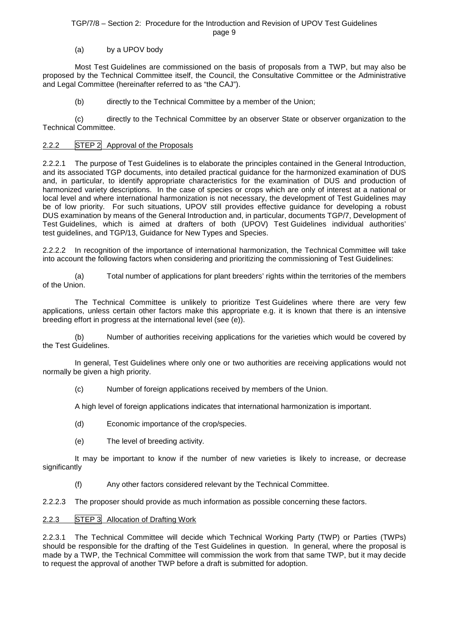# (a) by a UPOV body

Most Test Guidelines are commissioned on the basis of proposals from a TWP, but may also be proposed by the Technical Committee itself, the Council, the Consultative Committee or the Administrative and Legal Committee (hereinafter referred to as "the CAJ").

(b) directly to the Technical Committee by a member of the Union;

(c) directly to the Technical Committee by an observer State or observer organization to the Technical Committee.

# <span id="page-8-0"></span>2.2.2 STEP 2 Approval of the Proposals

2.2.2.1 The purpose of Test Guidelines is to elaborate the principles contained in the General Introduction, and its associated TGP documents, into detailed practical guidance for the harmonized examination of DUS and, in particular, to identify appropriate characteristics for the examination of DUS and production of harmonized variety descriptions. In the case of species or crops which are only of interest at a national or local level and where international harmonization is not necessary, the development of Test Guidelines may be of low priority. For such situations, UPOV still provides effective guidance for developing a robust DUS examination by means of the General Introduction and, in particular, documents TGP/7, Development of Test Guidelines, which is aimed at drafters of both (UPOV) Test Guidelines individual authorities' test guidelines, and TGP/13, Guidance for New Types and Species.

2.2.2.2 In recognition of the importance of international harmonization, the Technical Committee will take into account the following factors when considering and prioritizing the commissioning of Test Guidelines:

(a) Total number of applications for plant breeders' rights within the territories of the members of the Union.

The Technical Committee is unlikely to prioritize Test Guidelines where there are very few applications, unless certain other factors make this appropriate e.g. it is known that there is an intensive breeding effort in progress at the international level (see (e)).

(b) Number of authorities receiving applications for the varieties which would be covered by the Test Guidelines.

In general, Test Guidelines where only one or two authorities are receiving applications would not normally be given a high priority.

(c) Number of foreign applications received by members of the Union.

A high level of foreign applications indicates that international harmonization is important.

- (d) Economic importance of the crop/species.
- (e) The level of breeding activity.

It may be important to know if the number of new varieties is likely to increase, or decrease significantly

(f) Any other factors considered relevant by the Technical Committee.

2.2.2.3 The proposer should provide as much information as possible concerning these factors.

# <span id="page-8-1"></span>2.2.3 STEP 3 Allocation of Drafting Work

2.2.3.1 The Technical Committee will decide which Technical Working Party (TWP) or Parties (TWPs) should be responsible for the drafting of the Test Guidelines in question. In general, where the proposal is made by a TWP, the Technical Committee will commission the work from that same TWP, but it may decide to request the approval of another TWP before a draft is submitted for adoption.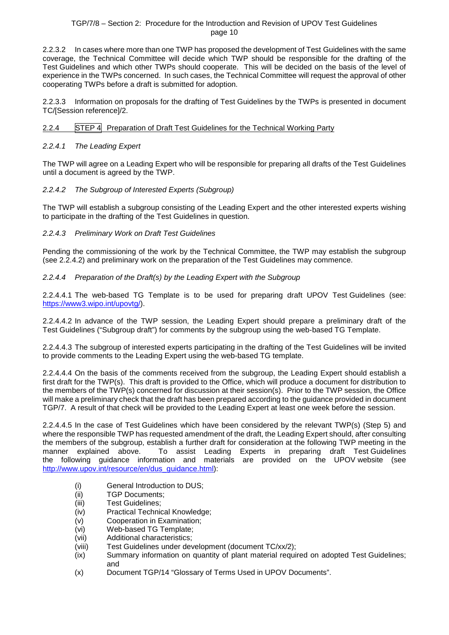2.2.3.2 In cases where more than one TWP has proposed the development of Test Guidelines with the same coverage, the Technical Committee will decide which TWP should be responsible for the drafting of the Test Guidelines and which other TWPs should cooperate. This will be decided on the basis of the level of experience in the TWPs concerned. In such cases, the Technical Committee will request the approval of other cooperating TWPs before a draft is submitted for adoption.

2.2.3.3 Information on proposals for the drafting of Test Guidelines by the TWPs is presented in document TC/[Session reference]/2.

# <span id="page-9-0"></span>2.2.4 STEP 4 Preparation of Draft Test Guidelines for the Technical Working Party

#### <span id="page-9-1"></span>*2.2.4.1 The Leading Expert*

The TWP will agree on a Leading Expert who will be responsible for preparing all drafts of the Test Guidelines until a document is agreed by the TWP.

# <span id="page-9-2"></span>*2.2.4.2 The Subgroup of Interested Experts (Subgroup)*

The TWP will establish a subgroup consisting of the Leading Expert and the other interested experts wishing to participate in the drafting of the Test Guidelines in question.

#### <span id="page-9-3"></span>*2.2.4.3 Preliminary Work on Draft Test Guidelines*

Pending the commissioning of the work by the Technical Committee, the TWP may establish the subgroup (see 2.2.4.2) and preliminary work on the preparation of the Test Guidelines may commence.

#### <span id="page-9-4"></span>*2.2.4.4 Preparation of the Draft(s) by the Leading Expert with the Subgroup*

2.2.4.4.1 The web-based TG Template is to be used for preparing draft UPOV Test Guidelines (see: [https://www3.wipo.int/upovtg/\)](https://www3.wipo.int/upovtg/).

2.2.4.4.2 In advance of the TWP session, the Leading Expert should prepare a preliminary draft of the Test Guidelines ("Subgroup draft") for comments by the subgroup using the web-based TG Template.

2.2.4.4.3 The subgroup of interested experts participating in the drafting of the Test Guidelines will be invited to provide comments to the Leading Expert using the web-based TG template.

2.2.4.4.4 On the basis of the comments received from the subgroup, the Leading Expert should establish a first draft for the TWP(s). This draft is provided to the Office, which will produce a document for distribution to the members of the TWP(s) concerned for discussion at their session(s). Prior to the TWP session, the Office will make a preliminary check that the draft has been prepared according to the guidance provided in document TGP/7. A result of that check will be provided to the Leading Expert at least one week before the session.

2.2.4.4.5 In the case of Test Guidelines which have been considered by the relevant TWP(s) (Step 5) and where the responsible TWP has requested amendment of the draft, the Leading Expert should, after consulting the members of the subgroup, establish a further draft for consideration at the following TWP meeting in the manner explained above. To assist Leading Experts in preparing draft Test Guidelines the following guidance information and materials are provided on the UPOV website (see http://www.upov.int/resource/en/dus\_quidance.html):

- (i) General Introduction to DUS;<br>(ii) TGP Documents:
- TGP Documents;
- (iii) Test Guidelines;
- (iv) Practical Technical Knowledge;
- (v) Cooperation in Examination;
- (vi) Web-based TG Template;
- (vii) Additional characteristics;
- (viii) Test Guidelines under development (document TC/xx/2);
- (ix) Summary information on quantity of plant material required on adopted Test Guidelines; and
- (x) Document TGP/14 "Glossary of Terms Used in UPOV Documents".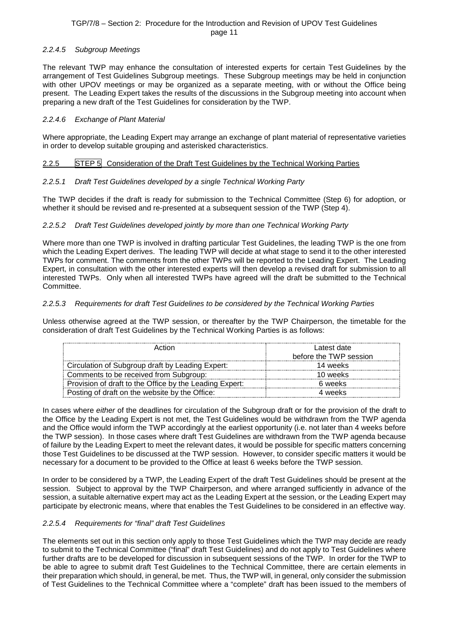# <span id="page-10-0"></span>*2.2.4.5 Subgroup Meetings*

The relevant TWP may enhance the consultation of interested experts for certain Test Guidelines by the arrangement of Test Guidelines Subgroup meetings. These Subgroup meetings may be held in conjunction with other UPOV meetings or may be organized as a separate meeting, with or without the Office being present. The Leading Expert takes the results of the discussions in the Subgroup meeting into account when preparing a new draft of the Test Guidelines for consideration by the TWP.

#### <span id="page-10-1"></span>*2.2.4.6 Exchange of Plant Material*

Where appropriate, the Leading Expert may arrange an exchange of plant material of representative varieties in order to develop suitable grouping and asterisked characteristics.

#### <span id="page-10-2"></span>2.2.5 STEP 5 Consideration of the Draft Test Guidelines by the Technical Working Parties

#### <span id="page-10-3"></span>*2.2.5.1 Draft Test Guidelines developed by a single Technical Working Party*

The TWP decides if the draft is ready for submission to the Technical Committee (Step 6) for adoption, or whether it should be revised and re-presented at a subsequent session of the TWP (Step 4).

#### <span id="page-10-4"></span>*2.2.5.2 Draft Test Guidelines developed jointly by more than one Technical Working Party*

Where more than one TWP is involved in drafting particular Test Guidelines, the leading TWP is the one from which the Leading Expert derives. The leading TWP will decide at what stage to send it to the other interested TWPs for comment. The comments from the other TWPs will be reported to the Leading Expert. The Leading Expert, in consultation with the other interested experts will then develop a revised draft for submission to all interested TWPs. Only when all interested TWPs have agreed will the draft be submitted to the Technical Committee.

#### <span id="page-10-5"></span>*2.2.5.3 Requirements for draft Test Guidelines to be considered by the Technical Working Parties*

Unless otherwise agreed at the TWP session, or thereafter by the TWP Chairperson, the timetable for the consideration of draft Test Guidelines by the Technical Working Parties is as follows:

| Action                                                  | Latest date<br>before the TWP session |
|---------------------------------------------------------|---------------------------------------|
| Circulation of Subgroup draft by Leading Expert:        | 14 weeks                              |
| Comments to be received from Subgroup:                  | 10 weeks                              |
| Provision of draft to the Office by the Leading Expert: | 6 weeks                               |
| Posting of draft on the website by the Office:          | 4 weeks                               |

In cases where *either* of the deadlines for circulation of the Subgroup draft or for the provision of the draft to the Office by the Leading Expert is not met, the Test Guidelines would be withdrawn from the TWP agenda and the Office would inform the TWP accordingly at the earliest opportunity (i.e. not later than 4 weeks before the TWP session). In those cases where draft Test Guidelines are withdrawn from the TWP agenda because of failure by the Leading Expert to meet the relevant dates, it would be possible for specific matters concerning those Test Guidelines to be discussed at the TWP session. However, to consider specific matters it would be necessary for a document to be provided to the Office at least 6 weeks before the TWP session.

In order to be considered by a TWP, the Leading Expert of the draft Test Guidelines should be present at the session. Subject to approval by the TWP Chairperson, and where arranged sufficiently in advance of the session, a suitable alternative expert may act as the Leading Expert at the session, or the Leading Expert may participate by electronic means, where that enables the Test Guidelines to be considered in an effective way.

#### <span id="page-10-6"></span>*2.2.5.4 Requirements for "final" draft Test Guidelines*

The elements set out in this section only apply to those Test Guidelines which the TWP may decide are ready to submit to the Technical Committee ("final" draft Test Guidelines) and do not apply to Test Guidelines where further drafts are to be developed for discussion in subsequent sessions of the TWP. In order for the TWP to be able to agree to submit draft Test Guidelines to the Technical Committee, there are certain elements in their preparation which should, in general, be met. Thus, the TWP will, in general, only consider the submission of Test Guidelines to the Technical Committee where a "complete" draft has been issued to the members of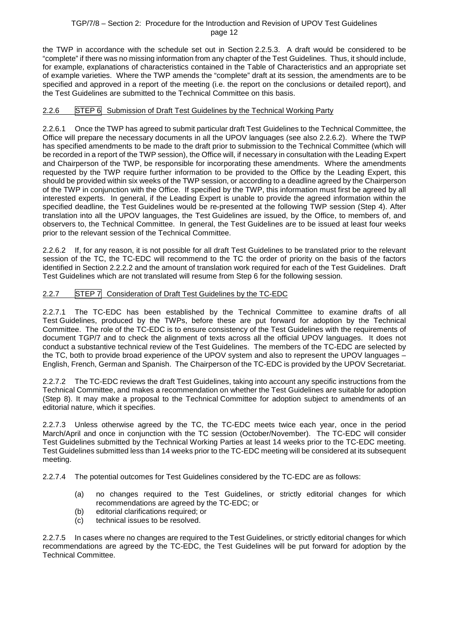the TWP in accordance with the schedule set out in Section 2.2.5.3. A draft would be considered to be "complete" if there was no missing information from any chapter of the Test Guidelines. Thus, it should include, for example, explanations of characteristics contained in the Table of Characteristics and an appropriate set of example varieties. Where the TWP amends the "complete" draft at its session, the amendments are to be specified and approved in a report of the meeting (i.e. the report on the conclusions or detailed report), and the Test Guidelines are submitted to the Technical Committee on this basis.

# <span id="page-11-0"></span>2.2.6 STEP 6 Submission of Draft Test Guidelines by the Technical Working Party

2.2.6.1 Once the TWP has agreed to submit particular draft Test Guidelines to the Technical Committee, the Office will prepare the necessary documents in all the UPOV languages (see also 2.2.6.2). Where the TWP has specified amendments to be made to the draft prior to submission to the Technical Committee (which will be recorded in a report of the TWP session), the Office will, if necessary in consultation with the Leading Expert and Chairperson of the TWP, be responsible for incorporating these amendments. Where the amendments requested by the TWP require further information to be provided to the Office by the Leading Expert, this should be provided within six weeks of the TWP session, or according to a deadline agreed by the Chairperson of the TWP in conjunction with the Office. If specified by the TWP, this information must first be agreed by all interested experts. In general, if the Leading Expert is unable to provide the agreed information within the specified deadline, the Test Guidelines would be re-presented at the following TWP session (Step 4). After translation into all the UPOV languages, the Test Guidelines are issued, by the Office, to members of, and observers to, the Technical Committee. In general, the Test Guidelines are to be issued at least four weeks prior to the relevant session of the Technical Committee.

2.2.6.2 If, for any reason, it is not possible for all draft Test Guidelines to be translated prior to the relevant session of the TC, the TC-EDC will recommend to the TC the order of priority on the basis of the factors identified in Section 2.2.2.2 and the amount of translation work required for each of the Test Guidelines. Draft Test Guidelines which are not translated will resume from Step 6 for the following session.

# <span id="page-11-1"></span>2.2.7 STEP 7 Consideration of Draft Test Guidelines by the TC-EDC

2.2.7.1 The TC-EDC has been established by the Technical Committee to examine drafts of all Test Guidelines, produced by the TWPs, before these are put forward for adoption by the Technical Committee. The role of the TC-EDC is to ensure consistency of the Test Guidelines with the requirements of document TGP/7 and to check the alignment of texts across all the official UPOV languages. It does not conduct a substantive technical review of the Test Guidelines. The members of the TC-EDC are selected by the TC, both to provide broad experience of the UPOV system and also to represent the UPOV languages – English, French, German and Spanish. The Chairperson of the TC-EDC is provided by the UPOV Secretariat.

2.2.7.2 The TC-EDC reviews the draft Test Guidelines, taking into account any specific instructions from the Technical Committee, and makes a recommendation on whether the Test Guidelines are suitable for adoption (Step 8). It may make a proposal to the Technical Committee for adoption subject to amendments of an editorial nature, which it specifies.

2.2.7.3 Unless otherwise agreed by the TC, the TC-EDC meets twice each year, once in the period March/April and once in conjunction with the TC session (October/November). The TC-EDC will consider Test Guidelines submitted by the Technical Working Parties at least 14 weeks prior to the TC-EDC meeting. Test Guidelines submitted less than 14 weeks prior to the TC-EDC meeting will be considered at its subsequent meeting.

2.2.7.4 The potential outcomes for Test Guidelines considered by the TC-EDC are as follows:

- (a) no changes required to the Test Guidelines, or strictly editorial changes for which recommendations are agreed by the TC-EDC; or
- (b) editorial clarifications required; or
- (c) technical issues to be resolved.

2.2.7.5 In cases where no changes are required to the Test Guidelines, or strictly editorial changes for which recommendations are agreed by the TC-EDC, the Test Guidelines will be put forward for adoption by the Technical Committee.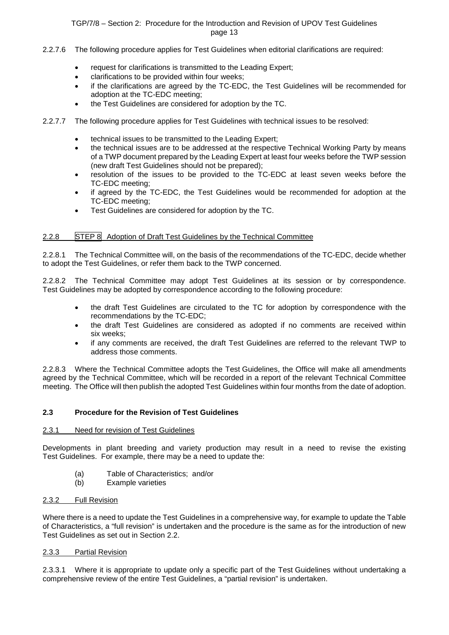- 2.2.7.6 The following procedure applies for Test Guidelines when editorial clarifications are required:
	- request for clarifications is transmitted to the Leading Expert;
	- clarifications to be provided within four weeks;
	- if the clarifications are agreed by the TC-EDC, the Test Guidelines will be recommended for adoption at the TC-EDC meeting;
	- the Test Guidelines are considered for adoption by the TC.
- 2.2.7.7 The following procedure applies for Test Guidelines with technical issues to be resolved:
	- technical issues to be transmitted to the Leading Expert;
	- the technical issues are to be addressed at the respective Technical Working Party by means of a TWP document prepared by the Leading Expert at least four weeks before the TWP session (new draft Test Guidelines should not be prepared);
	- resolution of the issues to be provided to the TC-EDC at least seven weeks before the TC-EDC meeting;
	- if agreed by the TC-EDC, the Test Guidelines would be recommended for adoption at the TC-EDC meeting;
	- Test Guidelines are considered for adoption by the TC.

# <span id="page-12-0"></span>2.2.8 STEP 8 Adoption of Draft Test Guidelines by the Technical Committee

2.2.8.1 The Technical Committee will, on the basis of the recommendations of the TC-EDC, decide whether to adopt the Test Guidelines, or refer them back to the TWP concerned.

2.2.8.2 The Technical Committee may adopt Test Guidelines at its session or by correspondence. Test Guidelines may be adopted by correspondence according to the following procedure:

- the draft Test Guidelines are circulated to the TC for adoption by correspondence with the recommendations by the TC-EDC;
- the draft Test Guidelines are considered as adopted if no comments are received within six weeks;
- if any comments are received, the draft Test Guidelines are referred to the relevant TWP to address those comments.

2.2.8.3 Where the Technical Committee adopts the Test Guidelines, the Office will make all amendments agreed by the Technical Committee, which will be recorded in a report of the relevant Technical Committee meeting. The Office will then publish the adopted Test Guidelines within four months from the date of adoption.

#### <span id="page-12-1"></span>**2.3 Procedure for the Revision of Test Guidelines**

#### <span id="page-12-2"></span>2.3.1 Need for revision of Test Guidelines

Developments in plant breeding and variety production may result in a need to revise the existing Test Guidelines. For example, there may be a need to update the:

- (a) Table of Characteristics; and/or<br>(b) Example varieties
- **Example varieties**

#### <span id="page-12-3"></span>2.3.2 Full Revision

Where there is a need to update the Test Guidelines in a comprehensive way, for example to update the Table of Characteristics, a "full revision" is undertaken and the procedure is the same as for the introduction of new Test Guidelines as set out in Section 2.2.

#### <span id="page-12-4"></span>2.3.3 Partial Revision

2.3.3.1 Where it is appropriate to update only a specific part of the Test Guidelines without undertaking a comprehensive review of the entire Test Guidelines, a "partial revision" is undertaken.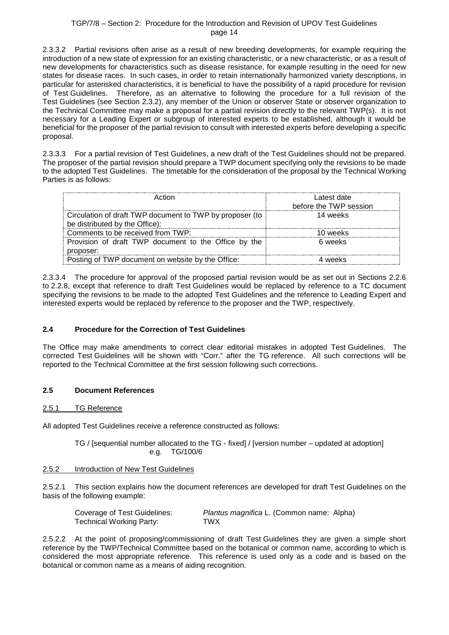2.3.3.2 Partial revisions often arise as a result of new breeding developments, for example requiring the introduction of a new state of expression for an existing characteristic, or a new characteristic, or as a result of new developments for characteristics such as disease resistance, for example resulting in the need for new states for disease races. In such cases, in order to retain internationally harmonized variety descriptions, in particular for asterisked characteristics, it is beneficial to have the possibility of a rapid procedure for revision of Test Guidelines. Therefore, as an alternative to following the procedure for a full revision of the Test Guidelines (see Section 2.3.2), any member of the Union or observer State or observer organization to the Technical Committee may make a proposal for a partial revision directly to the relevant TWP(s). It is not necessary for a Leading Expert or subgroup of interested experts to be established, although it would be beneficial for the proposer of the partial revision to consult with interested experts before developing a specific proposal.

2.3.3.3 For a partial revision of Test Guidelines, a new draft of the Test Guidelines should not be prepared. The proposer of the partial revision should prepare a TWP document specifying only the revisions to be made to the adopted Test Guidelines. The timetable for the consideration of the proposal by the Technical Working Parties is as follows:

| ∆rtinn                                                                                     | Latest date<br>before the TWP session |
|--------------------------------------------------------------------------------------------|---------------------------------------|
| Circulation of draft TWP document to TWP by proposer (to<br>be distributed by the Office): | 14 weeks                              |
| Comments to be received from TWP:                                                          | 10 weeks                              |
| Provision of draft TWP document to the Office by the<br>proposer:                          | 6 weeks                               |
| Posting of TWP document on website by the Office:                                          |                                       |

2.3.3.4 The procedure for approval of the proposed partial revision would be as set out in Sections 2.2.6 to 2.2.8, except that reference to draft Test Guidelines would be replaced by reference to a TC document specifying the revisions to be made to the adopted Test Guidelines and the reference to Leading Expert and interested experts would be replaced by reference to the proposer and the TWP, respectively.

# <span id="page-13-0"></span>**2.4 Procedure for the Correction of Test Guidelines**

The Office may make amendments to correct clear editorial mistakes in adopted Test Guidelines. The corrected Test Guidelines will be shown with "Corr." after the TG reference. All such corrections will be reported to the Technical Committee at the first session following such corrections.

# <span id="page-13-1"></span>**2.5 Document References**

# <span id="page-13-2"></span>2.5.1 TG Reference

All adopted Test Guidelines receive a reference constructed as follows:

TG / [sequential number allocated to the TG - fixed] / [version number – updated at adoption] e.g. TG/100/6

# <span id="page-13-3"></span>2.5.2 Introduction of New Test Guidelines

2.5.2.1 This section explains how the document references are developed for draft Test Guidelines on the basis of the following example:

| Coverage of Test Guidelines: | Plantus magnifica L. (Common name: Alpha) |  |
|------------------------------|-------------------------------------------|--|
| Technical Working Party:     | TWX                                       |  |

2.5.2.2 At the point of proposing/commissioning of draft Test Guidelines they are given a simple short reference by the TWP/Technical Committee based on the botanical or common name, according to which is considered the most appropriate reference. This reference is used only as a code and is based on the botanical or common name as a means of aiding recognition.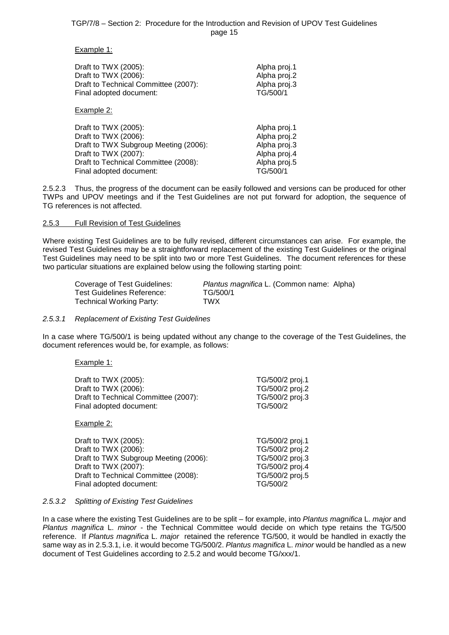#### Example 1:

| Draft to TWX (2005):                  | Alpha proj.1 |
|---------------------------------------|--------------|
| Draft to TWX (2006):                  | Alpha proj.2 |
| Draft to Technical Committee (2007):  | Alpha proj.3 |
| Final adopted document:               | TG/500/1     |
| Example 2:                            |              |
| Draft to TWX (2005):                  | Alpha proj.1 |
| Draft to TWX (2006):                  | Alpha proj.2 |
| Draft to TWX Subgroup Meeting (2006): | Alpha proj.3 |
| Draft to TWX (2007):                  | Alpha proj.4 |
| Draft to Technical Committee (2008):  | Alpha proj.5 |
| Final adopted document:               | TG/500/1     |

2.5.2.3 Thus, the progress of the document can be easily followed and versions can be produced for other TWPs and UPOV meetings and if the Test Guidelines are not put forward for adoption, the sequence of TG references is not affected.

#### <span id="page-14-0"></span>2.5.3 Full Revision of Test Guidelines

Where existing Test Guidelines are to be fully revised, different circumstances can arise. For example, the revised Test Guidelines may be a straightforward replacement of the existing Test Guidelines or the original Test Guidelines may need to be split into two or more Test Guidelines. The document references for these two particular situations are explained below using the following starting point:

| <b>Coverage of Test Guidelines:</b> | Plantus magnifica L. (Common name: Alpha) |
|-------------------------------------|-------------------------------------------|
| Test Guidelines Reference:          | TG/500/1                                  |
| <b>Technical Working Party:</b>     | TWX                                       |

#### <span id="page-14-1"></span>*2.5.3.1 Replacement of Existing Test Guidelines*

In a case where TG/500/1 is being updated without any change to the coverage of the Test Guidelines, the document references would be, for example, as follows:

Example 1:

| Draft to TWX (2005):                  | TG/500/2 proj.1 |
|---------------------------------------|-----------------|
| Draft to TWX (2006):                  | TG/500/2 proj.2 |
| Draft to Technical Committee (2007):  | TG/500/2 proj.3 |
| Final adopted document:               | TG/500/2        |
| <u>Example 2:</u>                     |                 |
| Draft to TWX (2005):                  | TG/500/2 proj.1 |
| Draft to TWX (2006):                  | TG/500/2 proj.2 |
| Draft to TWX Subgroup Meeting (2006): | TG/500/2 proj.3 |
| Draft to TWX (2007):                  | TG/500/2 proj.4 |
| Draft to Technical Committee (2008):  | TG/500/2 proj.5 |
| Final adopted document:               | TG/500/2        |

#### <span id="page-14-2"></span>*2.5.3.2 Splitting of Existing Test Guidelines*

In a case where the existing Test Guidelines are to be split – for example, into *Plantus magnifica* L. *major* and *Plantus magnifica* L. *minor -* the Technical Committee would decide on which type retains the TG/500 reference. If *Plantus magnifica* L. *major* retained the reference TG/500, it would be handled in exactly the same way as in 2.5.3.1, i.e. it would become TG/500/2. *Plantus magnifica* L. *minor* would be handled as a new document of Test Guidelines according to 2.5.2 and would become TG/xxx/1.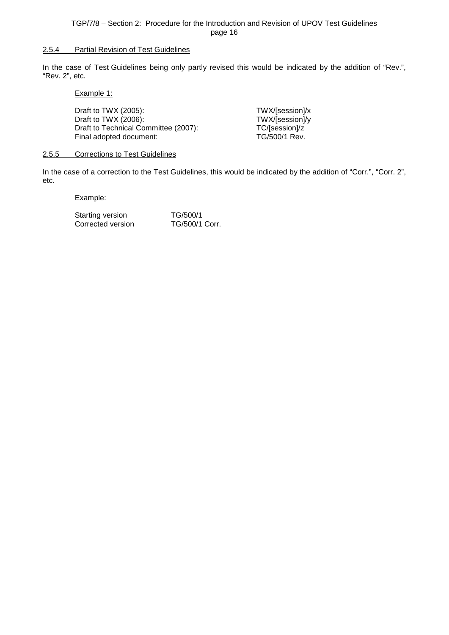#### <span id="page-15-0"></span>2.5.4 Partial Revision of Test Guidelines

In the case of Test Guidelines being only partly revised this would be indicated by the addition of "Rev.", "Rev. 2", etc.

Example 1:

| Draft to TWX $(2005)$ :<br>Draft to TWX (2006):<br>Draft to Technical Committee (2007): | TWX/[session]/x<br>TWX/[session]/y<br>TC/[session]/z |
|-----------------------------------------------------------------------------------------|------------------------------------------------------|
|                                                                                         |                                                      |
| Final adopted document:                                                                 | TG/500/1 Rev.                                        |

#### <span id="page-15-1"></span>2.5.5 Corrections to Test Guidelines

In the case of a correction to the Test Guidelines, this would be indicated by the addition of "Corr.", "Corr. 2", etc.

Example:

Starting version TG/500/1<br>Corrected version TG/500/1 Corr. Corrected version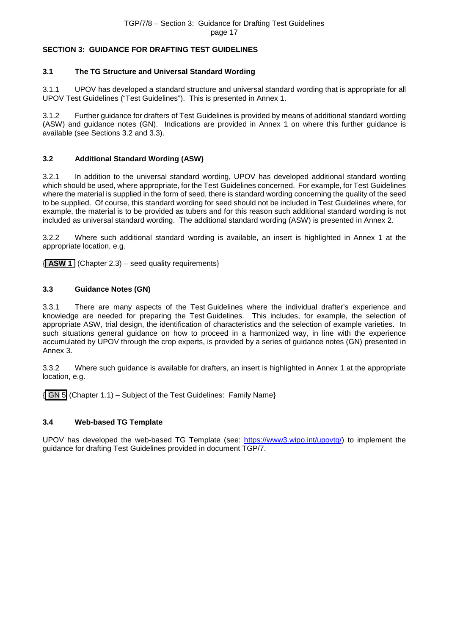# <span id="page-16-0"></span>**SECTION 3: GUIDANCE FOR DRAFTING TEST GUIDELINES**

# <span id="page-16-1"></span>**3.1 The TG Structure and Universal Standard Wording**

3.1.1 UPOV has developed a standard structure and universal standard wording that is appropriate for all UPOV Test Guidelines ("Test Guidelines"). This is presented in Annex 1.

3.1.2 Further guidance for drafters of Test Guidelines is provided by means of additional standard wording (ASW) and guidance notes (GN). Indications are provided in Annex 1 on where this further guidance is available (see Sections 3.2 and 3.3).

#### <span id="page-16-2"></span>**3.2 Additional Standard Wording (ASW)**

3.2.1 In addition to the universal standard wording, UPOV has developed additional standard wording which should be used, where appropriate, for the Test Guidelines concerned. For example, for Test Guidelines where the material is supplied in the form of seed, there is standard wording concerning the quality of the seed to be supplied. Of course, this standard wording for seed should not be included in Test Guidelines where, for example, the material is to be provided as tubers and for this reason such additional standard wording is not included as universal standard wording. The additional standard wording (ASW) is presented in Annex 2.

3.2.2 Where such additional standard wording is available, an insert is highlighted in Annex 1 at the appropriate location, e.g.

{ **ASW 1** (Chapter 2.3) – seed quality requirements}

#### <span id="page-16-3"></span>**3.3 Guidance Notes (GN)**

3.3.1 There are many aspects of the Test Guidelines where the individual drafter's experience and knowledge are needed for preparing the Test Guidelines. This includes, for example, the selection of appropriate ASW, trial design, the identification of characteristics and the selection of example varieties. In such situations general guidance on how to proceed in a harmonized way, in line with the experience accumulated by UPOV through the crop experts, is provided by a series of guidance notes (GN) presented in Annex 3.

3.3.2 Where such guidance is available for drafters, an insert is highlighted in Annex 1 at the appropriate location, e.g.

 $\{$  GN 5 (Chapter 1.1) – Subject of the Test Guidelines: Family Name $\}$ 

# <span id="page-16-4"></span>**3.4 Web-based TG Template**

UPOV has developed the web-based TG Template (see: [https://www3.wipo.int/upovtg/\)](https://www3.wipo.int/upovtg/) to implement the guidance for drafting Test Guidelines provided in document TGP/7.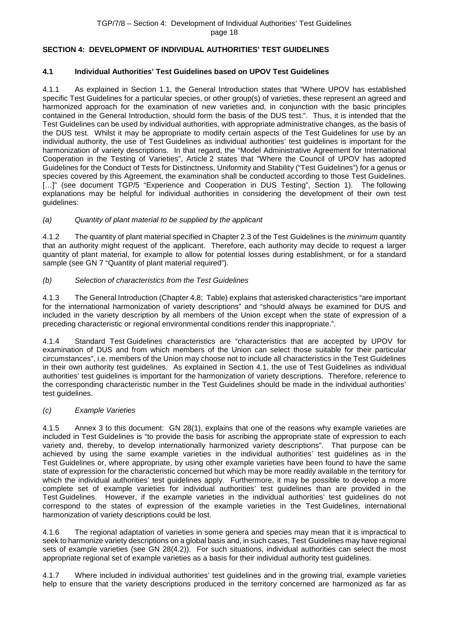# <span id="page-17-0"></span>**SECTION 4: DEVELOPMENT OF INDIVIDUAL AUTHORITIES' TEST GUIDELINES**

# <span id="page-17-1"></span>**4.1 Individual Authorities' Test Guidelines based on UPOV Test Guidelines**

4.1.1 As explained in Section 1.1, the General Introduction states that "Where UPOV has established specific Test Guidelines for a particular species, or other group(s) of varieties, these represent an agreed and harmonized approach for the examination of new varieties and, in conjunction with the basic principles contained in the General Introduction, should form the basis of the DUS test.". Thus, it is intended that the Test Guidelines can be used by individual authorities, with appropriate administrative changes, as the basis of the DUS test. Whilst it may be appropriate to modify certain aspects of the Test Guidelines for use by an individual authority, the use of Test Guidelines as individual authorities' test guidelines is important for the harmonization of variety descriptions. In that regard, the "Model Administrative Agreement for International Cooperation in the Testing of Varieties", Article 2 states that "Where the Council of UPOV has adopted Guidelines for the Conduct of Tests for Distinctness, Uniformity and Stability ("Test Guidelines") for a genus or species covered by this Agreement, the examination shall be conducted according to those Test Guidelines. [...]" (see document TGP/5 "Experience and Cooperation in DUS Testing", Section 1). The following explanations may be helpful for individual authorities in considering the development of their own test guidelines:

# *(a) Quantity of plant material to be supplied by the applicant*

4.1.2 The quantity of plant material specified in Chapter 2.3 of the Test Guidelines is the *minimum* quantity that an authority might request of the applicant. Therefore, each authority may decide to request a larger quantity of plant material, for example to allow for potential losses during establishment, or for a standard sample (see GN 7 "Quantity of plant material required").

# *(b) Selection of characteristics from the Test Guidelines*

4.1.3 The General Introduction (Chapter 4.8; Table) explains that asterisked characteristics "are important for the international harmonization of variety descriptions" and "should always be examined for DUS and included in the variety description by all members of the Union except when the state of expression of a preceding characteristic or regional environmental conditions render this inappropriate.".

4.1.4 Standard Test Guidelines characteristics are "characteristics that are accepted by UPOV for examination of DUS and from which members of the Union can select those suitable for their particular circumstances", i.e. members of the Union may choose not to include all characteristics in the Test Guidelines in their own authority test guidelines. As explained in Section 4.1, the use of Test Guidelines as individual authorities' test guidelines is important for the harmonization of variety descriptions. Therefore, reference to the corresponding characteristic number in the Test Guidelines should be made in the individual authorities' test guidelines.

# *(c) Example Varieties*

4.1.5 Annex 3 to this document: GN 28(1), explains that one of the reasons why example varieties are included in Test Guidelines is "to provide the basis for ascribing the appropriate state of expression to each variety and, thereby, to develop internationally harmonized variety descriptions". That purpose can be achieved by using the same example varieties in the individual authorities' test guidelines as in the Test Guidelines or, where appropriate, by using other example varieties have been found to have the same state of expression for the characteristic concerned but which may be more readily available in the territory for which the individual authorities' test guidelines apply. Furthermore, it may be possible to develop a more complete set of example varieties for individual authorities' test guidelines than are provided in the Test Guidelines. However, if the example varieties in the individual authorities' test guidelines do not correspond to the states of expression of the example varieties in the Test Guidelines, international harmonization of variety descriptions could be lost.

4.1.6 The regional adaptation of varieties in some genera and species may mean that it is impractical to seek to harmonize variety descriptions on a global basis and, in such cases, Test Guidelines may have regional sets of example varieties (see GN 28(4.2)). For such situations, individual authorities can select the most appropriate regional set of example varieties as a basis for their individual authority test guidelines.

4.1.7 Where included in individual authorities' test guidelines and in the growing trial, example varieties help to ensure that the variety descriptions produced in the territory concerned are harmonized as far as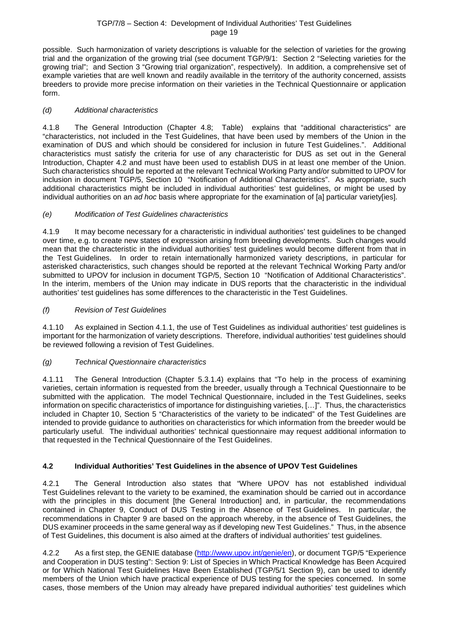#### TGP/7/8 – Section 4: Development of Individual Authorities' Test Guidelines page 19

possible. Such harmonization of variety descriptions is valuable for the selection of varieties for the growing trial and the organization of the growing trial (see document TGP/9/1: Section 2 "Selecting varieties for the growing trial"; and Section 3 "Growing trial organization", respectively). In addition, a comprehensive set of example varieties that are well known and readily available in the territory of the authority concerned, assists breeders to provide more precise information on their varieties in the Technical Questionnaire or application form.

# *(d) Additional characteristics*

4.1.8 The General Introduction (Chapter 4.8; Table) explains that "additional characteristics" are "characteristics, not included in the Test Guidelines, that have been used by members of the Union in the examination of DUS and which should be considered for inclusion in future Test Guidelines.". Additional characteristics must satisfy the criteria for use of any characteristic for DUS as set out in the General Introduction, Chapter 4.2 and must have been used to establish DUS in at least one member of the Union. Such characteristics should be reported at the relevant Technical Working Party and/or submitted to UPOV for inclusion in document TGP/5, Section 10 "Notification of Additional Characteristics". As appropriate, such additional characteristics might be included in individual authorities' test guidelines, or might be used by individual authorities on an *ad hoc* basis where appropriate for the examination of [a] particular variety[ies].

# *(e) Modification of Test Guidelines characteristics*

4.1.9 It may become necessary for a characteristic in individual authorities' test guidelines to be changed over time, e.g. to create new states of expression arising from breeding developments. Such changes would mean that the characteristic in the individual authorities' test guidelines would become different from that in the Test Guidelines. In order to retain internationally harmonized variety descriptions, in particular for asterisked characteristics, such changes should be reported at the relevant Technical Working Party and/or submitted to UPOV for inclusion in document TGP/5, Section 10 "Notification of Additional Characteristics". In the interim, members of the Union may indicate in DUS reports that the characteristic in the individual authorities' test guidelines has some differences to the characteristic in the Test Guidelines.

# *(f) Revision of Test Guidelines*

4.1.10 As explained in Section 4.1.1, the use of Test Guidelines as individual authorities' test guidelines is important for the harmonization of variety descriptions. Therefore, individual authorities' test guidelines should be reviewed following a revision of Test Guidelines.

# *(g) Technical Questionnaire characteristics*

4.1.11 The General Introduction (Chapter 5.3.1.4) explains that "To help in the process of examining varieties, certain information is requested from the breeder, usually through a Technical Questionnaire to be submitted with the application. The model Technical Questionnaire, included in the Test Guidelines, seeks information on specific characteristics of importance for distinguishing varieties, […]". Thus, the characteristics included in Chapter 10, Section 5 "Characteristics of the variety to be indicated" of the Test Guidelines are intended to provide guidance to authorities on characteristics for which information from the breeder would be particularly useful. The individual authorities' technical questionnaire may request additional information to that requested in the Technical Questionnaire of the Test Guidelines.

# <span id="page-18-0"></span>**4.2 Individual Authorities' Test Guidelines in the absence of UPOV Test Guidelines**

4.2.1 The General Introduction also states that "Where UPOV has not established individual Test Guidelines relevant to the variety to be examined, the examination should be carried out in accordance with the principles in this document [the General Introduction] and, in particular, the recommendations contained in Chapter 9, Conduct of DUS Testing in the Absence of Test Guidelines. In particular, the recommendations in Chapter 9 are based on the approach whereby, in the absence of Test Guidelines, the DUS examiner proceeds in the same general way as if developing new Test Guidelines." Thus, in the absence of Test Guidelines, this document is also aimed at the drafters of individual authorities' test guidelines.

4.2.2 As a first step, the GENIE database [\(http://www.upov.int/genie/en\)](http://www.upov.int/genie/en), or document TGP/5 "Experience and Cooperation in DUS testing": Section 9: List of Species in Which Practical Knowledge has Been Acquired or for Which National Test Guidelines Have Been Established (TGP/5/1 Section 9), can be used to identify members of the Union which have practical experience of DUS testing for the species concerned. In some cases, those members of the Union may already have prepared individual authorities' test guidelines which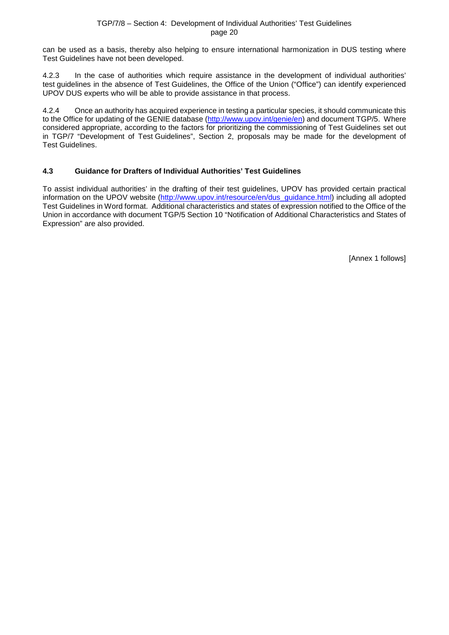can be used as a basis, thereby also helping to ensure international harmonization in DUS testing where Test Guidelines have not been developed.

4.2.3 In the case of authorities which require assistance in the development of individual authorities' test guidelines in the absence of Test Guidelines, the Office of the Union ("Office") can identify experienced UPOV DUS experts who will be able to provide assistance in that process.

4.2.4 Once an authority has acquired experience in testing a particular species, it should communicate this to the Office for updating of the GENIE database [\(http://www.upov.int/genie/en\)](http://www.upov.int/genie/en) and document TGP/5. Where considered appropriate, according to the factors for prioritizing the commissioning of Test Guidelines set out in TGP/7 "Development of Test Guidelines", Section 2, proposals may be made for the development of Test Guidelines.

# <span id="page-19-0"></span>**4.3 Guidance for Drafters of Individual Authorities' Test Guidelines**

To assist individual authorities' in the drafting of their test guidelines, UPOV has provided certain practical information on the UPOV website [\(http://www.upov.int/resource/en/dus\\_guidance.html\)](http://www.upov.int/resource/en/dus_guidance.html) including all adopted Test Guidelines in Word format. Additional characteristics and states of expression notified to the Office of the Union in accordance with document TGP/5 Section 10 "Notification of Additional Characteristics and States of Expression" are also provided.

[Annex 1 follows]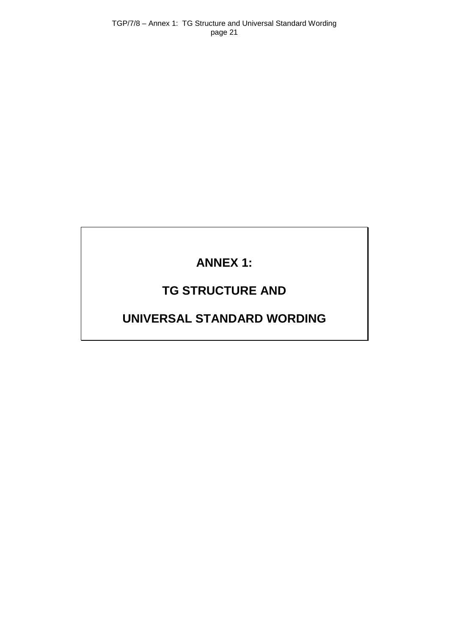# **ANNEX 1:**

# **TG STRUCTURE AND**

# <span id="page-20-0"></span>**UNIVERSAL STANDARD WORDING**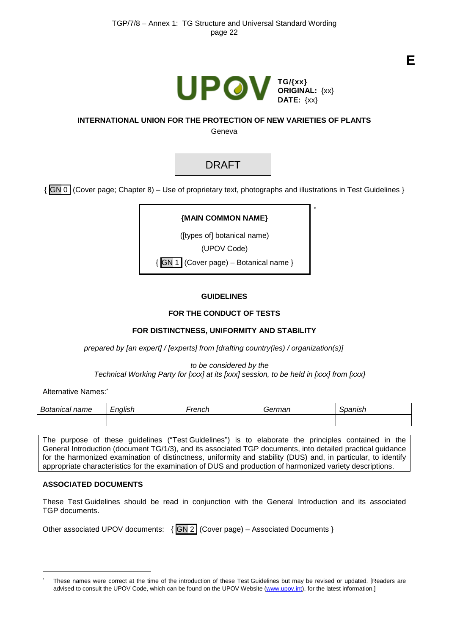

[\\*](#page-21-0)

# **INTERNATIONAL UNION FOR THE PROTECTION OF NEW VARIETIES OF PLANTS**

Geneva

# DRAFT

{ GN 0 (Cover page; Chapter 8) – Use of proprietary text, photographs and illustrations in Test Guidelines }

# **{MAIN COMMON NAME}**

([types of] botanical name)

(UPOV Code)

{ GN 1 (Cover page) – Botanical name }

# **GUIDELINES**

# **FOR THE CONDUCT OF TESTS**

# **FOR DISTINCTNESS, UNIFORMITY AND STABILITY**

*prepared by [an expert] / [experts] from [drafting country(ies) / organization(s)]* 

*to be considered by the Technical Working Party for [xxx] at its [xxx] session, to be held in [xxx] from [xxx}*

Alternative Names:

| Bota<br>name<br>$\cdots$<br>ш.аг | $\cdots$<br>$-$ nalic $-$<br>יש<br>-- | -rench | :arman<br>ча. | $-$ 0.000 $-$<br>. יוטוי |
|----------------------------------|---------------------------------------|--------|---------------|--------------------------|
|                                  |                                       |        |               |                          |

The purpose of these guidelines ("Test Guidelines") is to elaborate the principles contained in the General Introduction (document TG/1/3), and its associated TGP documents, into detailed practical guidance for the harmonized examination of distinctness, uniformity and stability (DUS) and, in particular, to identify appropriate characteristics for the examination of DUS and production of harmonized variety descriptions.

# **ASSOCIATED DOCUMENTS**

-

These Test Guidelines should be read in conjunction with the General Introduction and its associated TGP documents.

<span id="page-21-0"></span>These names were correct at the time of the introduction of these Test Guidelines but may be revised or updated. [Readers are advised to consult the UPOV Code, which can be found on the UPOV Website [\(www.upov.int\)](http://www.upov.int/), for the latest information.]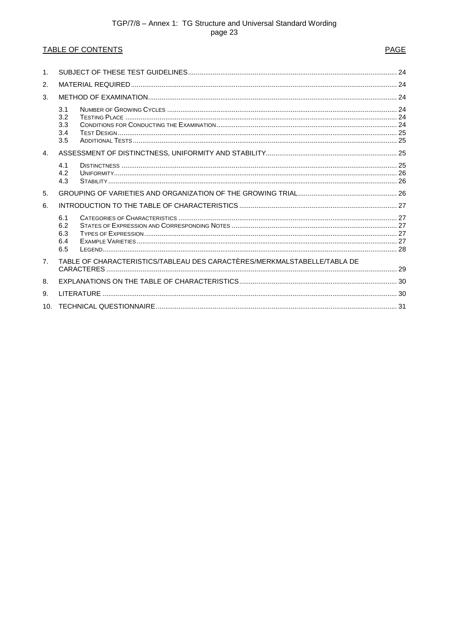# TABLE OF CONTENTS

# **PAGE**

| 1 <sub>1</sub> |                                                                          |  |  |  |  |  |
|----------------|--------------------------------------------------------------------------|--|--|--|--|--|
| 2.             |                                                                          |  |  |  |  |  |
| 3.             |                                                                          |  |  |  |  |  |
|                | 3.1<br>3.2<br>3.3<br>3.4<br>3.5                                          |  |  |  |  |  |
| 4.             |                                                                          |  |  |  |  |  |
|                | 4.1<br>4.2<br>4.3                                                        |  |  |  |  |  |
| 5.             |                                                                          |  |  |  |  |  |
| 6.             |                                                                          |  |  |  |  |  |
|                | 6.1<br>6.2<br>6.3<br>6.4<br>6.5                                          |  |  |  |  |  |
| 7 <sub>1</sub> | TABLE OF CHARACTERISTICS/TABLEAU DES CARACTÈRES/MERKMALSTABELLE/TABLA DE |  |  |  |  |  |
| 8.             |                                                                          |  |  |  |  |  |
| 9.             |                                                                          |  |  |  |  |  |
| 10.            |                                                                          |  |  |  |  |  |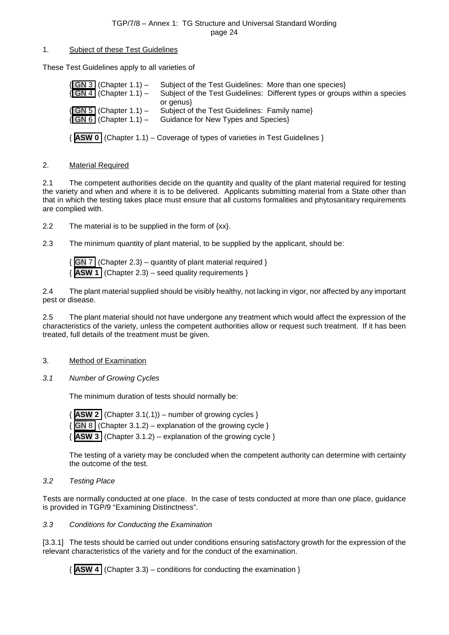#### <span id="page-23-0"></span>1. Subject of these Test Guidelines

These Test Guidelines apply to all varieties of

| $\{GN3$ (Chapter 1.1) –<br>$\sqrt{\text{GN }4}$ (Chapter 1.1) –   | Subject of the Test Guidelines: More than one species<br>Subject of the Test Guidelines: Different types or groups within a species |
|-------------------------------------------------------------------|-------------------------------------------------------------------------------------------------------------------------------------|
| $\{$ GN 5 (Chapter 1.1) –<br>$\sqrt{\text{GN }6}$ (Chapter 1.1) – | or genus<br>Subject of the Test Guidelines: Family name}<br>Guidance for New Types and Species}                                     |
|                                                                   | $\{$ ASW 0   (Chapter 1.1) – Coverage of types of varieties in Test Guidelines }                                                    |

#### <span id="page-23-1"></span>2. Material Required

2.1 The competent authorities decide on the quantity and quality of the plant material required for testing the variety and when and where it is to be delivered. Applicants submitting material from a State other than that in which the testing takes place must ensure that all customs formalities and phytosanitary requirements are complied with.

2.2 The material is to be supplied in the form of  $\{xx\}$ .

2.3 The minimum quantity of plant material, to be supplied by the applicant, should be:

 ${GN}$  7 (Chapter 2.3) – quantity of plant material required }  ${\bf ASW}$  **1** (Chapter 2.3) – seed quality requirements }

2.4 The plant material supplied should be visibly healthy, not lacking in vigor, nor affected by any important pest or disease.

2.5 The plant material should not have undergone any treatment which would affect the expression of the characteristics of the variety, unless the competent authorities allow or request such treatment. If it has been treated, full details of the treatment must be given.

# <span id="page-23-2"></span>3. Method of Examination

<span id="page-23-3"></span>*3.1 Number of Growing Cycles*

The minimum duration of tests should normally be:

 ${\bf ASW}$  **2** (Chapter 3.1(.1)) – number of growing cycles }  $\sqrt{GN8}$  (Chapter 3.1.2) – explanation of the growing cycle }  ${\bf ASW}$  **3** (Chapter 3.1.2) – explanation of the growing cycle }

The testing of a variety may be concluded when the competent authority can determine with certainty the outcome of the test.

# <span id="page-23-4"></span>*3.2 Testing Place*

Tests are normally conducted at one place. In the case of tests conducted at more than one place, guidance is provided in TGP/9 "Examining Distinctness".

#### <span id="page-23-5"></span>*3.3 Conditions for Conducting the Examination*

[3.3.1] The tests should be carried out under conditions ensuring satisfactory growth for the expression of the relevant characteristics of the variety and for the conduct of the examination.

{ **ASW 4** (Chapter 3.3) – conditions for conducting the examination }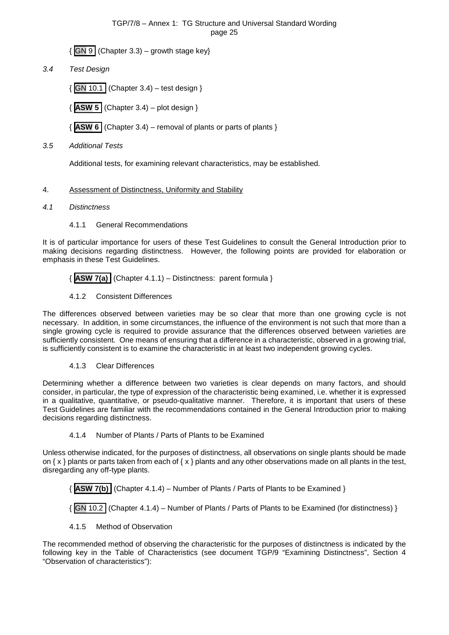${GN9}$  (Chapter 3.3) – growth stage key}

<span id="page-24-0"></span>*3.4 Test Design*

 $\{$  GN 10.1 (Chapter 3.4) – test design }

{ **ASW 5** (Chapter 3.4) – plot design }

{ **ASW 6** (Chapter 3.4) – removal of plants or parts of plants }

<span id="page-24-1"></span>*3.5 Additional Tests*

Additional tests, for examining relevant characteristics, may be established.

# <span id="page-24-2"></span>4. Assessment of Distinctness, Uniformity and Stability

- <span id="page-24-3"></span>*4.1 Distinctness* 
	- 4.1.1 General Recommendations

It is of particular importance for users of these Test Guidelines to consult the General Introduction prior to making decisions regarding distinctness. However, the following points are provided for elaboration or emphasis in these Test Guidelines.

{ **ASW 7(a)** (Chapter 4.1.1) – Distinctness: parent formula }

4.1.2 Consistent Differences

The differences observed between varieties may be so clear that more than one growing cycle is not necessary. In addition, in some circumstances, the influence of the environment is not such that more than a single growing cycle is required to provide assurance that the differences observed between varieties are sufficiently consistent. One means of ensuring that a difference in a characteristic, observed in a growing trial, is sufficiently consistent is to examine the characteristic in at least two independent growing cycles.

4.1.3 Clear Differences

Determining whether a difference between two varieties is clear depends on many factors, and should consider, in particular, the type of expression of the characteristic being examined, i.e. whether it is expressed in a qualitative, quantitative, or pseudo-qualitative manner. Therefore, it is important that users of these Test Guidelines are familiar with the recommendations contained in the General Introduction prior to making decisions regarding distinctness.

# 4.1.4 Number of Plants / Parts of Plants to be Examined

Unless otherwise indicated, for the purposes of distinctness, all observations on single plants should be made on  $\{x\}$  plants or parts taken from each of  $\{x\}$  plants and any other observations made on all plants in the test, disregarding any off-type plants.

{ **ASW 7(b)** (Chapter 4.1.4) – Number of Plants / Parts of Plants to be Examined }

 $|{\sf GN} 10.2|$  (Chapter 4.1.4) – Number of Plants / Parts of Plants to be Examined (for distinctness) }

4.1.5 Method of Observation

The recommended method of observing the characteristic for the purposes of distinctness is indicated by the following key in the Table of Characteristics (see document TGP/9 "Examining Distinctness", Section 4 "Observation of characteristics"):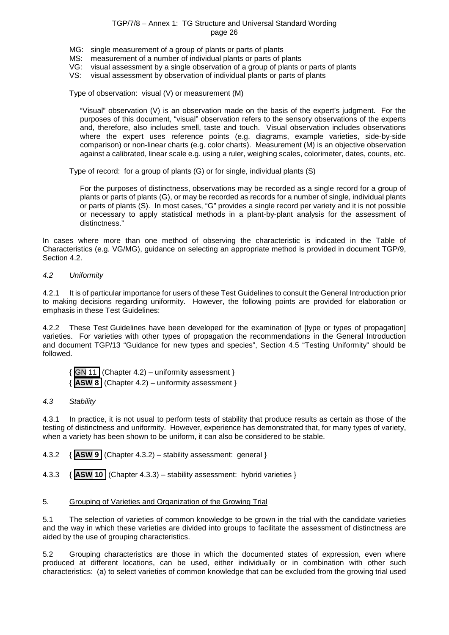- MG: single measurement of a group of plants or parts of plants
- MS: measurement of a number of individual plants or parts of plants<br>VG: visual assessment by a single observation of a group of plants of
- VG: visual assessment by a single observation of a group of plants or parts of plants<br>VS: visual assessment by observation of individual plants or parts of plants
- visual assessment by observation of individual plants or parts of plants

Type of observation: visual (V) or measurement (M)

"Visual" observation (V) is an observation made on the basis of the expert's judgment. For the purposes of this document, "visual" observation refers to the sensory observations of the experts and, therefore, also includes smell, taste and touch. Visual observation includes observations where the expert uses reference points (e.g. diagrams, example varieties, side-by-side comparison) or non-linear charts (e.g. color charts). Measurement (M) is an objective observation against a calibrated, linear scale e.g. using a ruler, weighing scales, colorimeter, dates, counts, etc.

Type of record: for a group of plants (G) or for single, individual plants (S)

For the purposes of distinctness, observations may be recorded as a single record for a group of plants or parts of plants (G), or may be recorded as records for a number of single, individual plants or parts of plants (S). In most cases, "G" provides a single record per variety and it is not possible or necessary to apply statistical methods in a plant-by-plant analysis for the assessment of distinctness."

In cases where more than one method of observing the characteristic is indicated in the Table of Characteristics (e.g. VG/MG), guidance on selecting an appropriate method is provided in document TGP/9, Section 4.2.

#### <span id="page-25-0"></span>*4.2 Uniformity*

4.2.1 It is of particular importance for users of these Test Guidelines to consult the General Introduction prior to making decisions regarding uniformity. However, the following points are provided for elaboration or emphasis in these Test Guidelines:

4.2.2 These Test Guidelines have been developed for the examination of [type or types of propagation] varieties. For varieties with other types of propagation the recommendations in the General Introduction and document TGP/13 "Guidance for new types and species", Section 4.5 "Testing Uniformity" should be followed.

 $|GN 11|$  (Chapter 4.2) – uniformity assessment } { **ASW 8** (Chapter 4.2) – uniformity assessment }

#### <span id="page-25-1"></span>*4.3 Stability*

4.3.1 In practice, it is not usual to perform tests of stability that produce results as certain as those of the testing of distinctness and uniformity. However, experience has demonstrated that, for many types of variety, when a variety has been shown to be uniform, it can also be considered to be stable.

- 4.3.2 { **ASW 9** (Chapter 4.3.2) stability assessment: general }
- 4.3.3 { **ASW 10** (Chapter 4.3.3) stability assessment: hybrid varieties }

# <span id="page-25-2"></span>5. Grouping of Varieties and Organization of the Growing Trial

5.1 The selection of varieties of common knowledge to be grown in the trial with the candidate varieties and the way in which these varieties are divided into groups to facilitate the assessment of distinctness are aided by the use of grouping characteristics.

5.2 Grouping characteristics are those in which the documented states of expression, even where produced at different locations, can be used, either individually or in combination with other such characteristics: (a) to select varieties of common knowledge that can be excluded from the growing trial used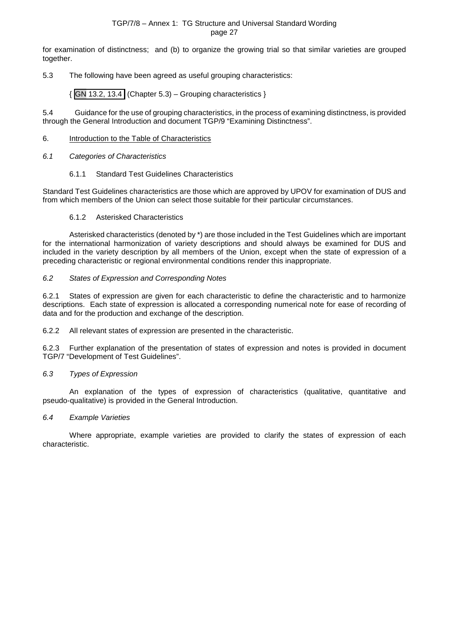for examination of distinctness; and (b) to organize the growing trial so that similar varieties are grouped together.

# 5.3 The following have been agreed as useful grouping characteristics:

 $\{$  GN 13.2, 13.4 (Chapter 5.3) – Grouping characteristics  $\}$ 

5.4 Guidance for the use of grouping characteristics, in the process of examining distinctness, is provided through the General Introduction and document TGP/9 "Examining Distinctness".

#### <span id="page-26-0"></span>6. Introduction to the Table of Characteristics

#### <span id="page-26-1"></span>*6.1 Categories of Characteristics*

#### 6.1.1 Standard Test Guidelines Characteristics

Standard Test Guidelines characteristics are those which are approved by UPOV for examination of DUS and from which members of the Union can select those suitable for their particular circumstances.

#### 6.1.2 Asterisked Characteristics

Asterisked characteristics (denoted by \*) are those included in the Test Guidelines which are important for the international harmonization of variety descriptions and should always be examined for DUS and included in the variety description by all members of the Union, except when the state of expression of a preceding characteristic or regional environmental conditions render this inappropriate.

#### <span id="page-26-2"></span>*6.2 States of Expression and Corresponding Notes*

6.2.1 States of expression are given for each characteristic to define the characteristic and to harmonize descriptions. Each state of expression is allocated a corresponding numerical note for ease of recording of data and for the production and exchange of the description.

6.2.2 All relevant states of expression are presented in the characteristic.

6.2.3 Further explanation of the presentation of states of expression and notes is provided in document TGP/7 "Development of Test Guidelines".

# <span id="page-26-3"></span>*6.3 Types of Expression*

An explanation of the types of expression of characteristics (qualitative, quantitative and pseudo-qualitative) is provided in the General Introduction.

#### <span id="page-26-4"></span>*6.4 Example Varieties*

Where appropriate, example varieties are provided to clarify the states of expression of each characteristic.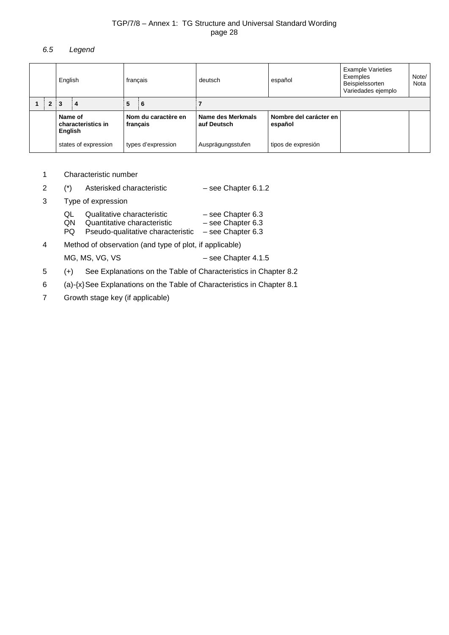# <span id="page-27-0"></span>*6.5 Legend*

|                                          | français<br>English |                      | deutsch                         | español                          | <b>Example Varieties</b><br>Exemples<br>Beispielssorten<br>Variedades ejemplo | Note/<br>Nota      |  |  |
|------------------------------------------|---------------------|----------------------|---------------------------------|----------------------------------|-------------------------------------------------------------------------------|--------------------|--|--|
|                                          | $2 \mid 3$          | 4                    | 5                               | -6                               |                                                                               |                    |  |  |
| Name of<br>characteristics in<br>English |                     |                      | Nom du caractère en<br>français | Name des Merkmals<br>auf Deutsch | Nombre del carácter en<br>español                                             |                    |  |  |
|                                          |                     | states of expression |                                 | types d'expression               | Ausprägungsstufen                                                             | tipos de expresión |  |  |

- 1 Characteristic number
- 2 (\*) Asterisked characteristic see Chapter 6.1.2
- 3 Type of expression

| QL | Qualitative characteristic | $-$ see Chapter 6.3 |
|----|----------------------------|---------------------|
|    |                            |                     |

- QN Quantitative characteristic see Chapter 6.3
- PQ Pseudo-qualitative characteristic see Chapter 6.3
- 4 Method of observation (and type of plot, if applicable)

- MG, MS, VG, VS
<br>  $-$  see Chapter 4.1.5
- 5 (+) See Explanations on the Table of Characteristics in Chapter 8.2
- 6 (a)-{x}See Explanations on the Table of Characteristics in Chapter 8.1
- 7 Growth stage key (if applicable)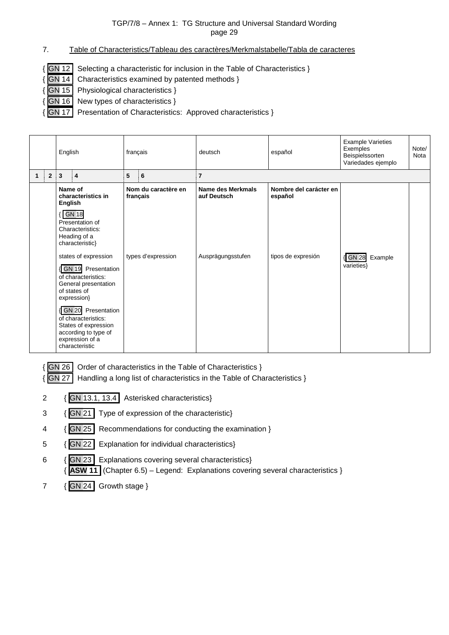- <span id="page-28-0"></span>7. Table of Characteristics/Tableau des caractères/Merkmalstabelle/Tabla de caracteres
- $\{$  GN 12 Selecting a characteristic for inclusion in the Table of Characteristics }
- { GN 14 Characteristics examined by patented methods }
- { GN 15 Physiological characteristics }
- { GN 16 New types of characteristics }
- { GN 17 Presentation of Characteristics: Approved characteristics }

|              |                | English                                                                                                                                               |                                                                                                                                       | français          |                     | deutsch                          | español                           | <b>Example Varieties</b><br>Exemples<br>Beispielssorten<br>Variedades ejemplo | Note/<br>Nota |
|--------------|----------------|-------------------------------------------------------------------------------------------------------------------------------------------------------|---------------------------------------------------------------------------------------------------------------------------------------|-------------------|---------------------|----------------------------------|-----------------------------------|-------------------------------------------------------------------------------|---------------|
| $\mathbf{1}$ | $\overline{2}$ | 3                                                                                                                                                     | $\overline{\mathbf{4}}$                                                                                                               | 5<br>6            |                     | $\overline{7}$                   |                                   |                                                                               |               |
|              |                | Name of<br>English                                                                                                                                    | characteristics in<br><b>GN 18</b><br>Presentation of<br>Characteristics:<br>Heading of a<br>characteristic}                          | français          | Nom du caractère en | Name des Merkmals<br>auf Deutsch | Nombre del carácter en<br>español |                                                                               |               |
|              |                | types d'expression<br>states of expression<br><b>GN 19</b> Presentation<br>of characteristics:<br>General presentation<br>of states of<br>expression} |                                                                                                                                       | Ausprägungsstufen | tipos de expresión  | { GN 28<br>Example<br>varieties} |                                   |                                                                               |               |
|              |                |                                                                                                                                                       | <b>GN 20</b> Presentation<br>of characteristics:<br>States of expression<br>according to type of<br>expression of a<br>characteristic |                   |                     |                                  |                                   |                                                                               |               |

- { GN 26 Order of characteristics in the Table of Characteristics }
- { GN 27 Handling a long list of characteristics in the Table of Characteristics }
- 2 { GN 13.1, 13.4 Asterisked characteristics}
- 3 { GN 21 Type of expression of the characteristic}
- 4 { GN 25 Recommendations for conducting the examination }
- 5 { GN 22 Explanation for individual characteristics}
- 6 { GN 23 Explanations covering several characteristics} { **ASW 11** (Chapter 6.5) – Legend: Explanations covering several characteristics }
- 7 { GN 24 Growth stage }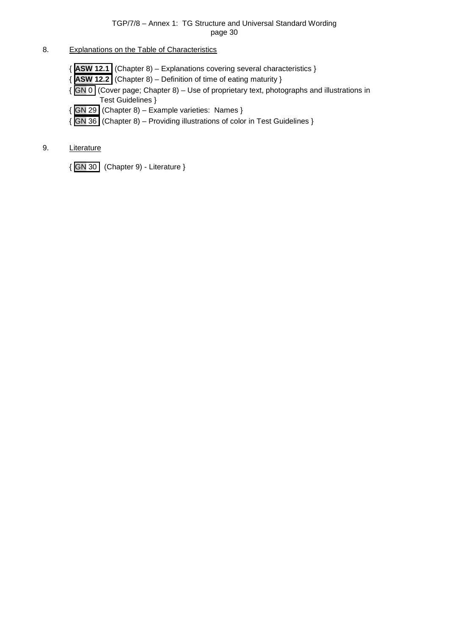# <span id="page-29-0"></span>8. Explanations on the Table of Characteristics

- { **ASW 12.1** (Chapter 8) Explanations covering several characteristics }
- { **ASW 12.2** (Chapter 8) Definition of time of eating maturity }
- { GN 0 (Cover page; Chapter 8) Use of proprietary text, photographs and illustrations in Test Guidelines }
- { GN 29 (Chapter 8) Example varieties: Names }
- { GN 36 (Chapter 8) Providing illustrations of color in Test Guidelines }

# <span id="page-29-1"></span>9. Literature

{ GN 30 (Chapter 9) - Literature }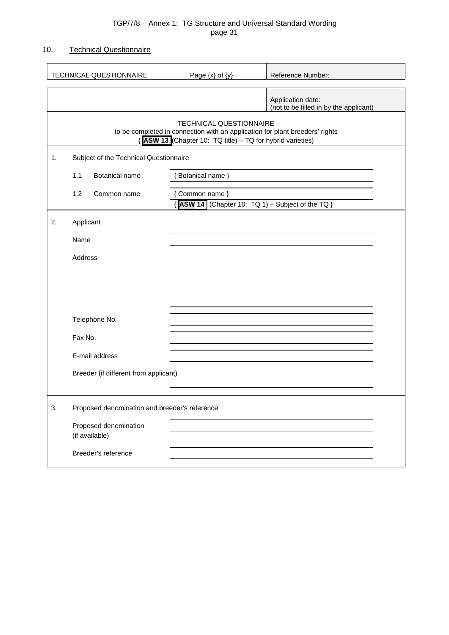# <span id="page-30-0"></span>10. Technical Questionnaire

|    | TECHNICAL QUESTIONNAIRE                       | Page $\{x\}$ of $\{y\}$                                                                                                                                                      | Reference Number:                                           |
|----|-----------------------------------------------|------------------------------------------------------------------------------------------------------------------------------------------------------------------------------|-------------------------------------------------------------|
|    |                                               |                                                                                                                                                                              | Application date:<br>(not to be filled in by the applicant) |
|    |                                               | <b>TECHNICAL QUESTIONNAIRE</b><br>to be completed in connection with an application for plant breeders' rights<br>{ ASW 13 (Chapter 10: TQ title) - TQ for hybrid varieties} |                                                             |
| 1. | Subject of the Technical Questionnaire        |                                                                                                                                                                              |                                                             |
|    | 1.1<br>Botanical name                         | { Botanical name }                                                                                                                                                           |                                                             |
|    | 1.2<br>Common name                            | { Common name }<br>{ ASW 14 (Chapter 10: TQ 1) - Subject of the TQ }                                                                                                         |                                                             |
| 2. | Applicant                                     |                                                                                                                                                                              |                                                             |
|    | Name                                          |                                                                                                                                                                              |                                                             |
|    | Address                                       |                                                                                                                                                                              |                                                             |
|    |                                               |                                                                                                                                                                              |                                                             |
|    | Telephone No.                                 |                                                                                                                                                                              |                                                             |
|    | Fax No.                                       |                                                                                                                                                                              |                                                             |
|    | E-mail address                                |                                                                                                                                                                              |                                                             |
|    | Breeder (if different from applicant)         |                                                                                                                                                                              |                                                             |
| 3. | Proposed denomination and breeder's reference |                                                                                                                                                                              |                                                             |
|    | Proposed denomination<br>(if available)       |                                                                                                                                                                              |                                                             |
|    | Breeder's reference                           |                                                                                                                                                                              |                                                             |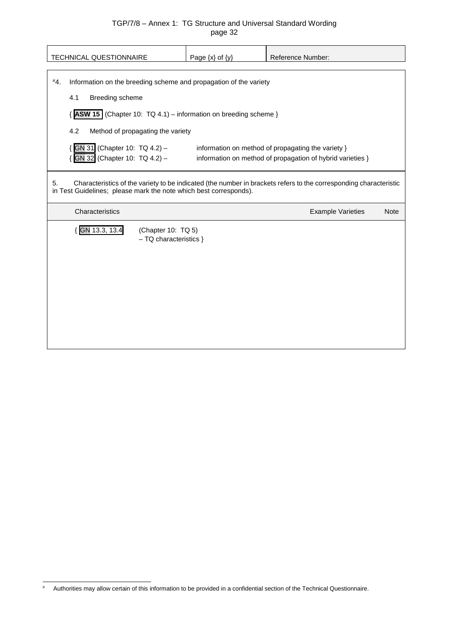| TECHNICAL QUESTIONNAIRE                                                  | Page $\{x\}$ of $\{y\}$                 | Reference Number:                                                                                                 |  |  |  |  |
|--------------------------------------------------------------------------|-----------------------------------------|-------------------------------------------------------------------------------------------------------------------|--|--|--|--|
| #4.<br>Information on the breeding scheme and propagation of the variety |                                         |                                                                                                                   |  |  |  |  |
| 4.1<br>Breeding scheme                                                   |                                         |                                                                                                                   |  |  |  |  |
| $\{$ ASW 15 (Chapter 10: TQ 4.1) – information on breeding scheme }      |                                         |                                                                                                                   |  |  |  |  |
| 4.2<br>Method of propagating the variety                                 |                                         |                                                                                                                   |  |  |  |  |
| GN 31 (Chapter 10: TQ 4.2) -                                             |                                         | information on method of propagating the variety }                                                                |  |  |  |  |
| GN 32 (Chapter 10: TQ 4.2) -                                             |                                         | information on method of propagation of hybrid varieties }                                                        |  |  |  |  |
| 5.<br>in Test Guidelines; please mark the note which best corresponds).  |                                         | Characteristics of the variety to be indicated (the number in brackets refers to the corresponding characteristic |  |  |  |  |
| Characteristics                                                          | <b>Example Varieties</b><br><b>Note</b> |                                                                                                                   |  |  |  |  |
|                                                                          |                                         |                                                                                                                   |  |  |  |  |
| GN 13.3, 13.4<br>(Chapter 10: TQ 5)<br>$-$ TQ characteristics $\}$       |                                         |                                                                                                                   |  |  |  |  |

<span id="page-31-0"></span> <sup>#</sup> Authorities may allow certain of this information to be provided in a confidential section of the Technical Questionnaire.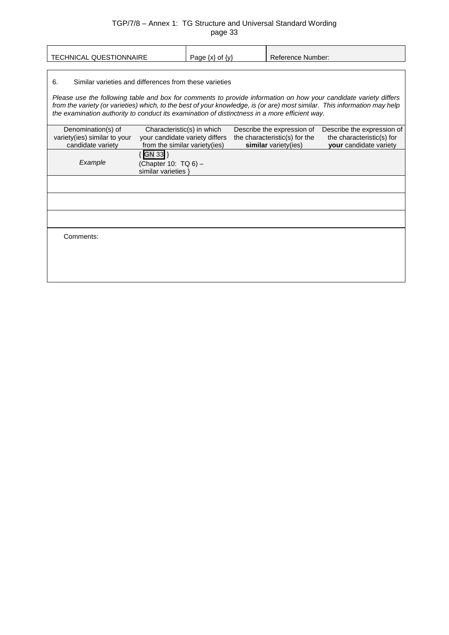| <b>TECHNICAL QUESTIONNAIRE</b>                                                                                                                                                                                                                                                                                                                                                                                 | Page $\{x\}$ of $\{y\}$                                                                       |  | <b>Reference Number:</b> |                                                                                     |                                                                                   |  |
|----------------------------------------------------------------------------------------------------------------------------------------------------------------------------------------------------------------------------------------------------------------------------------------------------------------------------------------------------------------------------------------------------------------|-----------------------------------------------------------------------------------------------|--|--------------------------|-------------------------------------------------------------------------------------|-----------------------------------------------------------------------------------|--|
| Similar varieties and differences from these varieties<br>6.<br>Please use the following table and box for comments to provide information on how your candidate variety differs<br>from the variety (or varieties) which, to the best of your knowledge, is (or are) most similar. This information may help<br>the examination authority to conduct its examination of distinctness in a more efficient way. |                                                                                               |  |                          |                                                                                     |                                                                                   |  |
| Denomination(s) of<br>variety(ies) similar to your<br>candidate variety                                                                                                                                                                                                                                                                                                                                        | Characteristic(s) in which<br>your candidate variety differs<br>from the similar variety(ies) |  |                          | Describe the expression of<br>the characteristic(s) for the<br>similar variety(ies) | Describe the expression of<br>the characteristic(s) for<br>your candidate variety |  |
| Example                                                                                                                                                                                                                                                                                                                                                                                                        | GN 33 }<br>(Chapter 10: TQ 6) -<br>similar varieties }                                        |  |                          |                                                                                     |                                                                                   |  |
|                                                                                                                                                                                                                                                                                                                                                                                                                |                                                                                               |  |                          |                                                                                     |                                                                                   |  |
| Comments:                                                                                                                                                                                                                                                                                                                                                                                                      |                                                                                               |  |                          |                                                                                     |                                                                                   |  |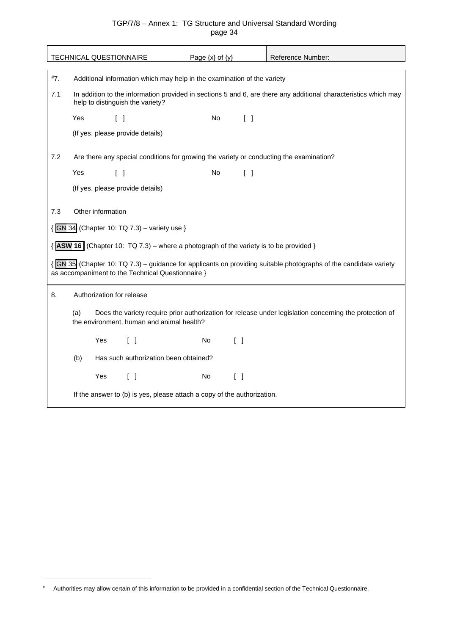|     |                                                                                         | TECHNICAL QUESTIONNAIRE                                                                                                                             |                                                                                          | Page $\{x\}$ of $\{y\}$ |                                   | Reference Number:                                                                                                 |  |  |  |
|-----|-----------------------------------------------------------------------------------------|-----------------------------------------------------------------------------------------------------------------------------------------------------|------------------------------------------------------------------------------------------|-------------------------|-----------------------------------|-------------------------------------------------------------------------------------------------------------------|--|--|--|
|     |                                                                                         |                                                                                                                                                     |                                                                                          |                         |                                   |                                                                                                                   |  |  |  |
| #7. |                                                                                         |                                                                                                                                                     | Additional information which may help in the examination of the variety                  |                         |                                   |                                                                                                                   |  |  |  |
| 7.1 |                                                                                         | In addition to the information provided in sections 5 and 6, are there any additional characteristics which may<br>help to distinguish the variety? |                                                                                          |                         |                                   |                                                                                                                   |  |  |  |
|     | Yes                                                                                     | $\begin{bmatrix} 1 \end{bmatrix}$                                                                                                                   |                                                                                          | No                      | $\begin{bmatrix} 1 \end{bmatrix}$ |                                                                                                                   |  |  |  |
|     |                                                                                         |                                                                                                                                                     | (If yes, please provide details)                                                         |                         |                                   |                                                                                                                   |  |  |  |
| 7.2 | Are there any special conditions for growing the variety or conducting the examination? |                                                                                                                                                     |                                                                                          |                         |                                   |                                                                                                                   |  |  |  |
|     | Yes                                                                                     | $\begin{bmatrix} \end{bmatrix}$                                                                                                                     |                                                                                          | No.                     | $\begin{bmatrix} \end{bmatrix}$   |                                                                                                                   |  |  |  |
|     |                                                                                         |                                                                                                                                                     | (If yes, please provide details)                                                         |                         |                                   |                                                                                                                   |  |  |  |
| 7.3 |                                                                                         | Other information                                                                                                                                   |                                                                                          |                         |                                   |                                                                                                                   |  |  |  |
|     |                                                                                         |                                                                                                                                                     | { GN 34 (Chapter 10: TQ 7.3) - variety use }                                             |                         |                                   |                                                                                                                   |  |  |  |
|     |                                                                                         |                                                                                                                                                     | $\{$ ASW 16 (Chapter 10: TQ 7.3) – where a photograph of the variety is to be provided } |                         |                                   |                                                                                                                   |  |  |  |
|     |                                                                                         |                                                                                                                                                     | as accompaniment to the Technical Questionnaire }                                        |                         |                                   | { GN 35 (Chapter 10: TQ 7.3) – guidance for applicants on providing suitable photographs of the candidate variety |  |  |  |
| 8.  |                                                                                         | Authorization for release                                                                                                                           |                                                                                          |                         |                                   |                                                                                                                   |  |  |  |
|     | (a)                                                                                     |                                                                                                                                                     | the environment, human and animal health?                                                |                         |                                   | Does the variety require prior authorization for release under legislation concerning the protection of           |  |  |  |
|     |                                                                                         | Yes                                                                                                                                                 | $\lceil$ $\rceil$                                                                        | No.                     | $\lceil$ $\rceil$                 |                                                                                                                   |  |  |  |
|     | (b)                                                                                     |                                                                                                                                                     | Has such authorization been obtained?                                                    |                         |                                   |                                                                                                                   |  |  |  |
|     |                                                                                         | Yes                                                                                                                                                 | $\begin{bmatrix} \end{bmatrix}$                                                          | No                      | $\begin{bmatrix} \end{bmatrix}$   |                                                                                                                   |  |  |  |
|     |                                                                                         |                                                                                                                                                     | If the answer to (b) is yes, please attach a copy of the authorization.                  |                         |                                   |                                                                                                                   |  |  |  |

-

<span id="page-33-0"></span><sup>#</sup> Authorities may allow certain of this information to be provided in a confidential section of the Technical Questionnaire.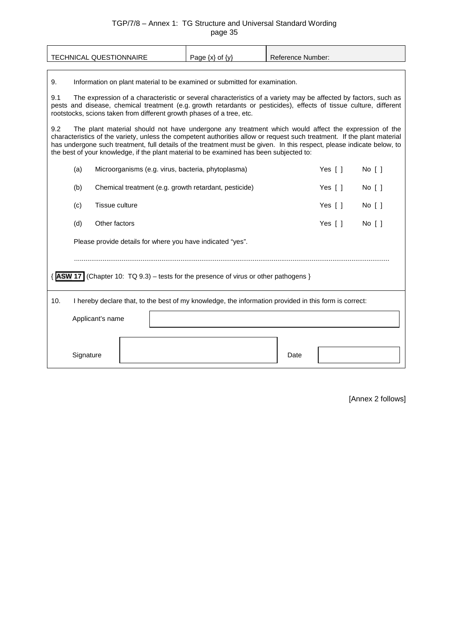| <b>TECHNICAL QUESTIONNAIRE</b>                                                                                                                                                                                                                                                                                                                                                                                                                            | Page $\{x\}$ of $\{y\}$                                                                               | <b>Reference Number:</b>          |  |  |  |  |  |
|-----------------------------------------------------------------------------------------------------------------------------------------------------------------------------------------------------------------------------------------------------------------------------------------------------------------------------------------------------------------------------------------------------------------------------------------------------------|-------------------------------------------------------------------------------------------------------|-----------------------------------|--|--|--|--|--|
| 9.<br>Information on plant material to be examined or submitted for examination.                                                                                                                                                                                                                                                                                                                                                                          |                                                                                                       |                                   |  |  |  |  |  |
| 9.1<br>The expression of a characteristic or several characteristics of a variety may be affected by factors, such as<br>pests and disease, chemical treatment (e.g. growth retardants or pesticides), effects of tissue culture, different<br>rootstocks, scions taken from different growth phases of a tree, etc.                                                                                                                                      |                                                                                                       |                                   |  |  |  |  |  |
| 9.2<br>The plant material should not have undergone any treatment which would affect the expression of the<br>characteristics of the variety, unless the competent authorities allow or request such treatment. If the plant material<br>has undergone such treatment, full details of the treatment must be given. In this respect, please indicate below, to<br>the best of your knowledge, if the plant material to be examined has been subjected to: |                                                                                                       |                                   |  |  |  |  |  |
| (a)                                                                                                                                                                                                                                                                                                                                                                                                                                                       | Yes $[ ]$<br>No [ ]<br>Microorganisms (e.g. virus, bacteria, phytoplasma)                             |                                   |  |  |  |  |  |
| (b)                                                                                                                                                                                                                                                                                                                                                                                                                                                       | Chemical treatment (e.g. growth retardant, pesticide)<br>Yes [ ]<br>$No$ $\lceil$ $\rceil$            |                                   |  |  |  |  |  |
| Tissue culture<br>(c)                                                                                                                                                                                                                                                                                                                                                                                                                                     | Yes $[ ]$<br>$No$ $\lceil$ $\rceil$                                                                   |                                   |  |  |  |  |  |
| (d)<br>Other factors                                                                                                                                                                                                                                                                                                                                                                                                                                      |                                                                                                       | Yes [ ]<br>$No$ $\lceil$ $\rceil$ |  |  |  |  |  |
| Please provide details for where you have indicated "yes".                                                                                                                                                                                                                                                                                                                                                                                                |                                                                                                       |                                   |  |  |  |  |  |
|                                                                                                                                                                                                                                                                                                                                                                                                                                                           |                                                                                                       |                                   |  |  |  |  |  |
| <b>ASW 17</b> (Chapter 10: $TQ$ 9.3) – tests for the presence of virus or other pathogens }                                                                                                                                                                                                                                                                                                                                                               |                                                                                                       |                                   |  |  |  |  |  |
| 10.                                                                                                                                                                                                                                                                                                                                                                                                                                                       | I hereby declare that, to the best of my knowledge, the information provided in this form is correct: |                                   |  |  |  |  |  |
| Applicant's name                                                                                                                                                                                                                                                                                                                                                                                                                                          |                                                                                                       |                                   |  |  |  |  |  |
|                                                                                                                                                                                                                                                                                                                                                                                                                                                           |                                                                                                       |                                   |  |  |  |  |  |
| Signature                                                                                                                                                                                                                                                                                                                                                                                                                                                 |                                                                                                       | Date                              |  |  |  |  |  |

[Annex 2 follows]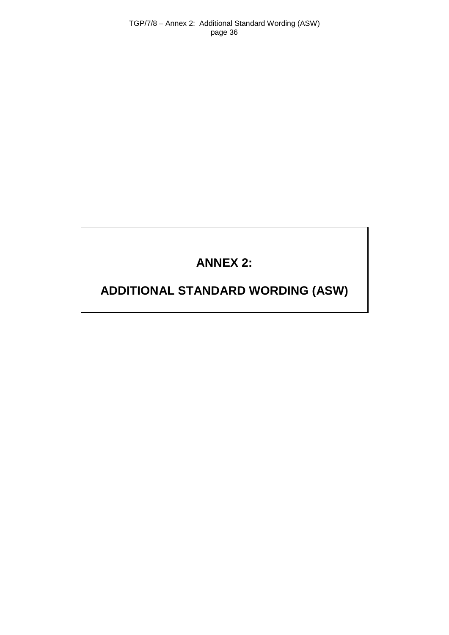TGP/7/8 – Annex 2: Additional Standard Wording (ASW) page 36

# **ANNEX 2:**

# <span id="page-35-0"></span>**ADDITIONAL STANDARD WORDING (ASW)**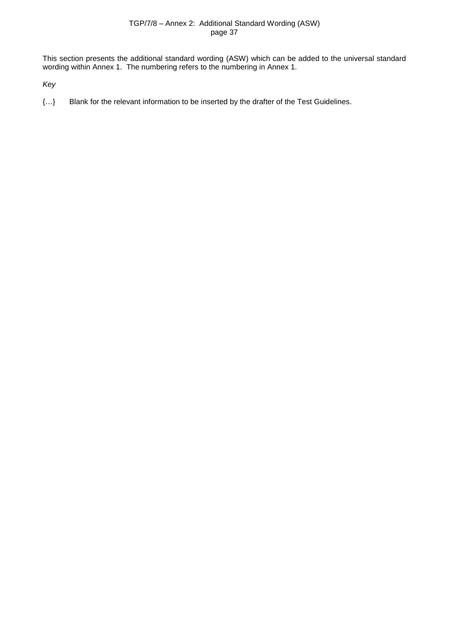This section presents the additional standard wording (ASW) which can be added to the universal standard wording within Annex 1. The numbering refers to the numbering in Annex 1.

*Key*

{…} Blank for the relevant information to be inserted by the drafter of the Test Guidelines.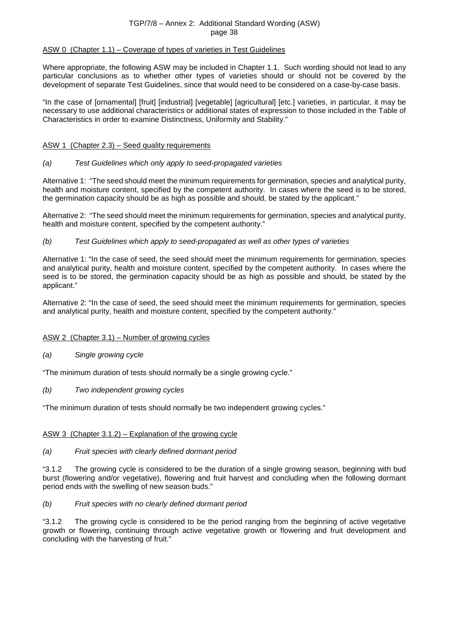#### ASW 0 (Chapter 1.1) – Coverage of types of varieties in Test Guidelines

Where appropriate, the following ASW may be included in Chapter 1.1. Such wording should not lead to any particular conclusions as to whether other types of varieties should or should not be covered by the development of separate Test Guidelines, since that would need to be considered on a case-by-case basis.

"In the case of [ornamental] [fruit] [industrial] [vegetable] [agricultural] [etc.] varieties, in particular, it may be necessary to use additional characteristics or additional states of expression to those included in the Table of Characteristics in order to examine Distinctness, Uniformity and Stability."

## ASW 1 (Chapter 2.3) – Seed quality requirements

## *(a) Test Guidelines which only apply to seed-propagated varieties*

Alternative 1: "The seed should meet the minimum requirements for germination, species and analytical purity, health and moisture content, specified by the competent authority. In cases where the seed is to be stored, the germination capacity should be as high as possible and should, be stated by the applicant."

Alternative 2: "The seed should meet the minimum requirements for germination, species and analytical purity, health and moisture content, specified by the competent authority."

## *(b) Test Guidelines which apply to seed-propagated as well as other types of varieties*

Alternative 1: "In the case of seed, the seed should meet the minimum requirements for germination, species and analytical purity, health and moisture content, specified by the competent authority. In cases where the seed is to be stored, the germination capacity should be as high as possible and should, be stated by the applicant."

Alternative 2: "In the case of seed, the seed should meet the minimum requirements for germination, species and analytical purity, health and moisture content, specified by the competent authority."

## ASW 2 (Chapter 3.1) – Number of growing cycles

*(a) Single growing cycle*

"The minimum duration of tests should normally be a single growing cycle."

*(b) Two independent growing cycles*

"The minimum duration of tests should normally be two independent growing cycles."

## ASW 3 (Chapter 3.1.2) – Explanation of the growing cycle

#### *(a) Fruit species with clearly defined dormant period*

"3.1.2 The growing cycle is considered to be the duration of a single growing season, beginning with bud burst (flowering and/or vegetative), flowering and fruit harvest and concluding when the following dormant period ends with the swelling of new season buds."

#### *(b) Fruit species with no clearly defined dormant period*

"3.1.2 The growing cycle is considered to be the period ranging from the beginning of active vegetative growth or flowering, continuing through active vegetative growth or flowering and fruit development and concluding with the harvesting of fruit."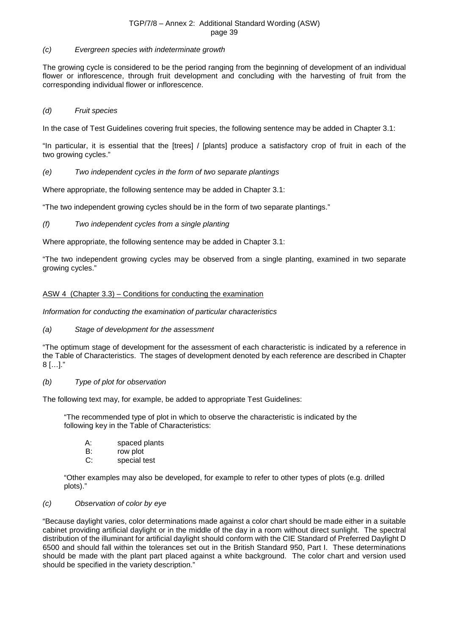## *(c) Evergreen species with indeterminate growth*

The growing cycle is considered to be the period ranging from the beginning of development of an individual flower or inflorescence, through fruit development and concluding with the harvesting of fruit from the corresponding individual flower or inflorescence.

## *(d) Fruit species*

In the case of Test Guidelines covering fruit species, the following sentence may be added in Chapter 3.1:

"In particular, it is essential that the [trees] / [plants] produce a satisfactory crop of fruit in each of the two growing cycles."

## *(e) Two independent cycles in the form of two separate plantings*

Where appropriate, the following sentence may be added in Chapter 3.1:

"The two independent growing cycles should be in the form of two separate plantings."

*(f) Two independent cycles from a single planting*

Where appropriate, the following sentence may be added in Chapter 3.1:

"The two independent growing cycles may be observed from a single planting, examined in two separate growing cycles."

## ASW 4 (Chapter 3.3) – Conditions for conducting the examination

*Information for conducting the examination of particular characteristics*

#### *(a) Stage of development for the assessment*

"The optimum stage of development for the assessment of each characteristic is indicated by a reference in the Table of Characteristics. The stages of development denoted by each reference are described in Chapter 8 […]."

#### *(b) Type of plot for observation*

The following text may, for example, be added to appropriate Test Guidelines:

"The recommended type of plot in which to observe the characteristic is indicated by the following key in the Table of Characteristics:

- A: spaced plants<br>B: row plot
- B: row plot<br>C: special t
- special test

"Other examples may also be developed, for example to refer to other types of plots (e.g. drilled plots)."

#### *(c) Observation of color by eye*

"Because daylight varies, color determinations made against a color chart should be made either in a suitable cabinet providing artificial daylight or in the middle of the day in a room without direct sunlight. The spectral distribution of the illuminant for artificial daylight should conform with the CIE Standard of Preferred Daylight D 6500 and should fall within the tolerances set out in the British Standard 950, Part I. These determinations should be made with the plant part placed against a white background. The color chart and version used should be specified in the variety description."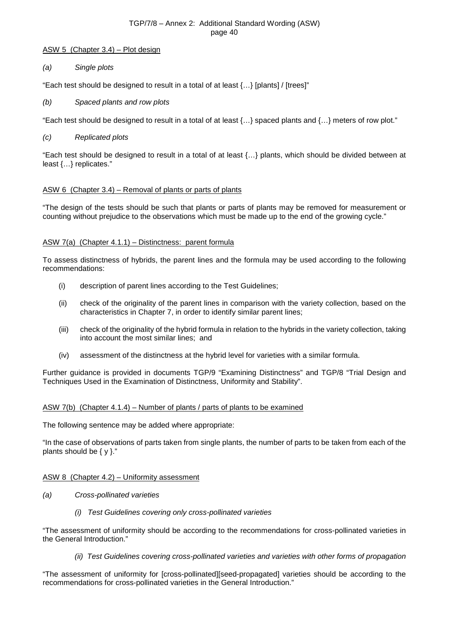#### ASW 5 (Chapter 3.4) – Plot design

## *(a) Single plots*

"Each test should be designed to result in a total of at least  $\{...\}$  [plants] / [trees]"

*(b) Spaced plants and row plots*

"Each test should be designed to result in a total of at least {…} spaced plants and {…} meters of row plot."

## *(c) Replicated plots*

"Each test should be designed to result in a total of at least {…} plants, which should be divided between at least {…} replicates."

## ASW 6 (Chapter 3.4) – Removal of plants or parts of plants

"The design of the tests should be such that plants or parts of plants may be removed for measurement or counting without prejudice to the observations which must be made up to the end of the growing cycle."

## ASW 7(a) (Chapter 4.1.1) – Distinctness: parent formula

To assess distinctness of hybrids, the parent lines and the formula may be used according to the following recommendations:

- (i) description of parent lines according to the Test Guidelines;
- (ii) check of the originality of the parent lines in comparison with the variety collection, based on the characteristics in Chapter 7, in order to identify similar parent lines;
- (iii) check of the originality of the hybrid formula in relation to the hybrids in the variety collection, taking into account the most similar lines; and
- (iv) assessment of the distinctness at the hybrid level for varieties with a similar formula.

Further guidance is provided in documents TGP/9 "Examining Distinctness" and TGP/8 "Trial Design and Techniques Used in the Examination of Distinctness, Uniformity and Stability".

#### ASW 7(b) (Chapter 4.1.4) – Number of plants / parts of plants to be examined

The following sentence may be added where appropriate:

"In the case of observations of parts taken from single plants, the number of parts to be taken from each of the plants should be { y }."

#### ASW 8 (Chapter 4.2) – Uniformity assessment

- *(a) Cross-pollinated varieties*
	- *(i) Test Guidelines covering only cross-pollinated varieties*

"The assessment of uniformity should be according to the recommendations for cross-pollinated varieties in the General Introduction."

*(ii) Test Guidelines covering cross-pollinated varieties and varieties with other forms of propagation*

"The assessment of uniformity for [cross-pollinated][seed-propagated] varieties should be according to the recommendations for cross-pollinated varieties in the General Introduction."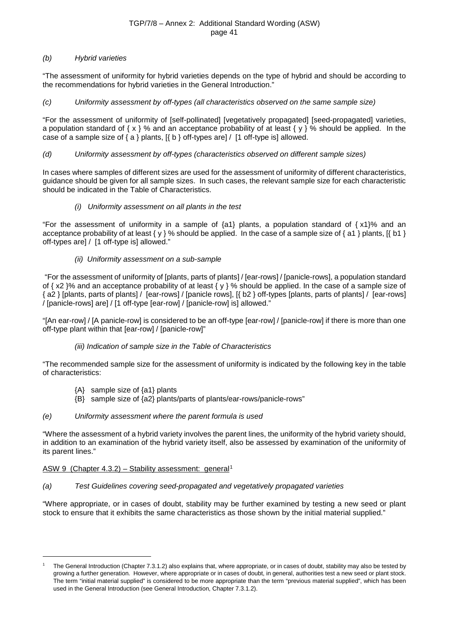## *(b) Hybrid varieties*

"The assessment of uniformity for hybrid varieties depends on the type of hybrid and should be according to the recommendations for hybrid varieties in the General Introduction."

## *(c) Uniformity assessment by off-types (all characteristics observed on the same sample size)*

"For the assessment of uniformity of [self-pollinated] [vegetatively propagated] [seed-propagated] varieties, a population standard of { $x$  } % and an acceptance probability of at least { $y$  } % should be applied. In the case of a sample size of  $\{a\}$  plants,  $\{S \}$  b  $\}$  of types are  $\}$   $\neq$  1 of type is allowed.

## *(d) Uniformity assessment by off-types (characteristics observed on different sample sizes)*

In cases where samples of different sizes are used for the assessment of uniformity of different characteristics, guidance should be given for all sample sizes. In such cases, the relevant sample size for each characteristic should be indicated in the Table of Characteristics.

## *(i) Uniformity assessment on all plants in the test*

"For the assessment of uniformity in a sample of  $\{a1\}$  plants, a population standard of  $\{x1\}$ % and an acceptance probability of at least { y } % should be applied. In the case of a sample size of { a1 } plants,  $[$  [ b1 } off-types are] / [1 off-type is] allowed."

## *(ii) Uniformity assessment on a sub-sample*

"For the assessment of uniformity of [plants, parts of plants] / [ear-rows] / [panicle-rows], a population standard of  $\{ x2 \}$ % and an acceptance probability of at least  $\{ y \}$ % should be applied. In the case of a sample size of { a2 } [plants, parts of plants] / [ear-rows] / [panicle rows], [{ b2 } off-types [plants, parts of plants] / [ear-rows] / [panicle-rows] are] / [1 off-type [ear-row] / [panicle-row] is] allowed."

"[An ear-row] / [A panicle-row] is considered to be an off-type [ear-row] / [panicle-row] if there is more than one off-type plant within that [ear-row] / [panicle-row]"

## *(iii) Indication of sample size in the Table of Characteristics*

"The recommended sample size for the assessment of uniformity is indicated by the following key in the table of characteristics:

- {A} sample size of {a1} plants
- {B} sample size of {a2} plants/parts of plants/ear-rows/panicle-rows"

## *(e) Uniformity assessment where the parent formula is used*

"Where the assessment of a hybrid variety involves the parent lines, the uniformity of the hybrid variety should, in addition to an examination of the hybrid variety itself, also be assessed by examination of the uniformity of its parent lines."

## ASW 9 (Chapter  $4.3.2$ ) – Stability assessment: general<sup>[1](#page-40-0)</sup>

-

## *(a) Test Guidelines covering seed-propagated and vegetatively propagated varieties*

"Where appropriate, or in cases of doubt, stability may be further examined by testing a new seed or plant stock to ensure that it exhibits the same characteristics as those shown by the initial material supplied."

<span id="page-40-0"></span><sup>1</sup> The General Introduction (Chapter 7.3.1.2) also explains that, where appropriate, or in cases of doubt, stability may also be tested by growing a further generation. However, where appropriate or in cases of doubt, in general, authorities test a new seed or plant stock. The term "initial material supplied" is considered to be more appropriate than the term "previous material supplied", which has been used in the General Introduction (see General Introduction, Chapter 7.3.1.2).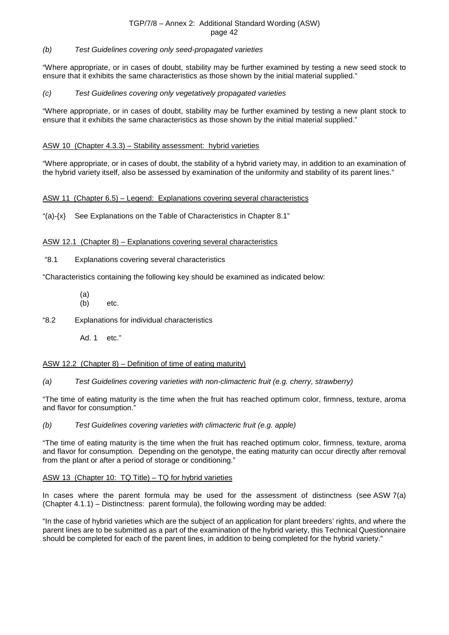#### *(b) Test Guidelines covering only seed-propagated varieties*

"Where appropriate, or in cases of doubt, stability may be further examined by testing a new seed stock to ensure that it exhibits the same characteristics as those shown by the initial material supplied."

#### *(c) Test Guidelines covering only vegetatively propagated varieties*

"Where appropriate, or in cases of doubt, stability may be further examined by testing a new plant stock to ensure that it exhibits the same characteristics as those shown by the initial material supplied."

## ASW 10 (Chapter 4.3.3) – Stability assessment: hybrid varieties

"Where appropriate, or in cases of doubt, the stability of a hybrid variety may, in addition to an examination of the hybrid variety itself, also be assessed by examination of the uniformity and stability of its parent lines."

## ASW 11 (Chapter 6.5) – Legend: Explanations covering several characteristics

" $(a)$ - $\{x\}$  See Explanations on the Table of Characteristics in Chapter 8.1"

## ASW 12.1 (Chapter 8) – Explanations covering several characteristics

"8.1 Explanations covering several characteristics

"Characteristics containing the following key should be examined as indicated below:

- $(a)$ <br>(b)
- "8.2 Explanations for individual characteristics

etc.

Ad. 1 etc."

## ASW 12.2 (Chapter 8) – Definition of time of eating maturity)

*(a) Test Guidelines covering varieties with non-climacteric fruit (e.g. cherry, strawberry)*

"The time of eating maturity is the time when the fruit has reached optimum color, firmness, texture, aroma and flavor for consumption."

*(b) Test Guidelines covering varieties with climacteric fruit (e.g. apple)*

"The time of eating maturity is the time when the fruit has reached optimum color, firmness, texture, aroma and flavor for consumption. Depending on the genotype, the eating maturity can occur directly after removal from the plant or after a period of storage or conditioning."

#### ASW 13 (Chapter 10: TQ Title) – TQ for hybrid varieties

In cases where the parent formula may be used for the assessment of distinctness (see ASW 7(a) (Chapter 4.1.1) – Distinctness: parent formula), the following wording may be added:

"In the case of hybrid varieties which are the subject of an application for plant breeders' rights, and where the parent lines are to be submitted as a part of the examination of the hybrid variety, this Technical Questionnaire should be completed for each of the parent lines, in addition to being completed for the hybrid variety."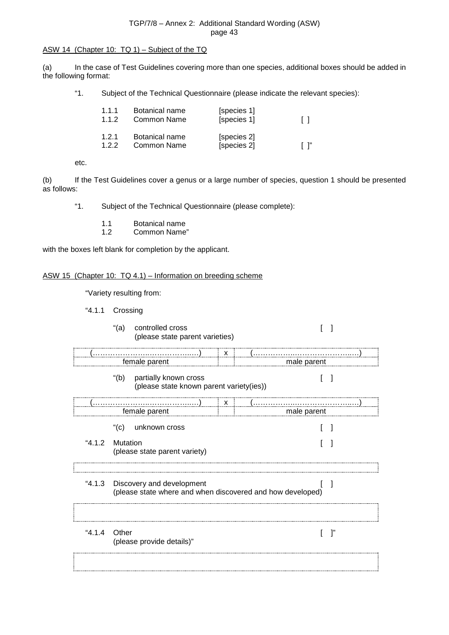## ASW 14 (Chapter 10: TQ 1) – Subject of the TQ

(a) In the case of Test Guidelines covering more than one species, additional boxes should be added in the following format:

"1. Subject of the Technical Questionnaire (please indicate the relevant species):

| 1.1.1<br>1.1.2 | Botanical name<br>Common Name | [species 1]<br>[species 1] | $\mathbf{1}$ |  |
|----------------|-------------------------------|----------------------------|--------------|--|
| 1.2.1<br>122   | Botanical name<br>Common Name | [species 2]<br>[species 2] |              |  |

etc.

(b) If the Test Guidelines cover a genus or a large number of species, question 1 should be presented as follows:

"1. Subject of the Technical Questionnaire (please complete):

- 1.1 Botanical name<br>1.2 Common Name
- Common Name"

with the boxes left blank for completion by the applicant.

## ASW 15 (Chapter 10: TQ 4.1) – Information on breeding scheme

"Variety resulting from:

- "4.1.1 Crossing
	- "(a) controlled cross [ ] (please state parent varieties)

|                 |         |                                                                        |             | x |                                                            |
|-----------------|---------|------------------------------------------------------------------------|-------------|---|------------------------------------------------------------|
| female parent   |         |                                                                        | male parent |   |                                                            |
|                 |         | "(b) partially known cross<br>(please state known parent variety(ies)) |             |   |                                                            |
|                 |         |                                                                        |             | x |                                                            |
|                 |         | female parent                                                          |             |   | male parent                                                |
|                 | $"$ (c) | unknown cross                                                          |             |   |                                                            |
| "4.1.2 Mutation |         | (please state parent variety)                                          |             |   |                                                            |
| "4.1.3          |         | Discovery and development                                              |             |   | (please state where and when discovered and how developed) |
| "4.1.4 Other    |         | (please provide details)"                                              |             |   | ייד                                                        |
|                 |         |                                                                        |             |   |                                                            |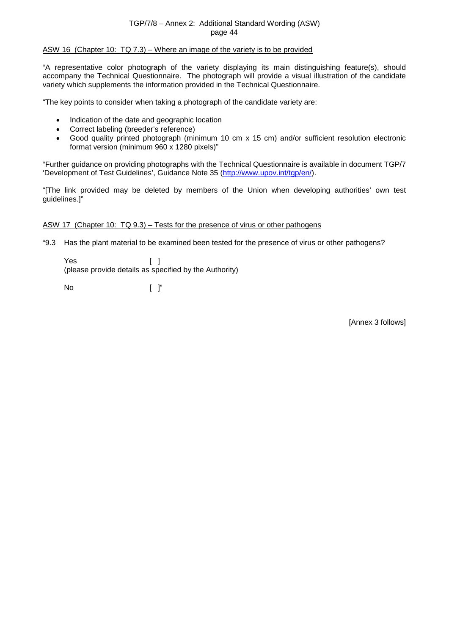## ASW 16 (Chapter 10: TQ 7.3) – Where an image of the variety is to be provided

"A representative color photograph of the variety displaying its main distinguishing feature(s), should accompany the Technical Questionnaire. The photograph will provide a visual illustration of the candidate variety which supplements the information provided in the Technical Questionnaire.

"The key points to consider when taking a photograph of the candidate variety are:

- Indication of the date and geographic location
- Correct labeling (breeder's reference)
- Good quality printed photograph (minimum 10 cm x 15 cm) and/or sufficient resolution electronic format version (minimum 960 x 1280 pixels)"

"Further guidance on providing photographs with the Technical Questionnaire is available in document TGP/7 'Development of Test Guidelines', Guidance Note 35 [\(http://www.upov.int/tgp/en/\)](http://www.upov.int/tgp/en/).

"[The link provided may be deleted by members of the Union when developing authorities' own test guidelines.]"

#### ASW 17 (Chapter 10: TQ 9.3) – Tests for the presence of virus or other pathogens

"9.3 Has the plant material to be examined been tested for the presence of virus or other pathogens?

Yes [ ] (please provide details as specified by the Authority)

No [ ]"

[Annex 3 follows]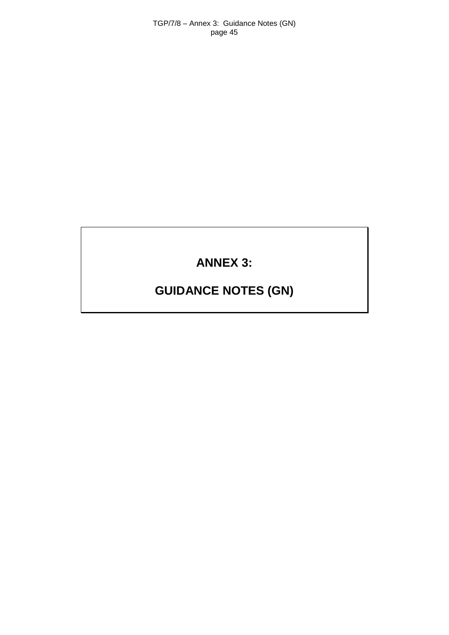## **ANNEX 3:**

# **GUIDANCE NOTES (GN)**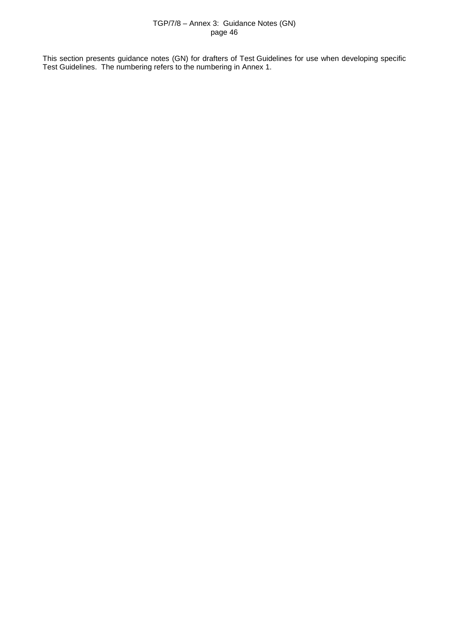This section presents guidance notes (GN) for drafters of Test Guidelines for use when developing specific Test Guidelines. The numbering refers to the numbering in Annex 1.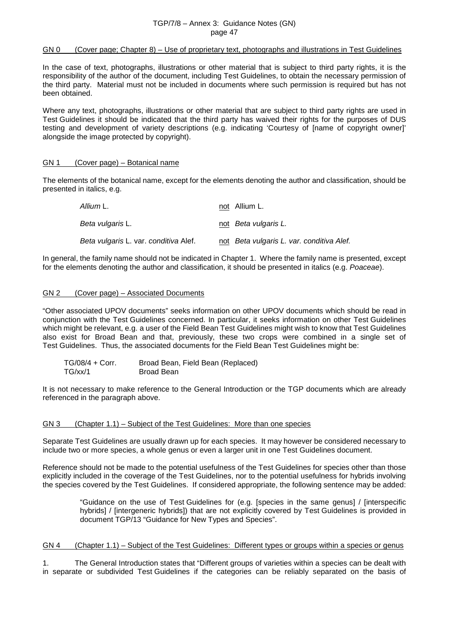## GN 0 (Cover page; Chapter 8) – Use of proprietary text, photographs and illustrations in Test Guidelines

In the case of text, photographs, illustrations or other material that is subject to third party rights, it is the responsibility of the author of the document, including Test Guidelines, to obtain the necessary permission of the third party. Material must not be included in documents where such permission is required but has not been obtained.

Where any text, photographs, illustrations or other material that are subject to third party rights are used in Test Guidelines it should be indicated that the third party has waived their rights for the purposes of DUS testing and development of variety descriptions (e.g. indicating 'Courtesy of [name of copyright owner]' alongside the image protected by copyright).

#### GN 1 (Cover page) – Botanical name

The elements of the botanical name, except for the elements denoting the author and classification, should be presented in italics, e.g.

| Allium L.                             | not Allium L.                             |
|---------------------------------------|-------------------------------------------|
| <i>Beta vulgaris</i> L.               | not Beta vulgaris L.                      |
| Beta vulgaris L. var. conditiva Alef. | not Beta vulgaris L. var. conditiva Alef. |

In general, the family name should not be indicated in Chapter 1. Where the family name is presented, except for the elements denoting the author and classification, it should be presented in italics (e.g. *Poaceae*).

## GN 2 (Cover page) – Associated Documents

"Other associated UPOV documents" seeks information on other UPOV documents which should be read in conjunction with the Test Guidelines concerned. In particular, it seeks information on other Test Guidelines which might be relevant, e.g. a user of the Field Bean Test Guidelines might wish to know that Test Guidelines also exist for Broad Bean and that, previously, these two crops were combined in a single set of Test Guidelines. Thus, the associated documents for the Field Bean Test Guidelines might be:

| $TG/08/4 + Corr.$ | Broad Bean, Field Bean (Replaced) |
|-------------------|-----------------------------------|
| TG/xx/1           | Broad Bean                        |

It is not necessary to make reference to the General Introduction or the TGP documents which are already referenced in the paragraph above.

#### GN 3 (Chapter 1.1) – Subject of the Test Guidelines: More than one species

Separate Test Guidelines are usually drawn up for each species. It may however be considered necessary to include two or more species, a whole genus or even a larger unit in one Test Guidelines document.

Reference should not be made to the potential usefulness of the Test Guidelines for species other than those explicitly included in the coverage of the Test Guidelines, nor to the potential usefulness for hybrids involving the species covered by the Test Guidelines. If considered appropriate, the following sentence may be added:

> "Guidance on the use of Test Guidelines for (e.g. [species in the same genus] / [interspecific hybrids] / [intergeneric hybrids]) that are not explicitly covered by Test Guidelines is provided in document TGP/13 "Guidance for New Types and Species".

## GN 4 (Chapter 1.1) – Subject of the Test Guidelines: Different types or groups within a species or genus

1. The General Introduction states that "Different groups of varieties within a species can be dealt with in separate or subdivided Test Guidelines if the categories can be reliably separated on the basis of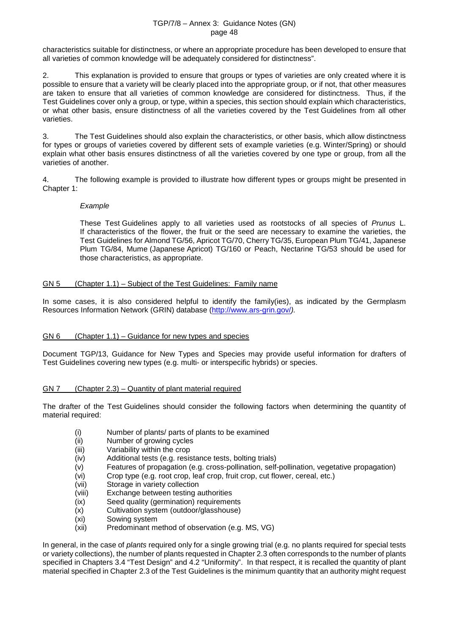characteristics suitable for distinctness, or where an appropriate procedure has been developed to ensure that all varieties of common knowledge will be adequately considered for distinctness".

2. This explanation is provided to ensure that groups or types of varieties are only created where it is possible to ensure that a variety will be clearly placed into the appropriate group, or if not, that other measures are taken to ensure that all varieties of common knowledge are considered for distinctness. Thus, if the Test Guidelines cover only a group, or type, within a species, this section should explain which characteristics, or what other basis, ensure distinctness of all the varieties covered by the Test Guidelines from all other varieties.

3. The Test Guidelines should also explain the characteristics, or other basis, which allow distinctness for types or groups of varieties covered by different sets of example varieties (e.g. Winter/Spring) or should explain what other basis ensures distinctness of all the varieties covered by one type or group, from all the varieties of another.

4. The following example is provided to illustrate how different types or groups might be presented in Chapter 1:

## *Example*

These Test Guidelines apply to all varieties used as rootstocks of all species of *Prunus* L. If characteristics of the flower, the fruit or the seed are necessary to examine the varieties, the Test Guidelines for Almond TG/56, Apricot TG/70, Cherry TG/35, European Plum TG/41, Japanese Plum TG/84, Mume (Japanese Apricot) TG/160 or Peach, Nectarine TG/53 should be used for those characteristics, as appropriate.

## GN 5 (Chapter 1.1) – Subject of the Test Guidelines: Family name

In some cases, it is also considered helpful to identify the family(ies), as indicated by the Germplasm Resources Information Network (GRIN) database [\(http://www.ars-grin.gov/](http://www.ars-grin.gov/)*).*

## GN 6 (Chapter 1.1) – Guidance for new types and species

Document TGP/13, Guidance for New Types and Species may provide useful information for drafters of Test Guidelines covering new types (e.g. multi- or interspecific hybrids) or species.

## GN 7 (Chapter 2.3) – Quantity of plant material required

The drafter of the Test Guidelines should consider the following factors when determining the quantity of material required:

- (i) Number of plants/ parts of plants to be examined<br>(ii) Number of growing cycles
- (ii) Number of growing cycles<br>(iii) Variability within the crop
- (iii) Variability within the crop<br>(iv) Additional tests (e.g. resis
- Additional tests (e.g. resistance tests, bolting trials)
- (v) Features of propagation (e.g. cross-pollination, self-pollination, vegetative propagation)
- (vi) Crop type (e.g. root crop, leaf crop, fruit crop, cut flower, cereal, etc.)
- (vii) Storage in variety collection
- (viii) Exchange between testing authorities<br>(ix) Seed quality (germination) requiremer
- (ix) Seed quality (germination) requirements<br>(x) Cultivation system (outdoor/glasshouse)
- Cultivation system (outdoor/glasshouse)
- (xi) Sowing system
- (xii) Predominant method of observation (e.g. MS, VG)

In general, in the case of *plants* required only for a single growing trial (e.g. no plants required for special tests or variety collections), the number of plants requested in Chapter 2.3 often corresponds to the number of plants specified in Chapters 3.4 "Test Design" and 4.2 "Uniformity". In that respect, it is recalled the quantity of plant material specified in Chapter 2.3 of the Test Guidelines is the minimum quantity that an authority might request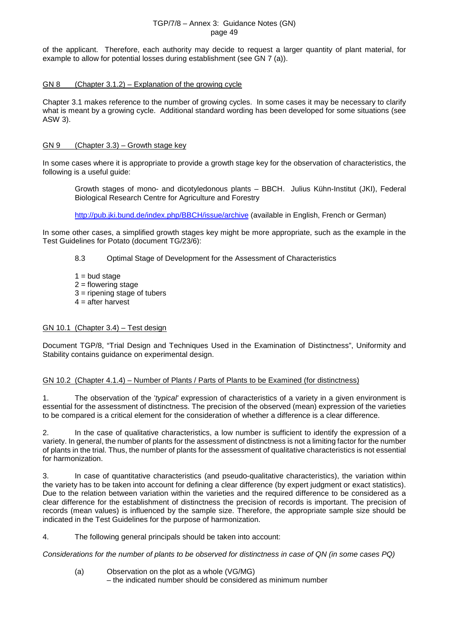of the applicant. Therefore, each authority may decide to request a larger quantity of plant material, for example to allow for potential losses during establishment (see GN 7 (a)).

#### GN 8 (Chapter 3.1.2) – Explanation of the growing cycle

Chapter 3.1 makes reference to the number of growing cycles. In some cases it may be necessary to clarify what is meant by a growing cycle. Additional standard wording has been developed for some situations (see ASW 3).

## GN 9 (Chapter 3.3) – Growth stage key

In some cases where it is appropriate to provide a growth stage key for the observation of characteristics, the following is a useful guide:

Growth stages of mono- and dicotyledonous plants – BBCH. Julius Kühn-Institut (JKI), Federal Biological Research Centre for Agriculture and Forestry

<http://pub.jki.bund.de/index.php/BBCH/issue/archive> (available in English, French or German)

In some other cases, a simplified growth stages key might be more appropriate, such as the example in the Test Guidelines for Potato (document TG/23/6):

## 8.3 Optimal Stage of Development for the Assessment of Characteristics

- $1 =$  bud stage
- $2 =$  flowering stage
- 3 = ripening stage of tubers
- $4 =$  after harvest

## GN 10.1 (Chapter 3.4) – Test design

Document TGP/8, "Trial Design and Techniques Used in the Examination of Distinctness", Uniformity and Stability contains guidance on experimental design.

## GN 10.2 (Chapter 4.1.4) – Number of Plants / Parts of Plants to be Examined (for distinctness)

1. The observation of the '*typical'* expression of characteristics of a variety in a given environment is essential for the assessment of distinctness. The precision of the observed (mean) expression of the varieties to be compared is a critical element for the consideration of whether a difference is a clear difference.

2. In the case of qualitative characteristics, a low number is sufficient to identify the expression of a variety. In general, the number of plants for the assessment of distinctness is not a limiting factor for the number of plants in the trial. Thus, the number of plants for the assessment of qualitative characteristics is not essential for harmonization.

3. In case of quantitative characteristics (and pseudo-qualitative characteristics), the variation within the variety has to be taken into account for defining a clear difference (by expert judgment or exact statistics). Due to the relation between variation within the varieties and the required difference to be considered as a clear difference for the establishment of distinctness the precision of records is important. The precision of records (mean values) is influenced by the sample size. Therefore, the appropriate sample size should be indicated in the Test Guidelines for the purpose of harmonization.

4. The following general principals should be taken into account:

*Considerations for the number of plants to be observed for distinctness in case of QN (in some cases PQ)*

(a) Observation on the plot as a whole (VG/MG) – the indicated number should be considered as minimum number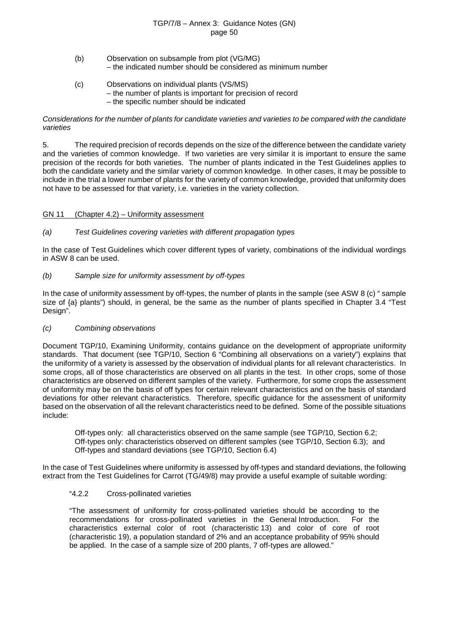- (b) Observation on subsample from plot (VG/MG) – the indicated number should be considered as minimum number
- (c) Observations on individual plants (VS/MS) – the number of plants is important for precision of record – the specific number should be indicated

#### *Considerations for the number of plants for candidate varieties and varieties to be compared with the candidate varieties*

5. The required precision of records depends on the size of the difference between the candidate variety and the varieties of common knowledge. If two varieties are very similar it is important to ensure the same precision of the records for both varieties. The number of plants indicated in the Test Guidelines applies to both the candidate variety and the similar variety of common knowledge. In other cases, it may be possible to include in the trial a lower number of plants for the variety of common knowledge, provided that uniformity does not have to be assessed for that variety, i.e. varieties in the variety collection.

## GN 11 (Chapter 4.2) – Uniformity assessment

## *(a) Test Guidelines covering varieties with different propagation types*

In the case of Test Guidelines which cover different types of variety, combinations of the individual wordings in ASW 8 can be used.

## *(b) Sample size for uniformity assessment by off-types*

In the case of uniformity assessment by off-types, the number of plants in the sample (see ASW 8 (c) " sample size of {a} plants") should, in general, be the same as the number of plants specified in Chapter 3.4 "Test Design".

## *(c) Combining observations*

Document TGP/10, Examining Uniformity, contains guidance on the development of appropriate uniformity standards. That document (see TGP/10, Section 6 "Combining all observations on a variety") explains that the uniformity of a variety is assessed by the observation of individual plants for all relevant characteristics. In some crops, all of those characteristics are observed on all plants in the test. In other crops, some of those characteristics are observed on different samples of the variety. Furthermore, for some crops the assessment of uniformity may be on the basis of off types for certain relevant characteristics and on the basis of standard deviations for other relevant characteristics. Therefore, specific guidance for the assessment of uniformity based on the observation of all the relevant characteristics need to be defined. Some of the possible situations include:

Off-types only: all characteristics observed on the same sample (see TGP/10, Section 6.2; Off-types only: characteristics observed on different samples (see TGP/10, Section 6.3); and Off-types and standard deviations (see TGP/10, Section 6.4)

In the case of Test Guidelines where uniformity is assessed by off-types and standard deviations, the following extract from the Test Guidelines for Carrot (TG/49/8) may provide a useful example of suitable wording:

## "4.2.2 Cross-pollinated varieties

"The assessment of uniformity for cross-pollinated varieties should be according to the recommendations for cross-pollinated varieties in the General Introduction. For the characteristics external color of root (characteristic 13) and color of core of root (characteristic 19), a population standard of 2% and an acceptance probability of 95% should be applied. In the case of a sample size of 200 plants, 7 off-types are allowed."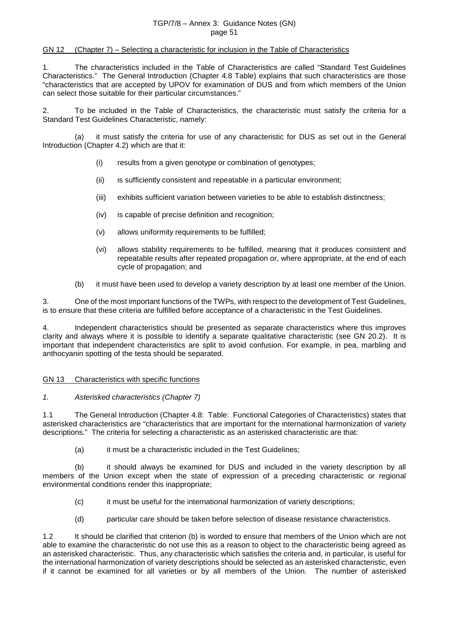#### GN 12 (Chapter 7) – Selecting a characteristic for inclusion in the Table of Characteristics

1. The characteristics included in the Table of Characteristics are called "Standard Test Guidelines Characteristics." The General Introduction (Chapter 4.8 Table) explains that such characteristics are those "characteristics that are accepted by UPOV for examination of DUS and from which members of the Union can select those suitable for their particular circumstances."

2. To be included in the Table of Characteristics, the characteristic must satisfy the criteria for a Standard Test Guidelines Characteristic, namely:

(a) it must satisfy the criteria for use of any characteristic for DUS as set out in the General Introduction (Chapter 4.2) which are that it:

- (i) results from a given genotype or combination of genotypes;
- (ii) is sufficiently consistent and repeatable in a particular environment;
- (iii) exhibits sufficient variation between varieties to be able to establish distinctness;
- (iv) is capable of precise definition and recognition;
- (v) allows uniformity requirements to be fulfilled;
- (vi) allows stability requirements to be fulfilled, meaning that it produces consistent and repeatable results after repeated propagation or, where appropriate, at the end of each cycle of propagation; and
- (b) it must have been used to develop a variety description by at least one member of the Union.

3. One of the most important functions of the TWPs, with respect to the development of Test Guidelines, is to ensure that these criteria are fulfilled before acceptance of a characteristic in the Test Guidelines.

4. Independent characteristics should be presented as separate characteristics where this improves clarity and always where it is possible to identify a separate qualitative characteristic (see GN 20.2). It is important that independent characteristics are split to avoid confusion. For example, in pea, marbling and anthocyanin spotting of the testa should be separated.

#### GN 13 Characteristics with specific functions

#### *1. Asterisked characteristics (Chapter 7)*

1.1 The General Introduction (Chapter 4.8: Table: Functional Categories of Characteristics) states that asterisked characteristics are "characteristics that are important for the international harmonization of variety descriptions." The criteria for selecting a characteristic as an asterisked characteristic are that:

(a) it must be a characteristic included in the Test Guidelines;

(b) it should always be examined for DUS and included in the variety description by all members of the Union except when the state of expression of a preceding characteristic or regional environmental conditions render this inappropriate;

- (c) it must be useful for the international harmonization of variety descriptions;
- (d) particular care should be taken before selection of disease resistance characteristics.

1.2 It should be clarified that criterion (b) is worded to ensure that members of the Union which are not able to examine the characteristic do not use this as a reason to object to the characteristic being agreed as an asterisked characteristic. Thus, any characteristic which satisfies the criteria and, in particular, is useful for the international harmonization of variety descriptions should be selected as an asterisked characteristic, even if it cannot be examined for all varieties or by all members of the Union. The number of asterisked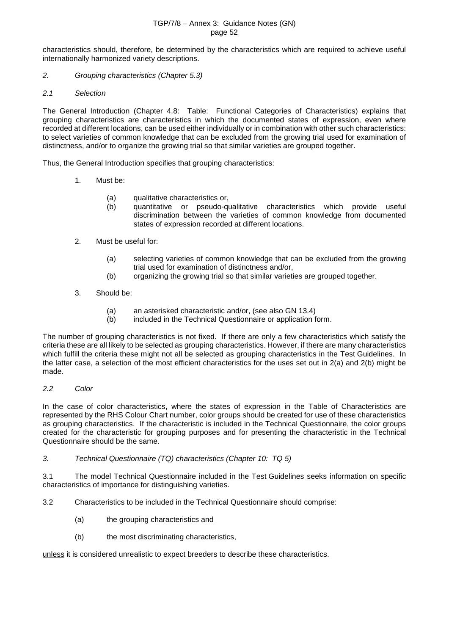characteristics should, therefore, be determined by the characteristics which are required to achieve useful internationally harmonized variety descriptions.

- *2. Grouping characteristics (Chapter 5.3)*
- *2.1 Selection*

The General Introduction (Chapter 4.8: Table: Functional Categories of Characteristics) explains that grouping characteristics are characteristics in which the documented states of expression, even where recorded at different locations, can be used either individually or in combination with other such characteristics: to select varieties of common knowledge that can be excluded from the growing trial used for examination of distinctness, and/or to organize the growing trial so that similar varieties are grouped together.

Thus, the General Introduction specifies that grouping characteristics:

- 1. Must be:
	- (a) qualitative characteristics or,
	- (b) quantitative or pseudo-qualitative characteristics which provide useful discrimination between the varieties of common knowledge from documented states of expression recorded at different locations.
- 2. Must be useful for:
	- (a) selecting varieties of common knowledge that can be excluded from the growing trial used for examination of distinctness and/or,
	- (b) organizing the growing trial so that similar varieties are grouped together.
- 3. Should be:
	- (a) an asterisked characteristic and/or, (see also GN 13.4)<br>(b) included in the Technical Questionnaire or application fo
	- included in the Technical Questionnaire or application form.

The number of grouping characteristics is not fixed. If there are only a few characteristics which satisfy the criteria these are all likely to be selected as grouping characteristics. However, if there are many characteristics which fulfill the criteria these might not all be selected as grouping characteristics in the Test Guidelines. In the latter case, a selection of the most efficient characteristics for the uses set out in 2(a) and 2(b) might be made.

*2.2 Color*

In the case of color characteristics, where the states of expression in the Table of Characteristics are represented by the RHS Colour Chart number, color groups should be created for use of these characteristics as grouping characteristics. If the characteristic is included in the Technical Questionnaire, the color groups created for the characteristic for grouping purposes and for presenting the characteristic in the Technical Questionnaire should be the same.

*3. Technical Questionnaire (TQ) characteristics (Chapter 10: TQ 5)*

3.1 The model Technical Questionnaire included in the Test Guidelines seeks information on specific characteristics of importance for distinguishing varieties.

- 3.2 Characteristics to be included in the Technical Questionnaire should comprise:
	- (a) the grouping characteristics and
	- (b) the most discriminating characteristics,

unless it is considered unrealistic to expect breeders to describe these characteristics.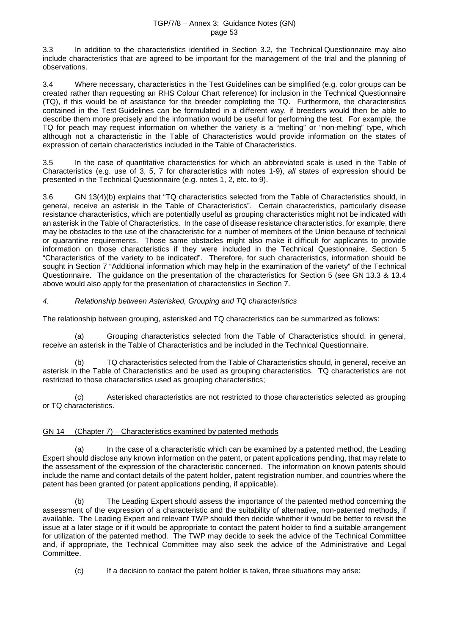3.3 In addition to the characteristics identified in Section 3.2, the Technical Questionnaire may also include characteristics that are agreed to be important for the management of the trial and the planning of observations.

3.4 Where necessary, characteristics in the Test Guidelines can be simplified (e.g. color groups can be created rather than requesting an RHS Colour Chart reference) for inclusion in the Technical Questionnaire (TQ), if this would be of assistance for the breeder completing the TQ. Furthermore, the characteristics contained in the Test Guidelines can be formulated in a different way, if breeders would then be able to describe them more precisely and the information would be useful for performing the test. For example, the TQ for peach may request information on whether the variety is a "melting" or "non-melting" type, which although not a characteristic in the Table of Characteristics would provide information on the states of expression of certain characteristics included in the Table of Characteristics.

3.5 In the case of quantitative characteristics for which an abbreviated scale is used in the Table of Characteristics (e.g. use of 3, 5, 7 for characteristics with notes 1-9), *all* states of expression should be presented in the Technical Questionnaire (e.g. notes 1, 2, etc. to 9).

3.6 GN 13(4)(b) explains that "TQ characteristics selected from the Table of Characteristics should, in general, receive an asterisk in the Table of Characteristics". Certain characteristics, particularly disease resistance characteristics, which are potentially useful as grouping characteristics might not be indicated with an asterisk in the Table of Characteristics. In the case of disease resistance characteristics, for example, there may be obstacles to the use of the characteristic for a number of members of the Union because of technical or quarantine requirements. Those same obstacles might also make it difficult for applicants to provide information on those characteristics if they were included in the Technical Questionnaire, Section 5 "Characteristics of the variety to be indicated". Therefore, for such characteristics, information should be sought in Section 7 "Additional information which may help in the examination of the variety" of the Technical Questionnaire. The guidance on the presentation of the characteristics for Section 5 (see GN 13.3 & 13.4 above would also apply for the presentation of characteristics in Section 7.

## *4. Relationship between Asterisked, Grouping and TQ characteristics*

The relationship between grouping, asterisked and TQ characteristics can be summarized as follows:

(a) Grouping characteristics selected from the Table of Characteristics should, in general, receive an asterisk in the Table of Characteristics and be included in the Technical Questionnaire.

(b) TQ characteristics selected from the Table of Characteristics should, in general, receive an asterisk in the Table of Characteristics and be used as grouping characteristics. TQ characteristics are not restricted to those characteristics used as grouping characteristics;

(c) Asterisked characteristics are not restricted to those characteristics selected as grouping or TQ characteristics.

## GN 14 (Chapter 7) – Characteristics examined by patented methods

(a) In the case of a characteristic which can be examined by a patented method, the Leading Expert should disclose any known information on the patent, or patent applications pending, that may relate to the assessment of the expression of the characteristic concerned. The information on known patents should include the name and contact details of the patent holder, patent registration number, and countries where the patent has been granted (or patent applications pending, if applicable).

(b) The Leading Expert should assess the importance of the patented method concerning the assessment of the expression of a characteristic and the suitability of alternative, non-patented methods, if available. The Leading Expert and relevant TWP should then decide whether it would be better to revisit the issue at a later stage or if it would be appropriate to contact the patent holder to find a suitable arrangement for utilization of the patented method. The TWP may decide to seek the advice of the Technical Committee and, if appropriate, the Technical Committee may also seek the advice of the Administrative and Legal Committee.

(c) If a decision to contact the patent holder is taken, three situations may arise: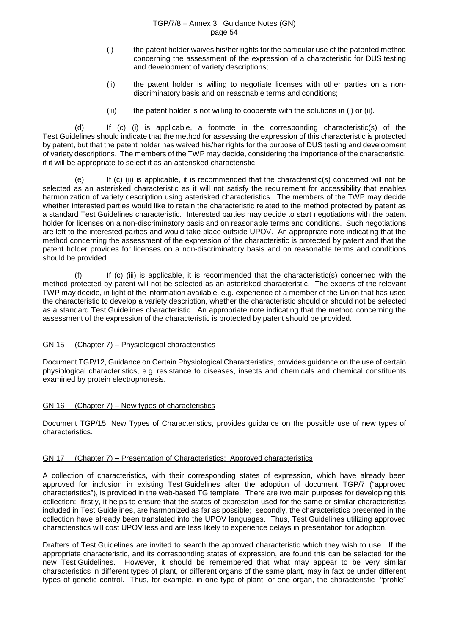- (i) the patent holder waives his/her rights for the particular use of the patented method concerning the assessment of the expression of a characteristic for DUS testing and development of variety descriptions;
- (ii) the patent holder is willing to negotiate licenses with other parties on a nondiscriminatory basis and on reasonable terms and conditions;
- (iii) the patent holder is not willing to cooperate with the solutions in (i) or (ii).

(d) If (c) (i) is applicable, a footnote in the corresponding characteristic(s) of the Test Guidelines should indicate that the method for assessing the expression of this characteristic is protected by patent, but that the patent holder has waived his/her rights for the purpose of DUS testing and development of variety descriptions. The members of the TWP may decide, considering the importance of the characteristic, if it will be appropriate to select it as an asterisked characteristic.

(e) If (c) (ii) is applicable, it is recommended that the characteristic(s) concerned will not be selected as an asterisked characteristic as it will not satisfy the requirement for accessibility that enables harmonization of variety description using asterisked characteristics. The members of the TWP may decide whether interested parties would like to retain the characteristic related to the method protected by patent as a standard Test Guidelines characteristic. Interested parties may decide to start negotiations with the patent holder for licenses on a non-discriminatory basis and on reasonable terms and conditions. Such negotiations are left to the interested parties and would take place outside UPOV. An appropriate note indicating that the method concerning the assessment of the expression of the characteristic is protected by patent and that the patent holder provides for licenses on a non-discriminatory basis and on reasonable terms and conditions should be provided.

(f) If (c) (iii) is applicable, it is recommended that the characteristic(s) concerned with the method protected by patent will not be selected as an asterisked characteristic. The experts of the relevant TWP may decide, in light of the information available, e.g. experience of a member of the Union that has used the characteristic to develop a variety description, whether the characteristic should or should not be selected as a standard Test Guidelines characteristic. An appropriate note indicating that the method concerning the assessment of the expression of the characteristic is protected by patent should be provided.

#### GN 15 (Chapter 7) – Physiological characteristics

Document TGP/12, Guidance on Certain Physiological Characteristics, provides guidance on the use of certain physiological characteristics, e.g. resistance to diseases, insects and chemicals and chemical constituents examined by protein electrophoresis.

#### GN 16 (Chapter 7) – New types of characteristics

Document TGP/15, New Types of Characteristics, provides guidance on the possible use of new types of characteristics.

#### GN 17 (Chapter 7) – Presentation of Characteristics: Approved characteristics

A collection of characteristics, with their corresponding states of expression, which have already been approved for inclusion in existing Test Guidelines after the adoption of document TGP/7 ("approved characteristics"), is provided in the web-based TG template. There are two main purposes for developing this collection: firstly, it helps to ensure that the states of expression used for the same or similar characteristics included in Test Guidelines, are harmonized as far as possible; secondly, the characteristics presented in the collection have already been translated into the UPOV languages. Thus, Test Guidelines utilizing approved characteristics will cost UPOV less and are less likely to experience delays in presentation for adoption.

Drafters of Test Guidelines are invited to search the approved characteristic which they wish to use. If the appropriate characteristic, and its corresponding states of expression, are found this can be selected for the new Test Guidelines. However, it should be remembered that what may appear to be very similar characteristics in different types of plant, or different organs of the same plant, may in fact be under different types of genetic control. Thus, for example, in one type of plant, or one organ, the characteristic "profile"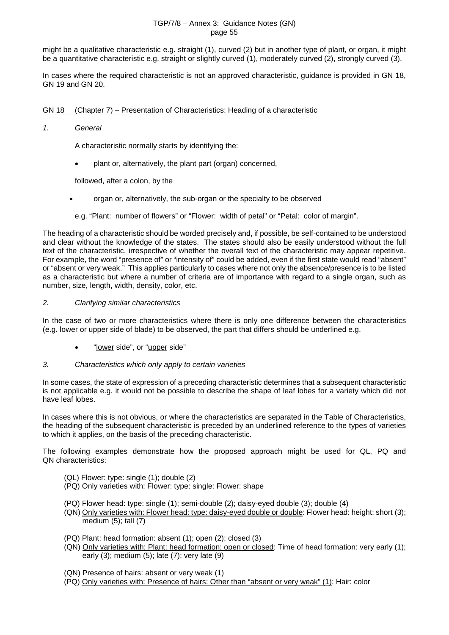might be a qualitative characteristic e.g. straight (1), curved (2) but in another type of plant, or organ, it might be a quantitative characteristic e.g. straight or slightly curved (1), moderately curved (2), strongly curved (3).

In cases where the required characteristic is not an approved characteristic, guidance is provided in GN 18, GN 19 and GN 20.

## GN 18 (Chapter 7) – Presentation of Characteristics: Heading of a characteristic

#### *1. General*

A characteristic normally starts by identifying the:

• plant or, alternatively, the plant part (organ) concerned,

followed, after a colon, by the

- organ or, alternatively, the sub-organ or the specialty to be observed
- e.g. "Plant: number of flowers" or "Flower: width of petal" or "Petal: color of margin".

The heading of a characteristic should be worded precisely and, if possible, be self-contained to be understood and clear without the knowledge of the states. The states should also be easily understood without the full text of the characteristic, irrespective of whether the overall text of the characteristic may appear repetitive. For example, the word "presence of" or "intensity of" could be added, even if the first state would read "absent" or "absent or very weak." This applies particularly to cases where not only the absence/presence is to be listed as a characteristic but where a number of criteria are of importance with regard to a single organ, such as number, size, length, width, density, color, etc.

#### *2. Clarifying similar characteristics*

In the case of two or more characteristics where there is only one difference between the characteristics (e.g. lower or upper side of blade) to be observed, the part that differs should be underlined e.g.

- "lower side", or "upper side"
- *3. Characteristics which only apply to certain varieties*

In some cases, the state of expression of a preceding characteristic determines that a subsequent characteristic is not applicable e.g. it would not be possible to describe the shape of leaf lobes for a variety which did not have leaf lobes.

In cases where this is not obvious, or where the characteristics are separated in the Table of Characteristics, the heading of the subsequent characteristic is preceded by an underlined reference to the types of varieties to which it applies, on the basis of the preceding characteristic.

The following examples demonstrate how the proposed approach might be used for QL, PQ and QN characteristics:

- (QL) Flower: type: single (1); double (2)
- (PQ) Only varieties with: Flower: type: single: Flower: shape
- (PQ) Flower head: type: single (1); semi-double (2); daisy-eyed double (3); double (4)
- (QN) Only varieties with: Flower head: type: daisy-eyed double or double: Flower head: height: short (3); medium (5); tall (7)
- (PQ) Plant: head formation: absent (1); open (2); closed (3)
- (QN) Only varieties with: Plant: head formation: open or closed: Time of head formation: very early (1); early (3); medium (5); late (7); very late (9)
- (QN) Presence of hairs: absent or very weak (1)
- (PQ) Only varieties with: Presence of hairs: Other than "absent or very weak" (1): Hair: color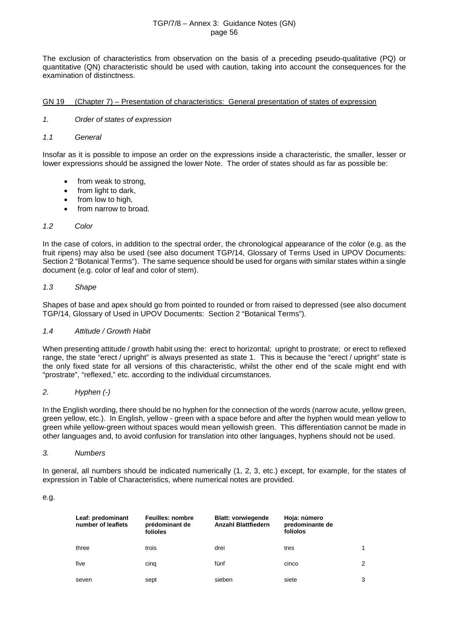The exclusion of characteristics from observation on the basis of a preceding pseudo-qualitative (PQ) or quantitative (QN) characteristic should be used with caution, taking into account the consequences for the examination of distinctness.

## GN 19 (Chapter 7) – Presentation of characteristics: General presentation of states of expression

- *1. Order of states of expression*
- *1.1 General*

Insofar as it is possible to impose an order on the expressions inside a characteristic, the smaller, lesser or lower expressions should be assigned the lower Note. The order of states should as far as possible be:

- from weak to strong,
- from light to dark,
- from low to high,
- from narrow to broad.

## *1.2 Color*

In the case of colors, in addition to the spectral order, the chronological appearance of the color (e.g. as the fruit ripens) may also be used (see also document TGP/14, Glossary of Terms Used in UPOV Documents: Section 2 "Botanical Terms"). The same sequence should be used for organs with similar states within a single document (e.g. color of leaf and color of stem).

## *1.3 Shape*

Shapes of base and apex should go from pointed to rounded or from raised to depressed (see also document TGP/14, Glossary of Used in UPOV Documents: Section 2 "Botanical Terms").

## *1.4 Attitude / Growth Habit*

When presenting attitude / growth habit using the: erect to horizontal; upright to prostrate; or erect to reflexed range, the state "erect / upright" is always presented as state 1. This is because the "erect / upright" state is the only fixed state for all versions of this characteristic, whilst the other end of the scale might end with "prostrate", "reflexed," etc. according to the individual circumstances.

## *2. Hyphen (-)*

In the English wording, there should be no hyphen for the connection of the words (narrow acute, yellow green, green yellow, etc.). In English, yellow - green with a space before and after the hyphen would mean yellow to green while yellow-green without spaces would mean yellowish green. This differentiation cannot be made in other languages and, to avoid confusion for translation into other languages, hyphens should not be used.

#### *3. Numbers*

In general, all numbers should be indicated numerically (1, 2, 3, etc.) except, for example, for the states of expression in Table of Characteristics, where numerical notes are provided.

e.g.

| Leaf: predominant<br>number of leaflets | <b>Feuilles: nombre</b><br>prédominant de<br>folioles | <b>Blatt: vorwiegende</b><br><b>Anzahl Blattfiedern</b> | Hoja: número<br>predominante de<br>folíolos |   |
|-----------------------------------------|-------------------------------------------------------|---------------------------------------------------------|---------------------------------------------|---|
| three                                   | trois                                                 | drei                                                    | tres                                        | 1 |
| five                                    | cing                                                  | fünf                                                    | cinco                                       | 2 |
| seven                                   | sept                                                  | sieben                                                  | siete                                       | 3 |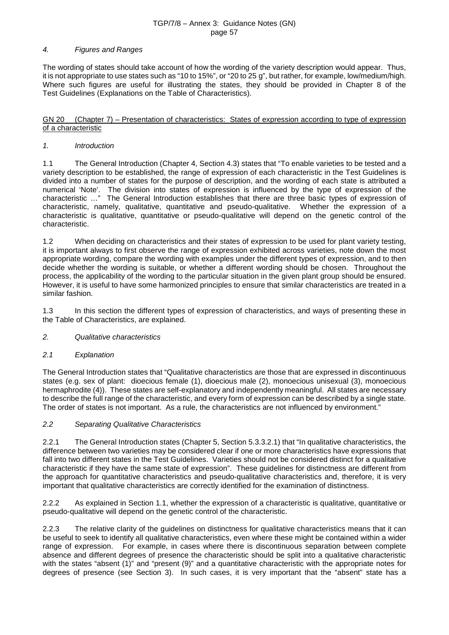#### *4. Figures and Ranges*

The wording of states should take account of how the wording of the variety description would appear. Thus, it is not appropriate to use states such as "10 to 15%", or "20 to 25 g", but rather, for example, low/medium/high. Where such figures are useful for illustrating the states, they should be provided in Chapter 8 of the Test Guidelines (Explanations on the Table of Characteristics).

GN 20 (Chapter 7) – Presentation of characteristics: States of expression according to type of expression of a characteristic

## *1. Introduction*

1.1 The General Introduction (Chapter 4, Section 4.3) states that "To enable varieties to be tested and a variety description to be established, the range of expression of each characteristic in the Test Guidelines is divided into a number of states for the purpose of description, and the wording of each state is attributed a numerical 'Note'. The division into states of expression is influenced by the type of expression of the characteristic …" The General Introduction establishes that there are three basic types of expression of characteristic, namely, qualitative, quantitative and pseudo-qualitative. Whether the expression of a characteristic is qualitative, quantitative or pseudo-qualitative will depend on the genetic control of the characteristic.

1.2 When deciding on characteristics and their states of expression to be used for plant variety testing, it is important always to first observe the range of expression exhibited across varieties, note down the most appropriate wording, compare the wording with examples under the different types of expression, and to then decide whether the wording is suitable, or whether a different wording should be chosen. Throughout the process, the applicability of the wording to the particular situation in the given plant group should be ensured. However, it is useful to have some harmonized principles to ensure that similar characteristics are treated in a similar fashion.

1.3 In this section the different types of expression of characteristics, and ways of presenting these in the Table of Characteristics, are explained.

#### *2. Qualitative characteristics*

#### *2.1 Explanation*

The General Introduction states that "Qualitative characteristics are those that are expressed in discontinuous states (e.g. sex of plant: dioecious female (1), dioecious male (2), monoecious unisexual (3), monoecious hermaphrodite (4)). These states are self-explanatory and independently meaningful. All states are necessary to describe the full range of the characteristic, and every form of expression can be described by a single state. The order of states is not important. As a rule, the characteristics are not influenced by environment."

## *2.2 Separating Qualitative Characteristics*

2.2.1 The General Introduction states (Chapter 5, Section 5.3.3.2.1) that "In qualitative characteristics, the difference between two varieties may be considered clear if one or more characteristics have expressions that fall into two different states in the Test Guidelines. Varieties should not be considered distinct for a qualitative characteristic if they have the same state of expression". These guidelines for distinctness are different from the approach for quantitative characteristics and pseudo-qualitative characteristics and, therefore, it is very important that qualitative characteristics are correctly identified for the examination of distinctness.

2.2.2 As explained in Section 1.1, whether the expression of a characteristic is qualitative, quantitative or pseudo-qualitative will depend on the genetic control of the characteristic.

2.2.3 The relative clarity of the guidelines on distinctness for qualitative characteristics means that it can be useful to seek to identify all qualitative characteristics, even where these might be contained within a wider range of expression. For example, in cases where there is discontinuous separation between complete absence and different degrees of presence the characteristic should be split into a qualitative characteristic with the states "absent (1)" and "present (9)" and a quantitative characteristic with the appropriate notes for degrees of presence (see Section 3). In such cases, it is very important that the "absent" state has a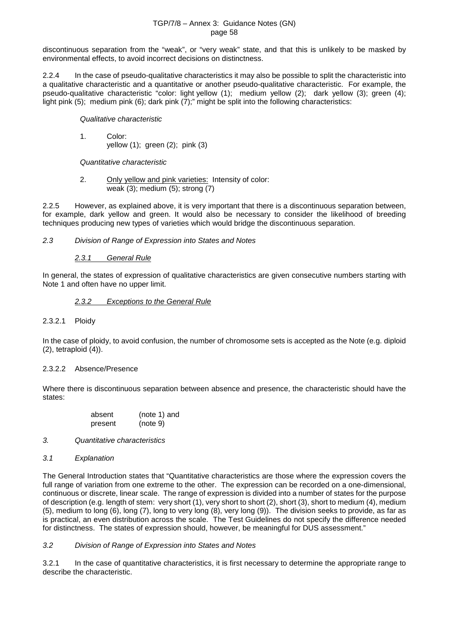discontinuous separation from the "weak", or "very weak" state, and that this is unlikely to be masked by environmental effects, to avoid incorrect decisions on distinctness.

2.2.4 In the case of pseudo-qualitative characteristics it may also be possible to split the characteristic into a qualitative characteristic and a quantitative or another pseudo-qualitative characteristic. For example, the pseudo-qualitative characteristic "color: light yellow (1); medium yellow (2); dark yellow (3); green (4); light pink (5); medium pink (6); dark pink (7);" might be split into the following characteristics:

*Qualitative characteristic*

1. Color: yellow (1); green (2); pink (3)

*Quantitative characteristic*

2. Only yellow and pink varieties: Intensity of color: weak (3); medium (5); strong (7)

2.2.5 However, as explained above, it is very important that there is a discontinuous separation between, for example, dark yellow and green. It would also be necessary to consider the likelihood of breeding techniques producing new types of varieties which would bridge the discontinuous separation.

*2.3 Division of Range of Expression into States and Notes*

## *2.3.1 General Rule*

In general, the states of expression of qualitative characteristics are given consecutive numbers starting with Note 1 and often have no upper limit.

## *2.3.2 Exceptions to the General Rule*

#### 2.3.2.1 Ploidy

In the case of ploidy, to avoid confusion, the number of chromosome sets is accepted as the Note (e.g. diploid (2), tetraploid (4)).

#### 2.3.2.2 Absence/Presence

Where there is discontinuous separation between absence and presence, the characteristic should have the states:

| absent  | (note 1) and |
|---------|--------------|
| present | (note 9)     |

- *3. Quantitative characteristics*
- *3.1 Explanation*

The General Introduction states that "Quantitative characteristics are those where the expression covers the full range of variation from one extreme to the other. The expression can be recorded on a one-dimensional, continuous or discrete, linear scale. The range of expression is divided into a number of states for the purpose of description (e.g. length of stem: very short (1), very short to short (2), short (3), short to medium (4), medium (5), medium to long (6), long (7), long to very long (8), very long (9)). The division seeks to provide, as far as is practical, an even distribution across the scale. The Test Guidelines do not specify the difference needed for distinctness. The states of expression should, however, be meaningful for DUS assessment."

## *3.2 Division of Range of Expression into States and Notes*

3.2.1 In the case of quantitative characteristics, it is first necessary to determine the appropriate range to describe the characteristic.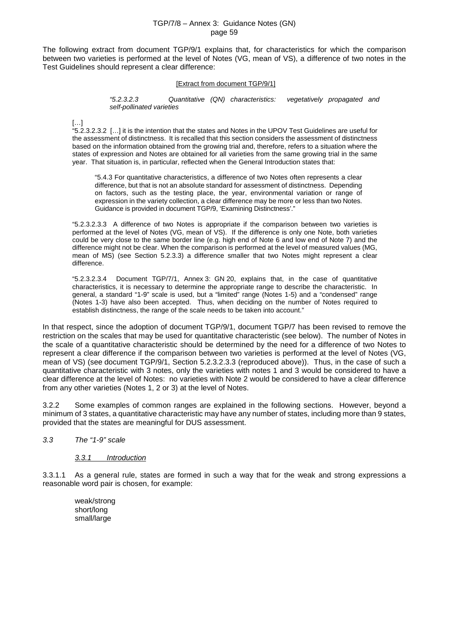The following extract from document TGP/9/1 explains that, for characteristics for which the comparison between two varieties is performed at the level of Notes (VG, mean of VS), a difference of two notes in the Test Guidelines should represent a clear difference:

#### [Extract from document TGP/9/1]

*"5.2.3.2.3 Quantitative (QN) characteristics: vegetatively propagated and self-pollinated varieties*

[…]

"5.2.3.2.3.2 […] it is the intention that the states and Notes in the UPOV Test Guidelines are useful for the assessment of distinctness. It is recalled that this section considers the assessment of distinctness based on the information obtained from the growing trial and, therefore, refers to a situation where the states of expression and Notes are obtained for all varieties from the same growing trial in the same year. That situation is, in particular, reflected when the General Introduction states that:

"5.4.3 For quantitative characteristics, a difference of two Notes often represents a clear difference, but that is not an absolute standard for assessment of distinctness. Depending on factors, such as the testing place, the year, environmental variation or range of expression in the variety collection, a clear difference may be more or less than two Notes. Guidance is provided in document TGP/9, 'Examining Distinctness'."

"5.2.3.2.3.3 A difference of two Notes is appropriate if the comparison between two varieties is performed at the level of Notes (VG, mean of VS). If the difference is only one Note, both varieties could be very close to the same border line (e.g. high end of Note 6 and low end of Note 7) and the difference might not be clear. When the comparison is performed at the level of measured values (MG, mean of MS) (see Section 5.2.3.3) a difference smaller that two Notes might represent a clear difference.

"5.2.3.2.3.4 Document TGP/7/1, Annex 3: GN 20, explains that, in the case of quantitative characteristics, it is necessary to determine the appropriate range to describe the characteristic. In general, a standard "1-9" scale is used, but a "limited" range (Notes 1-5) and a "condensed" range (Notes 1-3) have also been accepted. Thus, when deciding on the number of Notes required to establish distinctness, the range of the scale needs to be taken into account."

In that respect, since the adoption of document TGP/9/1, document TGP/7 has been revised to remove the restriction on the scales that may be used for quantitative characteristic (see below). The number of Notes in the scale of a quantitative characteristic should be determined by the need for a difference of two Notes to represent a clear difference if the comparison between two varieties is performed at the level of Notes (VG, mean of VS) (see document TGP/9/1, Section 5.2.3.2.3.3 (reproduced above)). Thus, in the case of such a quantitative characteristic with 3 notes, only the varieties with notes 1 and 3 would be considered to have a clear difference at the level of Notes: no varieties with Note 2 would be considered to have a clear difference from any other varieties (Notes 1, 2 or 3) at the level of Notes.

3.2.2 Some examples of common ranges are explained in the following sections. However, beyond a minimum of 3 states, a quantitative characteristic may have any number of states, including more than 9 states, provided that the states are meaningful for DUS assessment.

*3.3 The "1-9" scale*

*3.3.1 Introduction*

3.3.1.1 As a general rule, states are formed in such a way that for the weak and strong expressions a reasonable word pair is chosen, for example:

weak/strong short/long small/large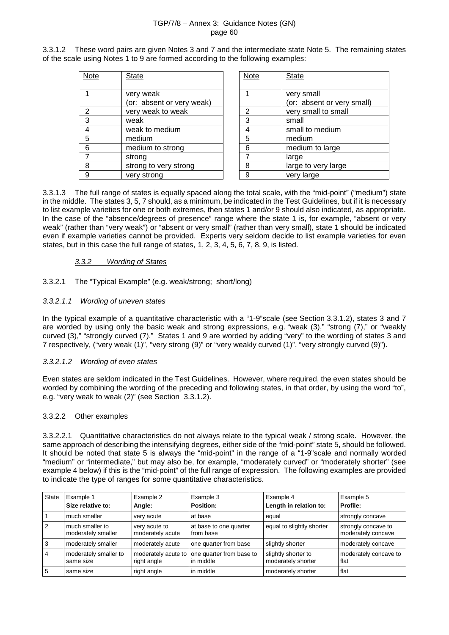3.3.1.2 These word pairs are given Notes 3 and 7 and the intermediate state Note 5. The remaining states of the scale using Notes 1 to 9 are formed according to the following examples:

| Note | <b>State</b>              | Note | <b>State</b>        |
|------|---------------------------|------|---------------------|
|      |                           |      |                     |
|      | very weak                 |      | very small          |
|      | (or: absent or very weak) |      | (or: absent or very |
| 2    | very weak to weak         | 2    | very small to small |
| 3    | weak                      | 3    | small               |
| 4    | weak to medium            | 4    | small to medium     |
| 5    | medium                    | 5    | medium              |
| 6    | medium to strong          | 6    | medium to large     |
|      | strong                    |      | large               |
| 8    | strong to very strong     | 8    | large to very large |
| 9    | very strong               | 9    | very large          |

| Note           | <b>State</b>               |
|----------------|----------------------------|
|                |                            |
|                | very small                 |
|                | (or: absent or very small) |
| $\overline{2}$ | very small to small        |
| 3              | small                      |
|                | small to medium            |
| 5              | medium                     |
| 6              | medium to large            |
|                | large                      |
| 8              | large to very large        |
|                | very large                 |

3.3.1.3 The full range of states is equally spaced along the total scale, with the "mid-point" ("medium") state in the middle. The states 3, 5, 7 should, as a minimum, be indicated in the Test Guidelines, but if it is necessary to list example varieties for one or both extremes, then states 1 and/or 9 should also indicated, as appropriate. In the case of the "absence/degrees of presence" range where the state 1 is, for example, "absent or very weak" (rather than "very weak") or "absent or very small" (rather than very small), state 1 should be indicated even if example varieties cannot be provided. Experts very seldom decide to list example varieties for even states, but in this case the full range of states, 1, 2, 3, 4, 5, 6, 7, 8, 9, is listed.

## *3.3.2 Wording of States*

3.3.2.1 The "Typical Example" (e.g. weak/strong; short/long)

## *3.3.2.1.1 Wording of uneven states*

In the typical example of a quantitative characteristic with a "1-9" scale (see Section 3.3.1.2), states 3 and 7 are worded by using only the basic weak and strong expressions, e.g. "weak (3)," "strong (7)," or "weakly curved (3)," "strongly curved (7)." States 1 and 9 are worded by adding "very" to the wording of states 3 and 7 respectively, ("very weak (1)", "very strong (9)" or "very weakly curved (1)", "very strongly curved (9)").

#### *3.3.2.1.2 Wording of even states*

Even states are seldom indicated in the Test Guidelines. However, where required, the even states should be worded by combining the wording of the preceding and following states, in that order, by using the word "to", e.g. "very weak to weak (2)" (see Section 3.3.1.2).

#### 3.3.2.2 Other examples

3.3.2.2.1 Quantitative characteristics do not always relate to the typical weak / strong scale. However, the same approach of describing the intensifying degrees, either side of the "mid-point" state 5, should be followed. It should be noted that state 5 is always the "mid-point" in the range of a "1-9"scale and normally worded "medium" or "intermediate," but may also be, for example, "moderately curved" or "moderately shorter" (see example 4 below) if this is the "mid-point" of the full range of expression. The following examples are provided to indicate the type of ranges for some quantitative characteristics.

| <b>State</b>   | Example 1<br>Size relative to:        | Example 2<br>Angle:                | Example 3<br>Position:                | Example 4<br>Length in relation to:       | Example 5<br>Profile:                     |
|----------------|---------------------------------------|------------------------------------|---------------------------------------|-------------------------------------------|-------------------------------------------|
|                | much smaller                          | very acute                         | at base                               | equal                                     | strongly concave                          |
| $\overline{2}$ | much smaller to<br>moderately smaller | very acute to<br>moderately acute  | at base to one quarter<br>from base   | equal to slightly shorter                 | strongly concave to<br>moderately concave |
| 3              | moderately smaller                    | moderately acute                   | one quarter from base                 | slightly shorter                          | moderately concave                        |
| $\overline{4}$ | moderately smaller to<br>same size    | moderately acute to<br>right angle | one quarter from base to<br>in middle | slightly shorter to<br>moderately shorter | moderately concave to<br>flat             |
| 5              | same size                             | right angle                        | in middle                             | moderately shorter                        | flat                                      |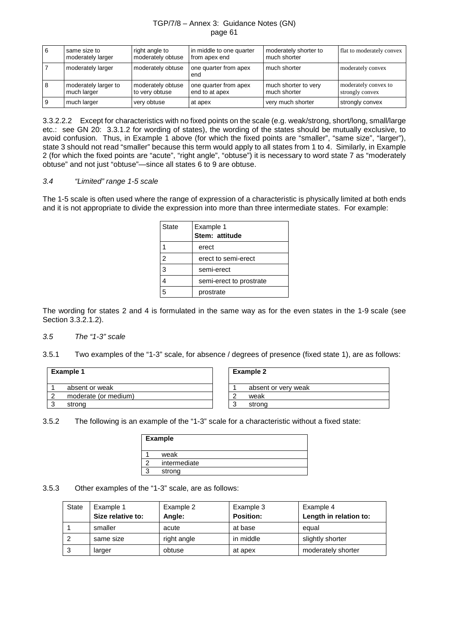| <b>6</b> | same size to<br>moderately larger   | right angle to<br>moderately obtuse | in middle to one quarter<br>from apex end | moderately shorter to<br>much shorter | flat to moderately convex               |
|----------|-------------------------------------|-------------------------------------|-------------------------------------------|---------------------------------------|-----------------------------------------|
|          | moderately larger                   | moderately obtuse                   | one quarter from apex<br>end              | much shorter                          | moderately convex                       |
| 8        | moderately larger to<br>much larger | moderately obtuse<br>to very obtuse | one quarter from apex<br>end to at apex   | much shorter to very<br>much shorter  | moderately convex to<br>strongly convex |
|          | much larger                         | very obtuse                         | at apex                                   | very much shorter                     | strongly convex                         |

3.3.2.2.2 Except for characteristics with no fixed points on the scale (e.g. weak/strong, short/long, small/large etc.: see GN 20: 3.3.1.2 for wording of states), the wording of the states should be mutually exclusive, to avoid confusion. Thus, in Example 1 above (for which the fixed points are "smaller", "same size", "larger"), state 3 should not read "smaller" because this term would apply to all states from 1 to 4. Similarly, in Example 2 (for which the fixed points are "acute", "right angle", "obtuse") it is necessary to word state 7 as "moderately obtuse" and not just "obtuse"—since all states 6 to 9 are obtuse.

#### *3.4 "Limited" range 1-5 scale*

The 1-5 scale is often used where the range of expression of a characteristic is physically limited at both ends and it is not appropriate to divide the expression into more than three intermediate states. For example:

| <b>State</b> | Example 1<br>Stem: attitude |
|--------------|-----------------------------|
|              | erect                       |
| 2            | erect to semi-erect         |
| 3            | semi-erect                  |
|              | semi-erect to prostrate     |
|              | prostrate                   |

The wording for states 2 and 4 is formulated in the same way as for the even states in the 1-9 scale (see Section 3.3.2.1.2).

#### *3.5 The "1-3" scale*

3.5.1 Two examples of the "1-3" scale, for absence / degrees of presence (fixed state 1), are as follows:

| <b>Example 1</b> |                      |  | <b>Example 2</b>    |
|------------------|----------------------|--|---------------------|
|                  | absent or weak       |  | absent or very weak |
|                  | moderate (or medium) |  | weak                |
| ◠                | strong               |  | ◠<br>strong<br>×.   |

3.5.2 The following is an example of the "1-3" scale for a characteristic without a fixed state:

| <b>Example</b> |
|----------------|
| weak           |
| intermediate   |
| strong         |

3.5.3 Other examples of the "1-3" scale, are as follows:

| <b>State</b> | Example 1<br>Size relative to: | Example 2<br>Angle: | Example 3<br><b>Position:</b> | Example 4<br>Length in relation to: |
|--------------|--------------------------------|---------------------|-------------------------------|-------------------------------------|
|              | smaller                        | acute               | at base                       | equal                               |
|              | same size                      | right angle         | in middle                     | slightly shorter                    |
| 3            | larger                         | obtuse              | at apex                       | moderately shorter                  |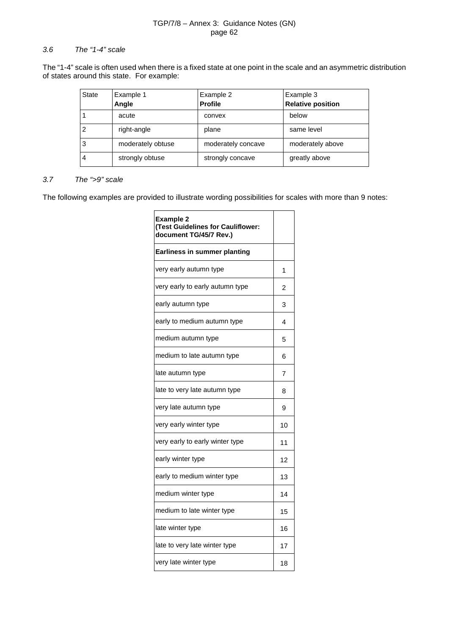#### *3.6 The "1-4" scale*

The "1-4" scale is often used when there is a fixed state at one point in the scale and an asymmetric distribution of states around this state. For example:

| <b>State</b> | Example 1<br>Angle | Example 2<br><b>Profile</b> | Example 3<br><b>Relative position</b> |
|--------------|--------------------|-----------------------------|---------------------------------------|
|              | acute              | convex                      | below                                 |
|              | right-angle        | plane                       | same level                            |
| 3            | moderately obtuse  | moderately concave          | moderately above                      |
| 4            | strongly obtuse    | strongly concave            | greatly above                         |

## *3.7 The ">9" scale*

The following examples are provided to illustrate wording possibilities for scales with more than 9 notes:

| <b>Example 2</b><br>(Test Guidelines for Cauliflower:<br>document TG/45/7 Rev.) |    |
|---------------------------------------------------------------------------------|----|
| <b>Earliness in summer planting</b>                                             |    |
| very early autumn type                                                          | 1  |
| very early to early autumn type                                                 | 2  |
| early autumn type                                                               | 3  |
| early to medium autumn type                                                     | 4  |
| medium autumn type                                                              | 5  |
| medium to late autumn type                                                      | 6  |
| late autumn type                                                                | 7  |
| late to very late autumn type                                                   | 8  |
| very late autumn type                                                           | 9  |
| very early winter type                                                          | 10 |
| very early to early winter type                                                 | 11 |
| early winter type                                                               | 12 |
| early to medium winter type                                                     | 13 |
| medium winter type                                                              | 14 |
| medium to late winter type                                                      | 15 |
| late winter type                                                                | 16 |
| late to very late winter type                                                   | 17 |
| very late winter type                                                           | 18 |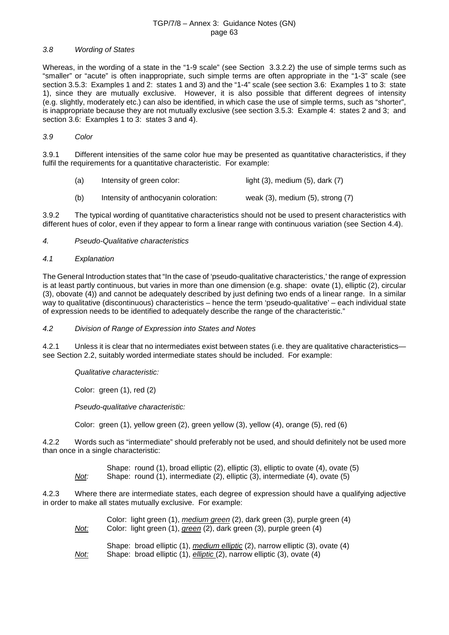#### *3.8 Wording of States*

Whereas, in the wording of a state in the "1-9 scale" (see Section 3.3.2.2) the use of simple terms such as "smaller" or "acute" is often inappropriate, such simple terms are often appropriate in the "1-3" scale (see section 3.5.3: Examples 1 and 2: states 1 and 3) and the "1-4" scale (see section 3.6: Examples 1 to 3: state 1), since they are mutually exclusive. However, it is also possible that different degrees of intensity (e.g. slightly, moderately etc.) can also be identified, in which case the use of simple terms, such as "shorter", is inappropriate because they are not mutually exclusive (see section 3.5.3: Example 4: states 2 and 3; and section 3.6: Examples 1 to 3: states 3 and 4).

#### *3.9 Color*

3.9.1 Different intensities of the same color hue may be presented as quantitative characteristics, if they fulfil the requirements for a quantitative characteristic. For example:

| (a) | Intensity of green color:            | light $(3)$ , medium $(5)$ , dark $(7)$  |
|-----|--------------------------------------|------------------------------------------|
| (b) | Intensity of anthocyanin coloration: | weak $(3)$ , medium $(5)$ , strong $(7)$ |

3.9.2 The typical wording of quantitative characteristics should not be used to present characteristics with different hues of color, even if they appear to form a linear range with continuous variation (see Section 4.4).

#### *4. Pseudo-Qualitative characteristics*

#### *4.1 Explanation*

The General Introduction states that "In the case of 'pseudo-qualitative characteristics,' the range of expression is at least partly continuous, but varies in more than one dimension (e.g. shape: ovate (1), elliptic (2), circular (3), obovate (4)) and cannot be adequately described by just defining two ends of a linear range. In a similar way to qualitative (discontinuous) characteristics – hence the term 'pseudo-qualitative' – each individual state of expression needs to be identified to adequately describe the range of the characteristic."

#### *4.2 Division of Range of Expression into States and Notes*

4.2.1 Unless it is clear that no intermediates exist between states (i.e. they are qualitative characteristics see Section 2.2, suitably worded intermediate states should be included. For example:

*Qualitative characteristic:*

Color: green (1), red (2)

*Pseudo-qualitative characteristic:*

Color: green (1), yellow green (2), green yellow (3), yellow (4), orange (5), red (6)

4.2.2 Words such as "intermediate" should preferably not be used, and should definitely not be used more than once in a single characteristic:

Shape: round (1), broad elliptic (2), elliptic (3), elliptic to ovate (4), ovate (5) *Not:* Shape: round (1), intermediate (2), elliptic (3), intermediate (4), ovate (5)

4.2.3 Where there are intermediate states, each degree of expression should have a qualifying adjective in order to make all states mutually exclusive. For example:

| <u>Not:</u> | Color: light green (1), medium green (2), dark green (3), purple green (4)<br>Color: light green (1), <i>green</i> (2), dark green (3), purple green (4) |
|-------------|----------------------------------------------------------------------------------------------------------------------------------------------------------|
|             | $\bigcap_{i=1}^n$ , and the set of $\{A\}$ and $P$ are set of $\{O\}$ and $\{P_1, P_2, P_3, P_4\}$ and $\{A\}$                                           |

Shape: broad elliptic (1), *medium elliptic* (2), narrow elliptic (3), ovate (4) *Not:* Shape: broad elliptic (1), *elliptic* (2), narrow elliptic (3), ovate (4)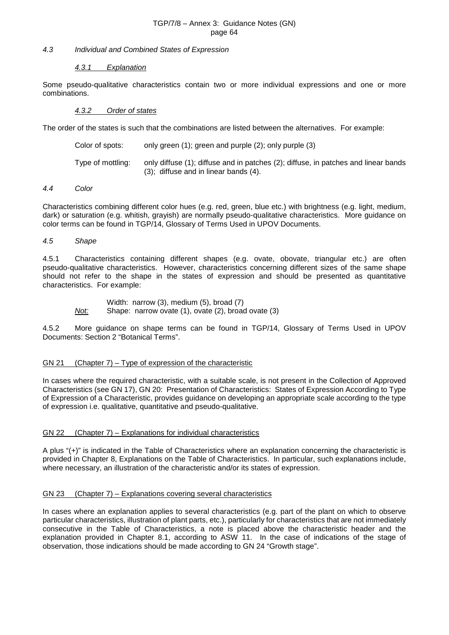#### *4.3 Individual and Combined States of Expression*

#### *4.3.1 Explanation*

Some pseudo-qualitative characteristics contain two or more individual expressions and one or more combinations.

#### *4.3.2 Order of states*

The order of the states is such that the combinations are listed between the alternatives. For example:

| Color of spots:   | only green (1); green and purple (2); only purple (3)                                                                             |
|-------------------|-----------------------------------------------------------------------------------------------------------------------------------|
| Tvpe of mottlina: | only diffuse (1); diffuse and in patches (2); diffuse, in patches and linear bands<br>$(3)$ ; diffuse and in linear bands $(4)$ . |

#### *4.4 Color*

Characteristics combining different color hues (e.g. red, green, blue etc.) with brightness (e.g. light, medium, dark) or saturation (e.g. whitish, grayish) are normally pseudo-qualitative characteristics. More guidance on color terms can be found in TGP/14, Glossary of Terms Used in UPOV Documents.

#### *4.5 Shape*

4.5.1 Characteristics containing different shapes (e.g. ovate, obovate, triangular etc.) are often pseudo-qualitative characteristics. However, characteristics concerning different sizes of the same shape should not refer to the shape in the states of expression and should be presented as quantitative characteristics. For example:

Width: narrow (3), medium (5), broad (7) *Not:* Shape: narrow ovate (1), ovate (2), broad ovate (3)

4.5.2 More guidance on shape terms can be found in TGP/14, Glossary of Terms Used in UPOV Documents: Section 2 "Botanical Terms".

#### GN 21 (Chapter 7) – Type of expression of the characteristic

In cases where the required characteristic, with a suitable scale, is not present in the Collection of Approved Characteristics (see GN 17), GN 20: Presentation of Characteristics: States of Expression According to Type of Expression of a Characteristic, provides guidance on developing an appropriate scale according to the type of expression i.e. qualitative, quantitative and pseudo-qualitative.

#### GN 22 (Chapter 7) – Explanations for individual characteristics

A plus "(+)" is indicated in the Table of Characteristics where an explanation concerning the characteristic is provided in Chapter 8, Explanations on the Table of Characteristics. In particular, such explanations include, where necessary, an illustration of the characteristic and/or its states of expression.

#### GN 23 (Chapter 7) – Explanations covering several characteristics

In cases where an explanation applies to several characteristics (e.g. part of the plant on which to observe particular characteristics, illustration of plant parts, etc.), particularly for characteristics that are not immediately consecutive in the Table of Characteristics, a note is placed above the characteristic header and the explanation provided in Chapter 8.1, according to ASW 11. In the case of indications of the stage of observation, those indications should be made according to GN 24 "Growth stage".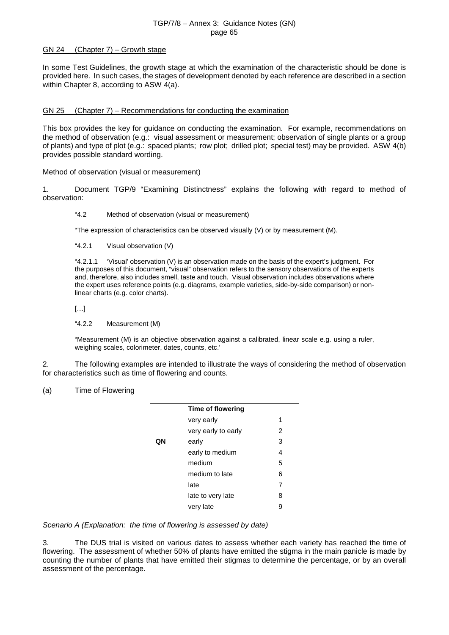#### GN 24 (Chapter 7) – Growth stage

In some Test Guidelines, the growth stage at which the examination of the characteristic should be done is provided here. In such cases, the stages of development denoted by each reference are described in a section within Chapter 8, according to ASW 4(a).

#### GN 25 (Chapter 7) – Recommendations for conducting the examination

This box provides the key for guidance on conducting the examination. For example, recommendations on the method of observation (e.g.: visual assessment or measurement; observation of single plants or a group of plants) and type of plot (e.g.: spaced plants; row plot; drilled plot; special test) may be provided. ASW 4(b) provides possible standard wording.

Method of observation (visual or measurement)

1. Document TGP/9 "Examining Distinctness" explains the following with regard to method of observation:

"4.2 Method of observation (visual or measurement)

"The expression of characteristics can be observed visually (V) or by measurement (M).

"4.2.1 Visual observation (V)

"4.2.1.1 'Visual' observation (V) is an observation made on the basis of the expert's judgment. For the purposes of this document, "visual" observation refers to the sensory observations of the experts and, therefore, also includes smell, taste and touch. Visual observation includes observations where the expert uses reference points (e.g. diagrams, example varieties, side-by-side comparison) or nonlinear charts (e.g. color charts).

[…]

"4.2.2 Measurement (M)

"Measurement (M) is an objective observation against a calibrated, linear scale e.g. using a ruler, weighing scales, colorimeter, dates, counts, etc.'

2. The following examples are intended to illustrate the ways of considering the method of observation for characteristics such as time of flowering and counts.

#### (a) Time of Flowering

|    | Time of flowering   |                |  |
|----|---------------------|----------------|--|
|    | very early          | 1              |  |
|    | very early to early | $\overline{2}$ |  |
| QΝ | early               |                |  |
|    | early to medium     | 4              |  |
|    | medium              | 5              |  |
|    | medium to late      | 6              |  |
|    | late                | 7              |  |
|    | late to very late   | 8              |  |
|    | very late           | 9              |  |

*Scenario A (Explanation: the time of flowering is assessed by date)*

3. The DUS trial is visited on various dates to assess whether each variety has reached the time of flowering. The assessment of whether 50% of plants have emitted the stigma in the main panicle is made by counting the number of plants that have emitted their stigmas to determine the percentage, or by an overall assessment of the percentage.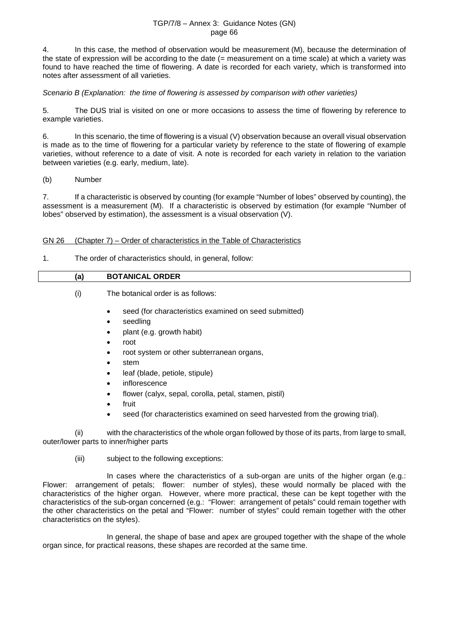4. In this case, the method of observation would be measurement (M), because the determination of the state of expression will be according to the date (= measurement on a time scale) at which a variety was found to have reached the time of flowering. A date is recorded for each variety, which is transformed into notes after assessment of all varieties.

*Scenario B (Explanation: the time of flowering is assessed by comparison with other varieties)*

5. The DUS trial is visited on one or more occasions to assess the time of flowering by reference to example varieties.

6. In this scenario, the time of flowering is a visual (V) observation because an overall visual observation is made as to the time of flowering for a particular variety by reference to the state of flowering of example varieties, without reference to a date of visit. A note is recorded for each variety in relation to the variation between varieties (e.g. early, medium, late).

(b) Number

7. If a characteristic is observed by counting (for example "Number of lobes" observed by counting), the assessment is a measurement (M). If a characteristic is observed by estimation (for example "Number of lobes" observed by estimation), the assessment is a visual observation (V).

## GN 26 (Chapter 7) – Order of characteristics in the Table of Characteristics

## 1. The order of characteristics should, in general, follow:

## **(a) BOTANICAL ORDER**

(i) The botanical order is as follows:

- seed (for characteristics examined on seed submitted)
- seedling
- plant (e.g. growth habit)
- root
- root system or other subterranean organs,
- stem
- leaf (blade, petiole, stipule)
- **inflorescence**
- flower (calyx, sepal, corolla, petal, stamen, pistil)
- fruit
- seed (for characteristics examined on seed harvested from the growing trial).

(ii) with the characteristics of the whole organ followed by those of its parts, from large to small, outer/lower parts to inner/higher parts

(iii) subject to the following exceptions:

In cases where the characteristics of a sub-organ are units of the higher organ (e.g.: Flower: arrangement of petals; flower: number of styles), these would normally be placed with the characteristics of the higher organ. However, where more practical, these can be kept together with the characteristics of the sub-organ concerned (e.g.: "Flower: arrangement of petals" could remain together with the other characteristics on the petal and "Flower: number of styles" could remain together with the other characteristics on the styles).

In general, the shape of base and apex are grouped together with the shape of the whole organ since, for practical reasons, these shapes are recorded at the same time.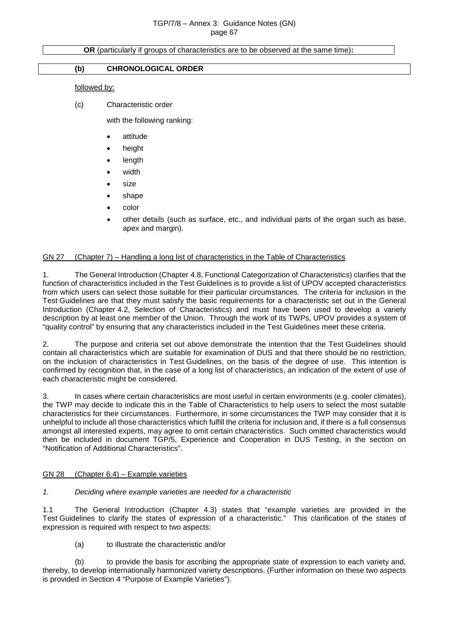#### **OR** (particularly if groups of characteristics are to be observed at the same time)**:**

#### **(b) CHRONOLOGICAL ORDER**

#### followed by:

(c) Characteristic order

with the following ranking:

- attitude
- height
- **length**
- width
- size
- shape
- color
- other details (such as surface, etc., and individual parts of the organ such as base, apex and margin).

#### GN 27 (Chapter 7) – Handling a long list of characteristics in the Table of Characteristics

1. The General Introduction (Chapter 4.8, Functional Categorization of Characteristics) clarifies that the function of characteristics included in the Test Guidelines is to provide a list of UPOV accepted characteristics from which users can select those suitable for their particular circumstances. The criteria for inclusion in the Test Guidelines are that they must satisfy the basic requirements for a characteristic set out in the General Introduction (Chapter 4.2, Selection of Characteristics) and must have been used to develop a variety description by at least one member of the Union. Through the work of its TWPs, UPOV provides a system of "quality control" by ensuring that any characteristics included in the Test Guidelines meet these criteria.

2. The purpose and criteria set out above demonstrate the intention that the Test Guidelines should contain all characteristics which are suitable for examination of DUS and that there should be no restriction, on the inclusion of characteristics in Test Guidelines, on the basis of the degree of use. This intention is confirmed by recognition that, in the case of a long list of characteristics, an indication of the extent of use of each characteristic might be considered.

3. In cases where certain characteristics are most useful in certain environments (e.g. cooler climates), the TWP may decide to indicate this in the Table of Characteristics to help users to select the most suitable characteristics for their circumstances. Furthermore, in some circumstances the TWP may consider that it is unhelpful to include all those characteristics which fulfill the criteria for inclusion and, if there is a full consensus amongst all interested experts, may agree to omit certain characteristics. Such omitted characteristics would then be included in document TGP/5, Experience and Cooperation in DUS Testing, in the section on "Notification of Additional Characteristics".

#### GN 28 (Chapter 6.4) – Example varieties

#### *1. Deciding where example varieties are needed for a characteristic*

1.1 The General Introduction (Chapter 4.3) states that "example varieties are provided in the Test Guidelines to clarify the states of expression of a characteristic." This clarification of the states of expression is required with respect to two aspects:

(a) to illustrate the characteristic and/or

(b) to provide the basis for ascribing the appropriate state of expression to each variety and, thereby, to develop internationally harmonized variety descriptions. (Further information on these two aspects is provided in Section 4 "Purpose of Example Varieties").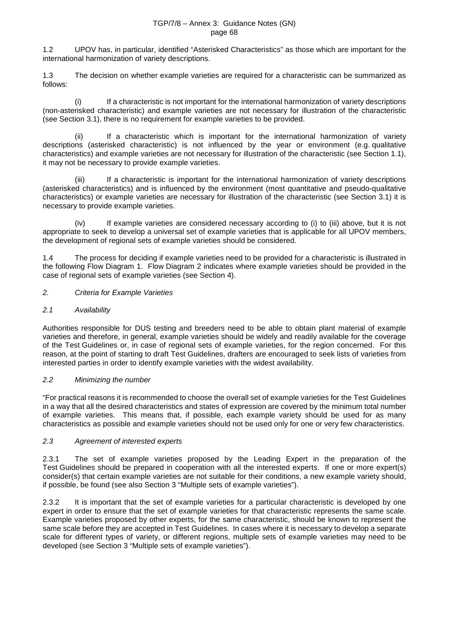1.2 UPOV has, in particular, identified "Asterisked Characteristics" as those which are important for the international harmonization of variety descriptions.

1.3 The decision on whether example varieties are required for a characteristic can be summarized as follows:

(i) If a characteristic is not important for the international harmonization of variety descriptions (non-asterisked characteristic) and example varieties are not necessary for illustration of the characteristic (see Section 3.1), there is no requirement for example varieties to be provided.

(ii) If a characteristic which is important for the international harmonization of variety descriptions (asterisked characteristic) is not influenced by the year or environment (e.g. qualitative characteristics) and example varieties are not necessary for illustration of the characteristic (see Section 1.1), it may not be necessary to provide example varieties.

(iii) If a characteristic is important for the international harmonization of variety descriptions (asterisked characteristics) and is influenced by the environment (most quantitative and pseudo-qualitative characteristics) or example varieties are necessary for illustration of the characteristic (see Section 3.1) it is necessary to provide example varieties.

(iv) If example varieties are considered necessary according to (i) to (iii) above, but it is not appropriate to seek to develop a universal set of example varieties that is applicable for all UPOV members, the development of regional sets of example varieties should be considered.

1.4 The process for deciding if example varieties need to be provided for a characteristic is illustrated in the following Flow Diagram 1. Flow Diagram 2 indicates where example varieties should be provided in the case of regional sets of example varieties (see Section 4).

*2. Criteria for Example Varieties*

## *2.1 Availability*

Authorities responsible for DUS testing and breeders need to be able to obtain plant material of example varieties and therefore, in general, example varieties should be widely and readily available for the coverage of the Test Guidelines or, in case of regional sets of example varieties, for the region concerned. For this reason, at the point of starting to draft Test Guidelines, drafters are encouraged to seek lists of varieties from interested parties in order to identify example varieties with the widest availability.

## *2.2 Minimizing the number*

"For practical reasons it is recommended to choose the overall set of example varieties for the Test Guidelines in a way that all the desired characteristics and states of expression are covered by the minimum total number of example varieties. This means that, if possible, each example variety should be used for as many characteristics as possible and example varieties should not be used only for one or very few characteristics.

## *2.3 Agreement of interested experts*

2.3.1 The set of example varieties proposed by the Leading Expert in the preparation of the Test Guidelines should be prepared in cooperation with all the interested experts. If one or more expert(s) consider(s) that certain example varieties are not suitable for their conditions, a new example variety should, if possible, be found (see also Section 3 "Multiple sets of example varieties").

2.3.2 It is important that the set of example varieties for a particular characteristic is developed by one expert in order to ensure that the set of example varieties for that characteristic represents the same scale. Example varieties proposed by other experts, for the same characteristic, should be known to represent the same scale before they are accepted in Test Guidelines. In cases where it is necessary to develop a separate scale for different types of variety, or different regions, multiple sets of example varieties may need to be developed (see Section 3 "Multiple sets of example varieties").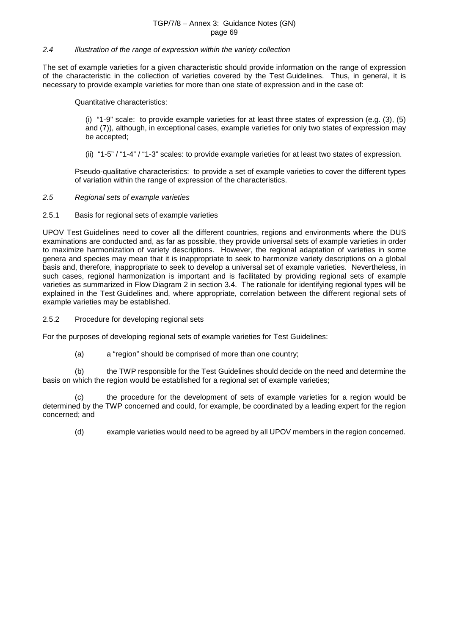#### *2.4 Illustration of the range of expression within the variety collection*

The set of example varieties for a given characteristic should provide information on the range of expression of the characteristic in the collection of varieties covered by the Test Guidelines. Thus, in general, it is necessary to provide example varieties for more than one state of expression and in the case of:

Quantitative characteristics:

(i) "1-9" scale: to provide example varieties for at least three states of expression (e.g. (3), (5) and (7)), although, in exceptional cases, example varieties for only two states of expression may be accepted;

(ii) "1-5" / "1-4" / "1-3" scales: to provide example varieties for at least two states of expression.

Pseudo-qualitative characteristics: to provide a set of example varieties to cover the different types of variation within the range of expression of the characteristics.

*2.5 Regional sets of example varieties*

2.5.1 Basis for regional sets of example varieties

UPOV Test Guidelines need to cover all the different countries, regions and environments where the DUS examinations are conducted and, as far as possible, they provide universal sets of example varieties in order to maximize harmonization of variety descriptions. However, the regional adaptation of varieties in some genera and species may mean that it is inappropriate to seek to harmonize variety descriptions on a global basis and, therefore, inappropriate to seek to develop a universal set of example varieties. Nevertheless, in such cases, regional harmonization is important and is facilitated by providing regional sets of example varieties as summarized in Flow Diagram 2 in section 3.4. The rationale for identifying regional types will be explained in the Test Guidelines and, where appropriate, correlation between the different regional sets of example varieties may be established.

2.5.2 Procedure for developing regional sets

For the purposes of developing regional sets of example varieties for Test Guidelines:

(a) a "region" should be comprised of more than one country;

(b) the TWP responsible for the Test Guidelines should decide on the need and determine the basis on which the region would be established for a regional set of example varieties;

(c) the procedure for the development of sets of example varieties for a region would be determined by the TWP concerned and could, for example, be coordinated by a leading expert for the region concerned; and

(d) example varieties would need to be agreed by all UPOV members in the region concerned.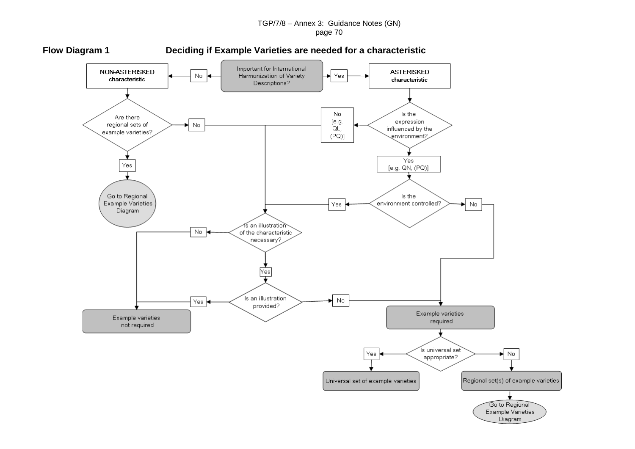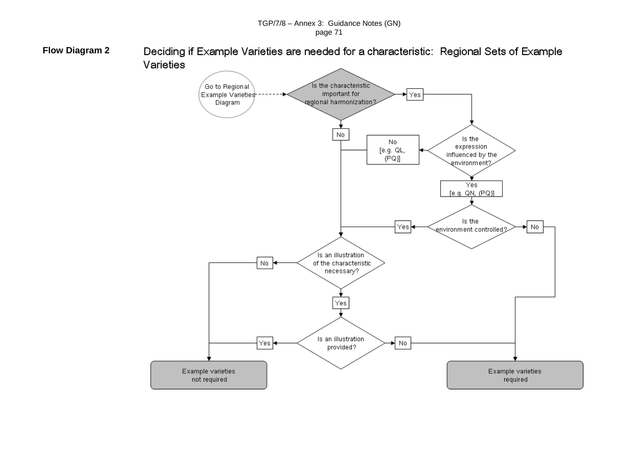**Flow Diagram 2**Deciding if Example Varieties are needed for a characteristic: Regional Sets of Example

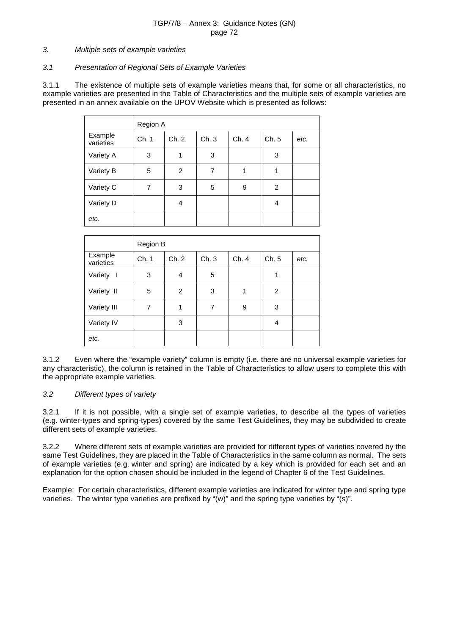#### *3. Multiple sets of example varieties*

#### *3.1 Presentation of Regional Sets of Example Varieties*

3.1.1 The existence of multiple sets of example varieties means that, for some or all characteristics, no example varieties are presented in the Table of Characteristics and the multiple sets of example varieties are presented in an annex available on the UPOV Website which is presented as follows:

|                      | Region A |       |      |      |                |      |  |
|----------------------|----------|-------|------|------|----------------|------|--|
| Example<br>varieties | Ch. 1    | Ch. 2 | Ch.3 | Ch.4 | Ch.5           | etc. |  |
| Variety A            | 3        | 1     | 3    |      | 3              |      |  |
| Variety B            | 5        | 2     | 7    | 1    |                |      |  |
| Variety C            | 7        | 3     | 5    | 9    | $\overline{2}$ |      |  |
| Variety D            |          | 4     |      |      | 4              |      |  |
| etc.                 |          |       |      |      |                |      |  |

|                      | Region B |       |      |       |       |      |  |
|----------------------|----------|-------|------|-------|-------|------|--|
| Example<br>varieties | Ch. 1    | Ch. 2 | Ch.3 | Ch. 4 | Ch. 5 | etc. |  |
| Variety I            | 3        | 4     | 5    |       | 1     |      |  |
| Variety II           | 5        | 2     | 3    | 1     | 2     |      |  |
| Variety III          | 7        | 1     | 7    | 9     | 3     |      |  |
| Variety IV           |          | 3     |      |       | 4     |      |  |
| etc.                 |          |       |      |       |       |      |  |

3.1.2 Even where the "example variety" column is empty (i.e. there are no universal example varieties for any characteristic), the column is retained in the Table of Characteristics to allow users to complete this with the appropriate example varieties.

#### *3.2 Different types of variety*

3.2.1 If it is not possible, with a single set of example varieties, to describe all the types of varieties (e.g. winter-types and spring-types) covered by the same Test Guidelines, they may be subdivided to create different sets of example varieties.

3.2.2 Where different sets of example varieties are provided for different types of varieties covered by the same Test Guidelines, they are placed in the Table of Characteristics in the same column as normal. The sets of example varieties (e.g. winter and spring) are indicated by a key which is provided for each set and an explanation for the option chosen should be included in the legend of Chapter 6 of the Test Guidelines.

Example: For certain characteristics, different example varieties are indicated for winter type and spring type varieties. The winter type varieties are prefixed by "(w)" and the spring type varieties by "(s)".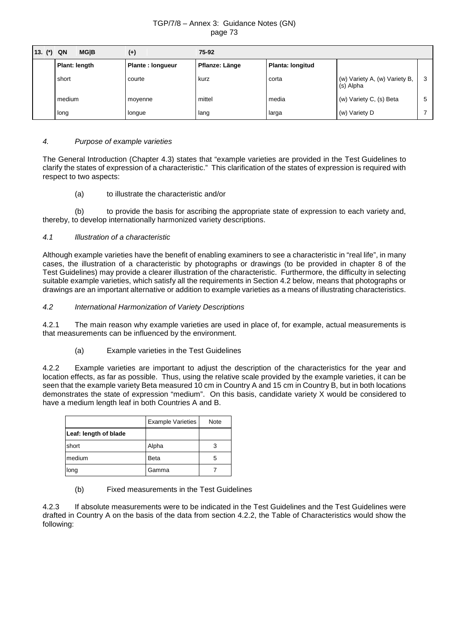| 13. $(*)$ QN | <b>MGIB</b>          | $(+)$            | 75-92          |                  |                                            |    |
|--------------|----------------------|------------------|----------------|------------------|--------------------------------------------|----|
|              | <b>Plant: length</b> | Plante: longueur | Pflanze: Länge | Planta: longitud |                                            |    |
|              | short                | courte           | kurz<br>corta  |                  | (w) Variety A, (w) Variety B,<br>(s) Alpha | -3 |
|              | medium               | movenne          |                | media            | (w) Variety C, (s) Beta                    |    |
|              | long                 | Ionque           | lang           | larga            | (w) Variety D                              |    |

# *4. Purpose of example varieties*

The General Introduction (Chapter 4.3) states that "example varieties are provided in the Test Guidelines to clarify the states of expression of a characteristic." This clarification of the states of expression is required with respect to two aspects:

## (a) to illustrate the characteristic and/or

(b) to provide the basis for ascribing the appropriate state of expression to each variety and, thereby, to develop internationally harmonized variety descriptions.

### *4.1 Illustration of a characteristic*

Although example varieties have the benefit of enabling examiners to see a characteristic in "real life", in many cases, the illustration of a characteristic by photographs or drawings (to be provided in chapter 8 of the Test Guidelines) may provide a clearer illustration of the characteristic. Furthermore, the difficulty in selecting suitable example varieties, which satisfy all the requirements in Section 4.2 below, means that photographs or drawings are an important alternative or addition to example varieties as a means of illustrating characteristics.

### *4.2 International Harmonization of Variety Descriptions*

4.2.1 The main reason why example varieties are used in place of, for example, actual measurements is that measurements can be influenced by the environment.

# (a) Example varieties in the Test Guidelines

4.2.2 Example varieties are important to adjust the description of the characteristics for the year and location effects, as far as possible. Thus, using the relative scale provided by the example varieties, it can be seen that the example variety Beta measured 10 cm in Country A and 15 cm in Country B, but in both locations demonstrates the state of expression "medium". On this basis, candidate variety X would be considered to have a medium length leaf in both Countries A and B.

|                       | <b>Example Varieties</b> | Note |
|-----------------------|--------------------------|------|
| Leaf: length of blade |                          |      |
| short                 | Alpha                    | 3    |
| medium                | <b>Beta</b>              | 5    |
| long                  | Gamma                    |      |

(b) Fixed measurements in the Test Guidelines

4.2.3 If absolute measurements were to be indicated in the Test Guidelines and the Test Guidelines were drafted in Country A on the basis of the data from section 4.2.2, the Table of Characteristics would show the following: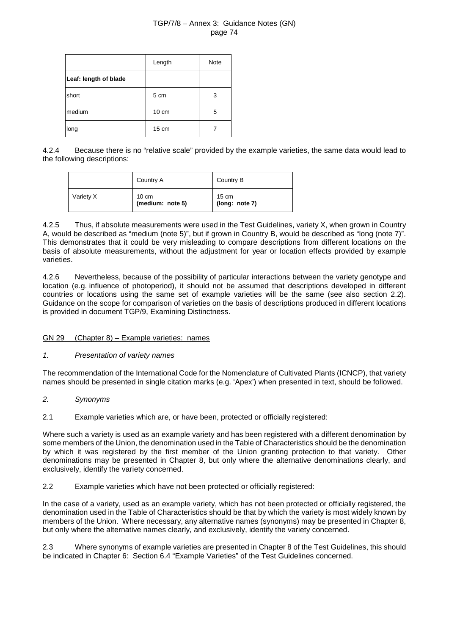|                       | Length          | Note |
|-----------------------|-----------------|------|
| Leaf: length of blade |                 |      |
| short                 | 5 cm            | 3    |
| medium                | $10 \text{ cm}$ | 5    |
| long                  | 15 cm           |      |

4.2.4 Because there is no "relative scale" provided by the example varieties, the same data would lead to the following descriptions:

|           | Country A                 | Country B               |
|-----------|---------------------------|-------------------------|
| Variety X | 10 cm<br>(medium: note 5) | 15 cm<br>(long: note 7) |

4.2.5 Thus, if absolute measurements were used in the Test Guidelines, variety X, when grown in Country A, would be described as "medium (note 5)", but if grown in Country B, would be described as "long (note 7)". This demonstrates that it could be very misleading to compare descriptions from different locations on the basis of absolute measurements, without the adjustment for year or location effects provided by example varieties.

4.2.6 Nevertheless, because of the possibility of particular interactions between the variety genotype and location (e.g. influence of photoperiod), it should not be assumed that descriptions developed in different countries or locations using the same set of example varieties will be the same (see also section 2.2). Guidance on the scope for comparison of varieties on the basis of descriptions produced in different locations is provided in document TGP/9, Examining Distinctness.

# GN 29 (Chapter 8) – Example varieties: names

# *1. Presentation of variety names*

The recommendation of the International Code for the Nomenclature of Cultivated Plants (ICNCP), that variety names should be presented in single citation marks (e.g. 'Apex') when presented in text, should be followed.

- *2. Synonyms*
- 2.1 Example varieties which are, or have been, protected or officially registered:

Where such a variety is used as an example variety and has been registered with a different denomination by some members of the Union, the denomination used in the Table of Characteristics should be the denomination by which it was registered by the first member of the Union granting protection to that variety. Other denominations may be presented in Chapter 8, but only where the alternative denominations clearly, and exclusively, identify the variety concerned.

2.2 Example varieties which have not been protected or officially registered:

In the case of a variety, used as an example variety, which has not been protected or officially registered, the denomination used in the Table of Characteristics should be that by which the variety is most widely known by members of the Union. Where necessary, any alternative names (synonyms) may be presented in Chapter 8, but only where the alternative names clearly, and exclusively, identify the variety concerned.

2.3 Where synonyms of example varieties are presented in Chapter 8 of the Test Guidelines, this should be indicated in Chapter 6: Section 6.4 "Example Varieties" of the Test Guidelines concerned.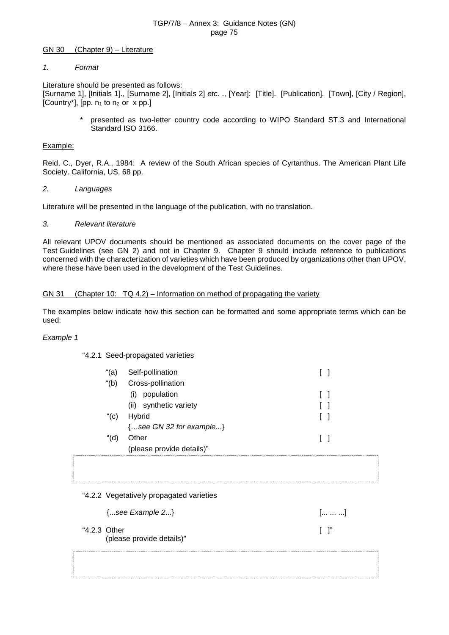#### GN 30 (Chapter 9) – Literature

## *1. Format*

Literature should be presented as follows: [Surname 1], [Initials 1]., [Surname 2], [Initials 2] *etc.* ., [Year]: [Title]. [Publication]. [Town], [City / Region], [Country\*], [pp.  $n_1$  to  $n_2$  or  $x$  pp.]

> \* presented as two-letter country code according to WIPO Standard ST.3 and International Standard ISO 3166.

## Example:

Reid, C., Dyer, R.A., 1984: A review of the South African species of Cyrtanthus. The American Plant Life Society. California, US, 68 pp.

### *2. Languages*

Literature will be presented in the language of the publication, with no translation.

## *3. Relevant literature*

All relevant UPOV documents should be mentioned as associated documents on the cover page of the Test Guidelines (see GN 2) and not in Chapter 9. Chapter 9 should include reference to publications concerned with the characterization of varieties which have been produced by organizations other than UPOV, where these have been used in the development of the Test Guidelines.

## GN 31 (Chapter 10: TQ 4.2) – Information on method of propagating the variety

The examples below indicate how this section can be formatted and some appropriate terms which can be used:

### *Example 1*

### "4.2.1 Seed-propagated varieties

| "(a)    | Self-pollination                |  |
|---------|---------------------------------|--|
| " $(b)$ | Cross-pollination               |  |
|         | population<br>(1)               |  |
|         | synthetic variety<br>(ii)       |  |
| $"$ (c) | Hybrid                          |  |
|         | $\{$ see GN 32 for example $\}$ |  |
| "(d)    | Other                           |  |
|         | (please provide details)"       |  |
|         |                                 |  |

"4.2.2 Vegetatively propagated varieties

| $\{$ see Example 2 $\}$                   |        | $\left[\ldots \ldots \ldots\right]$ |
|-------------------------------------------|--------|-------------------------------------|
| "4.2.3 Other<br>(please provide details)" | $\Box$ |                                     |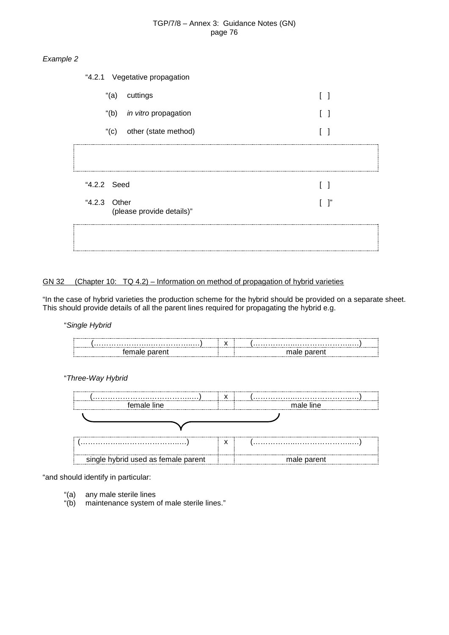# *Example 2*

|              | "4.2.1 Vegetative propagation    |  |    |
|--------------|----------------------------------|--|----|
|              | "(a) cuttings                    |  |    |
|              | "(b) <i>in vitro</i> propagation |  |    |
|              | "(c) other (state method)        |  |    |
|              |                                  |  |    |
| "4.2.2 Seed  |                                  |  |    |
| "4.2.3 Other | (please provide details)"        |  | ľ, |
|              |                                  |  |    |

# GN 32 (Chapter 10: TQ 4.2) – Information on method of propagation of hybrid varieties

"In the case of hybrid varieties the production scheme for the hybrid should be provided on a separate sheet. This should provide details of all the parent lines required for propagating the hybrid e.g.

"*Single Hybrid*

"*Three-Way Hybrid*

| female line                         |   | male line   |
|-------------------------------------|---|-------------|
|                                     |   |             |
|                                     |   |             |
|                                     | х |             |
| single hybrid used as female parent |   | male parent |

"and should identify in particular:

- "(a) any male sterile lines
- "(b) maintenance system of male sterile lines."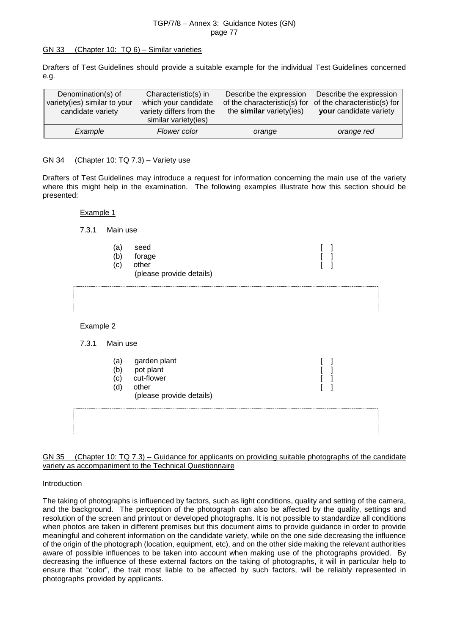#### GN 33 (Chapter 10: TQ 6) – Similar varieties

Drafters of Test Guidelines should provide a suitable example for the individual Test Guidelines concerned e.g.

| Denomination(s) of<br>variety(ies) similar to your<br>candidate variety | Characteristic(s) in<br>which your candidate<br>variety differs from the<br>similar variety(ies) | Describe the expression<br>of the characteristic(s) for<br>the similar variety (ies) | Describe the expression<br>of the characteristic(s) for<br>your candidate variety |
|-------------------------------------------------------------------------|--------------------------------------------------------------------------------------------------|--------------------------------------------------------------------------------------|-----------------------------------------------------------------------------------|
| Example                                                                 | Flower color                                                                                     | orange                                                                               | orange red                                                                        |

#### GN 34 (Chapter 10: TQ 7.3) – Variety use

Drafters of Test Guidelines may introduce a request for information concerning the main use of the variety where this might help in the examination. The following examples illustrate how this section should be presented:

#### Example 1

7.3.1 Main use

- (a) seed [ ]
- (b) forage [ ]
- (c) other [ ]
	- (please provide details)

| Example 2 |
|-----------|
|           |
|           |

## 7.3.1 Main use

| a<br>C) | garden plant<br>pot plant<br>cut-flower<br>other<br>(please provide details) |  |  |
|---------|------------------------------------------------------------------------------|--|--|
|         |                                                                              |  |  |

GN 35 (Chapter 10: TQ 7.3) – Guidance for applicants on providing suitable photographs of the candidate variety as accompaniment to the Technical Questionnaire

#### Introduction

The taking of photographs is influenced by factors, such as light conditions, quality and setting of the camera, and the background. The perception of the photograph can also be affected by the quality, settings and resolution of the screen and printout or developed photographs. It is not possible to standardize all conditions when photos are taken in different premises but this document aims to provide guidance in order to provide meaningful and coherent information on the candidate variety, while on the one side decreasing the influence of the origin of the photograph (location, equipment, etc), and on the other side making the relevant authorities aware of possible influences to be taken into account when making use of the photographs provided. By decreasing the influence of these external factors on the taking of photographs, it will in particular help to ensure that "color", the trait most liable to be affected by such factors, will be reliably represented in photographs provided by applicants.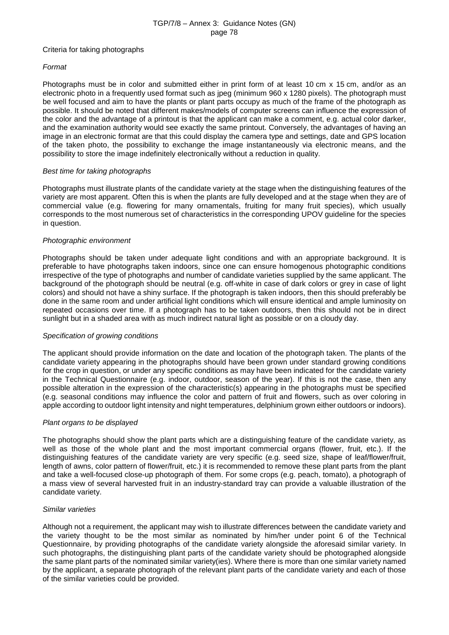#### Criteria for taking photographs

## *Format*

Photographs must be in color and submitted either in print form of at least 10 cm x 15 cm, and/or as an electronic photo in a frequently used format such as jpeg (minimum 960 x 1280 pixels). The photograph must be well focused and aim to have the plants or plant parts occupy as much of the frame of the photograph as possible. It should be noted that different makes/models of computer screens can influence the expression of the color and the advantage of a printout is that the applicant can make a comment, e.g. actual color darker, and the examination authority would see exactly the same printout. Conversely, the advantages of having an image in an electronic format are that this could display the camera type and settings, date and GPS location of the taken photo, the possibility to exchange the image instantaneously via electronic means, and the possibility to store the image indefinitely electronically without a reduction in quality.

### *Best time for taking photographs*

Photographs must illustrate plants of the candidate variety at the stage when the distinguishing features of the variety are most apparent. Often this is when the plants are fully developed and at the stage when they are of commercial value (e.g. flowering for many ornamentals, fruiting for many fruit species), which usually corresponds to the most numerous set of characteristics in the corresponding UPOV guideline for the species in question.

## *Photographic environment*

Photographs should be taken under adequate light conditions and with an appropriate background. It is preferable to have photographs taken indoors, since one can ensure homogenous photographic conditions irrespective of the type of photographs and number of candidate varieties supplied by the same applicant. The background of the photograph should be neutral (e.g. off-white in case of dark colors or grey in case of light colors) and should not have a shiny surface. If the photograph is taken indoors, then this should preferably be done in the same room and under artificial light conditions which will ensure identical and ample luminosity on repeated occasions over time. If a photograph has to be taken outdoors, then this should not be in direct sunlight but in a shaded area with as much indirect natural light as possible or on a cloudy day.

### *Specification of growing conditions*

The applicant should provide information on the date and location of the photograph taken. The plants of the candidate variety appearing in the photographs should have been grown under standard growing conditions for the crop in question, or under any specific conditions as may have been indicated for the candidate variety in the Technical Questionnaire (e.g. indoor, outdoor, season of the year). If this is not the case, then any possible alteration in the expression of the characteristic(s) appearing in the photographs must be specified (e.g. seasonal conditions may influence the color and pattern of fruit and flowers, such as over coloring in apple according to outdoor light intensity and night temperatures, delphinium grown either outdoors or indoors).

### *Plant organs to be displayed*

The photographs should show the plant parts which are a distinguishing feature of the candidate variety, as well as those of the whole plant and the most important commercial organs (flower, fruit, etc.). If the distinguishing features of the candidate variety are very specific (e.g. seed size, shape of leaf/flower/fruit, length of awns, color pattern of flower/fruit, etc.) it is recommended to remove these plant parts from the plant and take a well-focused close-up photograph of them. For some crops (e.g. peach, tomato), a photograph of a mass view of several harvested fruit in an industry-standard tray can provide a valuable illustration of the candidate variety.

### *Similar varieties*

Although not a requirement, the applicant may wish to illustrate differences between the candidate variety and the variety thought to be the most similar as nominated by him/her under point 6 of the Technical Questionnaire, by providing photographs of the candidate variety alongside the aforesaid similar variety. In such photographs, the distinguishing plant parts of the candidate variety should be photographed alongside the same plant parts of the nominated similar variety(ies). Where there is more than one similar variety named by the applicant, a separate photograph of the relevant plant parts of the candidate variety and each of those of the similar varieties could be provided.